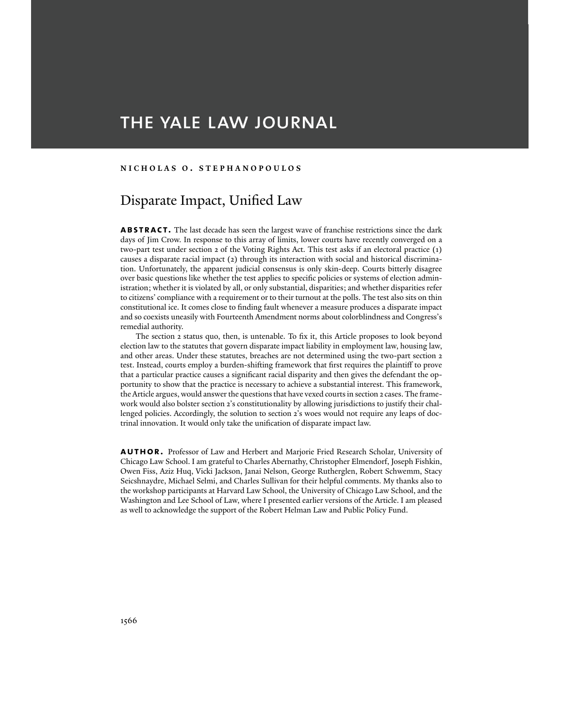# THE YALE LAW JOURNAL

# **NICHOLAS O . STEPHANOPOULOS**

# Disparate Impact, Unified Law

**ABSTRACT.** The last decade has seen the largest wave of franchise restrictions since the dark days of Jim Crow. In response to this array of limits, lower courts have recently converged on a two-part test under section 2 of the Voting Rights Act. This test asks if an electoral practice (1) causes a disparate racial impact (2) through its interaction with social and historical discrimination. Unfortunately, the apparent judicial consensus is only skin-deep. Courts bitterly disagree over basic questions like whether the test applies to specific policies or systems of election administration; whether it is violated by all, or only substantial, disparities; and whether disparities refer to citizens' compliance with a requirement or to their turnout at the polls. The test also sits on thin constitutional ice. It comes close to finding fault whenever a measure produces a disparate impact and so coexists uneasily with Fourteenth Amendment norms about colorblindness and Congress's remedial authority.

 The section 2 status quo, then, is untenable. To fix it, this Article proposes to look beyond election law to the statutes that govern disparate impact liability in employment law, housing law, and other areas. Under these statutes, breaches are not determined using the two-part section 2 test. Instead, courts employ a burden-shifting framework that first requires the plaintiff to prove that a particular practice causes a significant racial disparity and then gives the defendant the opportunity to show that the practice is necessary to achieve a substantial interest. This framework, the Article argues, would answer the questions that have vexed courts in section 2 cases. The framework would also bolster section 2's constitutionality by allowing jurisdictions to justify their challenged policies. Accordingly, the solution to section 2's woes would not require any leaps of doctrinal innovation. It would only take the unification of disparate impact law.

**AUTHOR.** Professor of Law and Herbert and Marjorie Fried Research Scholar, University of Chicago Law School. I am grateful to Charles Abernathy, Christopher Elmendorf, Joseph Fishkin, Owen Fiss, Aziz Huq, Vicki Jackson, Janai Nelson, George Rutherglen, Robert Schwemm, Stacy Seicshnaydre, Michael Selmi, and Charles Sullivan for their helpful comments. My thanks also to the workshop participants at Harvard Law School, the University of Chicago Law School, and the Washington and Lee School of Law, where I presented earlier versions of the Article. I am pleased as well to acknowledge the support of the Robert Helman Law and Public Policy Fund.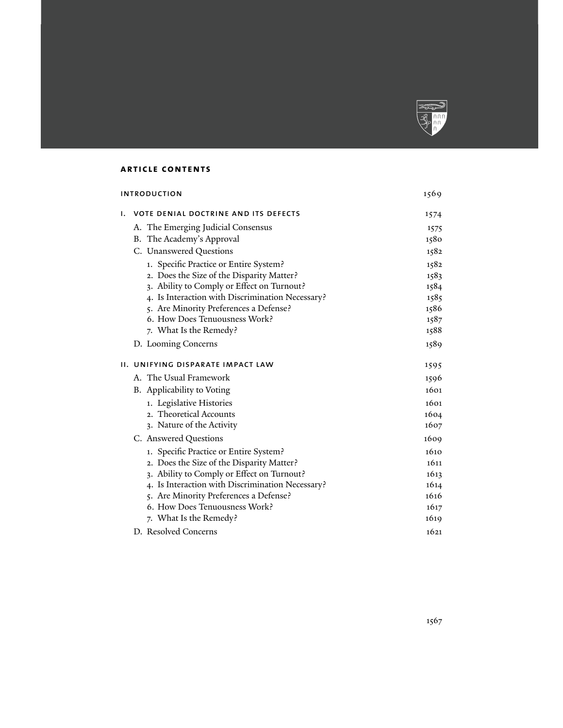

# **article contents**

| <b>INTRODUCTION</b>                               | 1569 |
|---------------------------------------------------|------|
| <b>VOTE DENIAL DOCTRINE AND ITS DEFECTS</b><br>Ι. | 1574 |
| A. The Emerging Judicial Consensus                | 1575 |
| B. The Academy's Approval                         | 1580 |
| C. Unanswered Questions                           | 1582 |
| 1. Specific Practice or Entire System?            | 1582 |
| 2. Does the Size of the Disparity Matter?         | 1583 |
| 3. Ability to Comply or Effect on Turnout?        | 1584 |
| 4. Is Interaction with Discrimination Necessary?  | 1585 |
| 5. Are Minority Preferences a Defense?            | 1586 |
| 6. How Does Tenuousness Work?                     | 1587 |
| 7. What Is the Remedy?                            | 1588 |
| D. Looming Concerns                               | 1589 |
| II. UNIFYING DISPARATE IMPACT LAW                 | 1595 |
| A. The Usual Framework                            | 1596 |
| B. Applicability to Voting                        | 1601 |
| 1. Legislative Histories                          | 1601 |
| 2. Theoretical Accounts                           | 1604 |
| 3. Nature of the Activity                         | 1607 |
| C. Answered Questions                             | 1609 |
| 1. Specific Practice or Entire System?            | 1610 |
| 2. Does the Size of the Disparity Matter?         | 1611 |
| 3. Ability to Comply or Effect on Turnout?        | 1613 |
| 4. Is Interaction with Discrimination Necessary?  | 1614 |
| 5. Are Minority Preferences a Defense?            | 1616 |
| 6. How Does Tenuousness Work?                     | 1617 |
| 7. What Is the Remedy?                            | 1619 |
| D. Resolved Concerns                              | 1621 |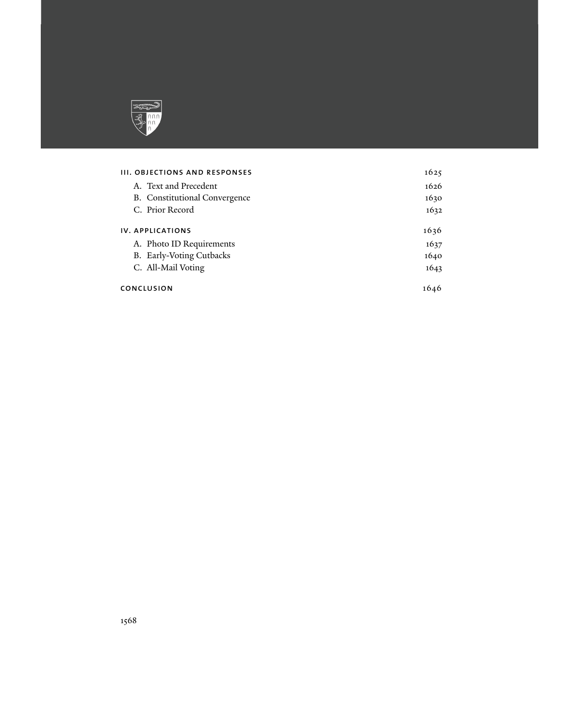

# iii. Objections and responses 1625

| A. Text and Precedent                | 1626 |
|--------------------------------------|------|
| <b>B.</b> Constitutional Convergence | 1630 |
| C. Prior Record                      | 1632 |
| <b>IV. APPLICATIONS</b>              | 1636 |
| A. Photo ID Requirements             | 1637 |
| B. Early-Voting Cutbacks             | 1640 |
| C. All-Mail Voting                   | 1643 |
| <b>CONCLUSION</b>                    | 1646 |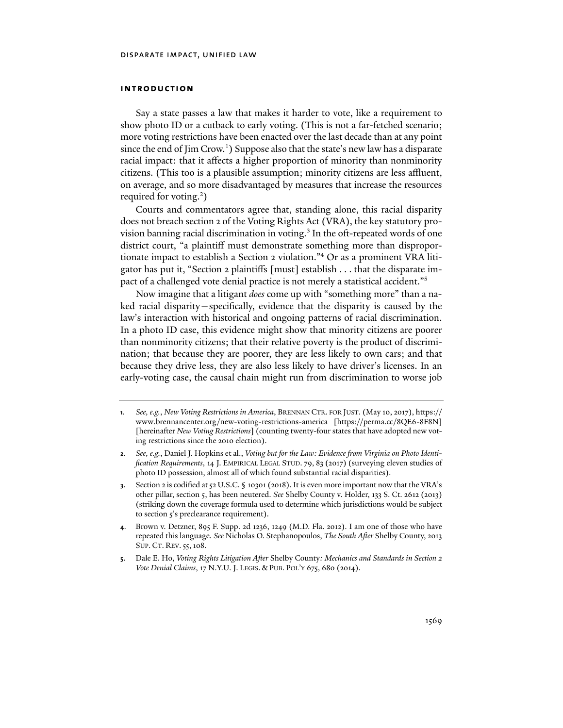# **introduction**

Say a state passes a law that makes it harder to vote, like a requirement to show photo ID or a cutback to early voting. (This is not a far-fetched scenario; more voting restrictions have been enacted over the last decade than at any point since the end of Jim Crow.<sup>1</sup>) Suppose also that the state's new law has a disparate racial impact: that it affects a higher proportion of minority than nonminority citizens. (This too is a plausible assumption; minority citizens are less affluent, on average, and so more disadvantaged by measures that increase the resources required for voting.<sup>2</sup>)

Courts and commentators agree that, standing alone, this racial disparity does not breach section 2 of the Voting Rights Act (VRA), the key statutory provision banning racial discrimination in voting.<sup>3</sup> In the oft-repeated words of one district court, "a plaintiff must demonstrate something more than disproportionate impact to establish a Section 2 violation."4 Or as a prominent VRA litigator has put it, "Section 2 plaintiffs [must] establish . . . that the disparate impact of a challenged vote denial practice is not merely a statistical accident."5

Now imagine that a litigant *does* come up with "something more" than a naked racial disparity—specifically, evidence that the disparity is caused by the law's interaction with historical and ongoing patterns of racial discrimination. In a photo ID case, this evidence might show that minority citizens are poorer than nonminority citizens; that their relative poverty is the product of discrimination; that because they are poorer, they are less likely to own cars; and that because they drive less, they are also less likely to have driver's licenses. In an early-voting case, the causal chain might run from discrimination to worse job

**<sup>1</sup>***. See, e.g.*, *New Voting Restrictions in America*, BRENNAN CTR. FOR JUST. (May 10, 2017), https:// www.brennancenter.org/new-voting-restrictions-america [https://perma.cc/8QE6-8F8N] [hereinafter *New Voting Restrictions*] (counting twenty-four states that have adopted new voting restrictions since the 2010 election).

**<sup>2</sup>***. See, e.g.*, Daniel J. Hopkins et al., *Voting but for the Law: Evidence from Virginia on Photo Identification Requirements*, 14 J. EMPIRICAL LEGAL STUD. 79, 83 (2017) (surveying eleven studies of photo ID possession, almost all of which found substantial racial disparities).

**<sup>3</sup>**. Section 2 is codified at 52 U.S.C. § 10301 (2018). It is even more important now that the VRA's other pillar, section 5, has been neutered. *See* Shelby County v. Holder, 133 S. Ct. 2612 (2013) (striking down the coverage formula used to determine which jurisdictions would be subject to section 5's preclearance requirement).

**<sup>4</sup>**. Brown v. Detzner, 895 F. Supp. 2d 1236, 1249 (M.D. Fla. 2012). I am one of those who have repeated this language. *See* Nicholas O. Stephanopoulos, *The South After* Shelby County, 2013 SUP. CT. REV. 55, 108.

**<sup>5</sup>**. Dale E. Ho, *Voting Rights Litigation After* Shelby County*: Mechanics and Standards in Section 2 Vote Denial Claims*, 17 N.Y.U. J. LEGIS. & PUB. POL'Y 675, 680 (2014).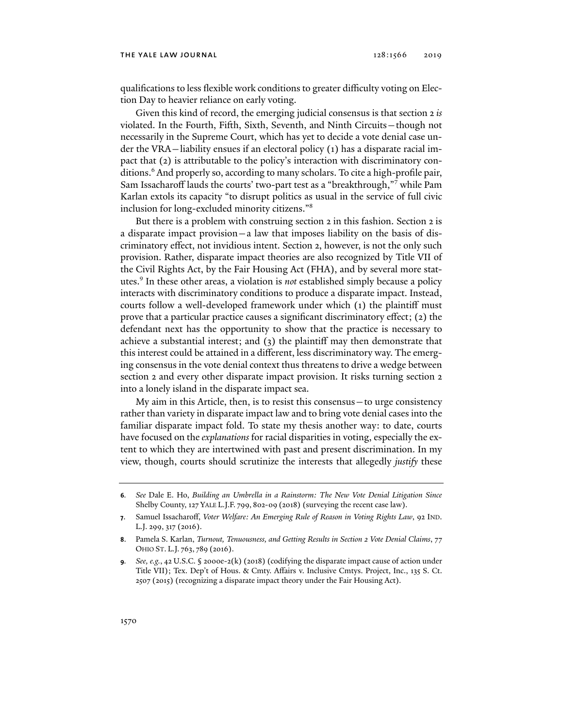#### THE YALE LAW JOURNAL 128:1566 2019

qualifications to less flexible work conditions to greater difficulty voting on Election Day to heavier reliance on early voting.

Given this kind of record, the emerging judicial consensus is that section 2 *is* violated. In the Fourth, Fifth, Sixth, Seventh, and Ninth Circuits—though not necessarily in the Supreme Court, which has yet to decide a vote denial case under the VRA—liability ensues if an electoral policy (1) has a disparate racial impact that (2) is attributable to the policy's interaction with discriminatory conditions.6 And properly so, according to many scholars. To cite a high-profile pair, Sam Issacharoff lauds the courts' two-part test as a "breakthrough,"7 while Pam Karlan extols its capacity "to disrupt politics as usual in the service of full civic inclusion for long-excluded minority citizens."8

But there is a problem with construing section 2 in this fashion. Section 2 is a disparate impact provision—a law that imposes liability on the basis of discriminatory effect, not invidious intent. Section 2, however, is not the only such provision. Rather, disparate impact theories are also recognized by Title VII of the Civil Rights Act, by the Fair Housing Act (FHA), and by several more statutes.9 In these other areas, a violation is *not* established simply because a policy interacts with discriminatory conditions to produce a disparate impact. Instead, courts follow a well-developed framework under which (1) the plaintiff must prove that a particular practice causes a significant discriminatory effect; (2) the defendant next has the opportunity to show that the practice is necessary to achieve a substantial interest; and (3) the plaintiff may then demonstrate that this interest could be attained in a different, less discriminatory way. The emerging consensus in the vote denial context thus threatens to drive a wedge between section 2 and every other disparate impact provision. It risks turning section 2 into a lonely island in the disparate impact sea.

My aim in this Article, then, is to resist this consensus—to urge consistency rather than variety in disparate impact law and to bring vote denial cases into the familiar disparate impact fold. To state my thesis another way: to date, courts have focused on the *explanations* for racial disparities in voting, especially the extent to which they are intertwined with past and present discrimination. In my view, though, courts should scrutinize the interests that allegedly *justify* these

**<sup>6</sup>***. See* Dale E. Ho, *Building an Umbrella in a Rainstorm: The New Vote Denial Litigation Since*  Shelby County, 127 YALE L.J.F. 799, 802-09 (2018) (surveying the recent case law).

**<sup>7</sup>**. Samuel Issacharoff, *Voter Welfare: An Emerging Rule of Reason in Voting Rights Law*, 92 IND. L.J. 299, 317 (2016).

**<sup>8</sup>**. Pamela S. Karlan, *Turnout, Tenuousness, and Getting Results in Section 2 Vote Denial Claims*, 77 OHIO ST. L.J. 763, 789 (2016).

**<sup>9</sup>***. See, e.g.*, 42 U.S.C. § 2000e-2(k) (2018) (codifying the disparate impact cause of action under Title VII); Tex. Dep't of Hous. & Cmty. Affairs v. Inclusive Cmtys. Project, Inc., 135 S. Ct. 2507 (2015) (recognizing a disparate impact theory under the Fair Housing Act).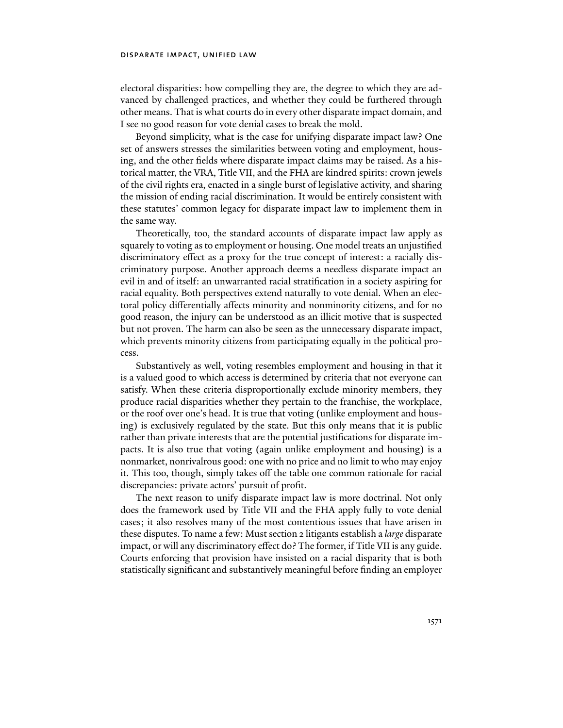electoral disparities: how compelling they are, the degree to which they are advanced by challenged practices, and whether they could be furthered through other means. That is what courts do in every other disparate impact domain, and I see no good reason for vote denial cases to break the mold.

Beyond simplicity, what is the case for unifying disparate impact law? One set of answers stresses the similarities between voting and employment, housing, and the other fields where disparate impact claims may be raised. As a historical matter, the VRA, Title VII, and the FHA are kindred spirits: crown jewels of the civil rights era, enacted in a single burst of legislative activity, and sharing the mission of ending racial discrimination. It would be entirely consistent with these statutes' common legacy for disparate impact law to implement them in the same way.

Theoretically, too, the standard accounts of disparate impact law apply as squarely to voting as to employment or housing. One model treats an unjustified discriminatory effect as a proxy for the true concept of interest: a racially discriminatory purpose. Another approach deems a needless disparate impact an evil in and of itself: an unwarranted racial stratification in a society aspiring for racial equality. Both perspectives extend naturally to vote denial. When an electoral policy differentially affects minority and nonminority citizens, and for no good reason, the injury can be understood as an illicit motive that is suspected but not proven. The harm can also be seen as the unnecessary disparate impact, which prevents minority citizens from participating equally in the political process.

Substantively as well, voting resembles employment and housing in that it is a valued good to which access is determined by criteria that not everyone can satisfy. When these criteria disproportionally exclude minority members, they produce racial disparities whether they pertain to the franchise, the workplace, or the roof over one's head. It is true that voting (unlike employment and housing) is exclusively regulated by the state. But this only means that it is public rather than private interests that are the potential justifications for disparate impacts. It is also true that voting (again unlike employment and housing) is a nonmarket, nonrivalrous good: one with no price and no limit to who may enjoy it. This too, though, simply takes off the table one common rationale for racial discrepancies: private actors' pursuit of profit.

The next reason to unify disparate impact law is more doctrinal. Not only does the framework used by Title VII and the FHA apply fully to vote denial cases; it also resolves many of the most contentious issues that have arisen in these disputes. To name a few: Must section 2 litigants establish a *large* disparate impact, or will any discriminatory effect do? The former, if Title VII is any guide. Courts enforcing that provision have insisted on a racial disparity that is both statistically significant and substantively meaningful before finding an employer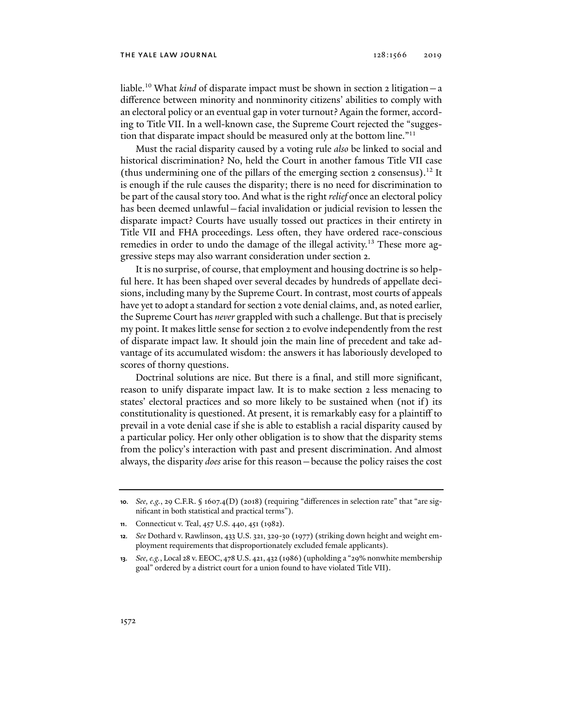liable.10 What *kind* of disparate impact must be shown in section 2 litigation—a difference between minority and nonminority citizens' abilities to comply with an electoral policy or an eventual gap in voter turnout? Again the former, according to Title VII. In a well-known case, the Supreme Court rejected the "suggestion that disparate impact should be measured only at the bottom line."<sup>11</sup>

Must the racial disparity caused by a voting rule *also* be linked to social and historical discrimination? No, held the Court in another famous Title VII case (thus undermining one of the pillars of the emerging section 2 consensus).<sup>12</sup> It is enough if the rule causes the disparity; there is no need for discrimination to be part of the causal story too. And what is the right *relief* once an electoral policy has been deemed unlawful—facial invalidation or judicial revision to lessen the disparate impact? Courts have usually tossed out practices in their entirety in Title VII and FHA proceedings. Less often, they have ordered race-conscious remedies in order to undo the damage of the illegal activity.<sup>13</sup> These more aggressive steps may also warrant consideration under section 2.

It is no surprise, of course, that employment and housing doctrine is so helpful here. It has been shaped over several decades by hundreds of appellate decisions, including many by the Supreme Court. In contrast, most courts of appeals have yet to adopt a standard for section 2 vote denial claims, and, as noted earlier, the Supreme Court has *never* grappled with such a challenge. But that is precisely my point. It makes little sense for section 2 to evolve independently from the rest of disparate impact law. It should join the main line of precedent and take advantage of its accumulated wisdom: the answers it has laboriously developed to scores of thorny questions.

Doctrinal solutions are nice. But there is a final, and still more significant, reason to unify disparate impact law. It is to make section 2 less menacing to states' electoral practices and so more likely to be sustained when (not if) its constitutionality is questioned. At present, it is remarkably easy for a plaintiff to prevail in a vote denial case if she is able to establish a racial disparity caused by a particular policy. Her only other obligation is to show that the disparity stems from the policy's interaction with past and present discrimination. And almost always, the disparity *does* arise for this reason—because the policy raises the cost

**<sup>10</sup>***. See, e.g.*, 29 C.F.R. § 1607.4(D) (2018) (requiring "differences in selection rate" that "are significant in both statistical and practical terms").

**<sup>11</sup>**. Connecticut v. Teal, 457 U.S. 440, 451 (1982).

**<sup>12</sup>***. See* Dothard v. Rawlinson, 433 U.S. 321, 329-30 (1977) (striking down height and weight employment requirements that disproportionately excluded female applicants).

**<sup>13</sup>***. See, e.g.*, Local 28 v. EEOC, 478 U.S. 421, 432 (1986) (upholding a "29% nonwhite membership goal" ordered by a district court for a union found to have violated Title VII).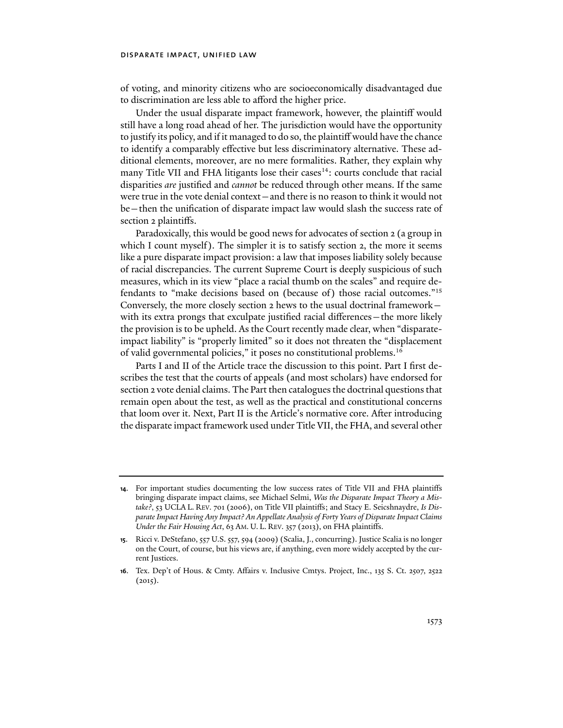of voting, and minority citizens who are socioeconomically disadvantaged due to discrimination are less able to afford the higher price.

Under the usual disparate impact framework, however, the plaintiff would still have a long road ahead of her. The jurisdiction would have the opportunity to justify its policy, and if it managed to do so, the plaintiff would have the chance to identify a comparably effective but less discriminatory alternative. These additional elements, moreover, are no mere formalities. Rather, they explain why many Title VII and FHA litigants lose their cases<sup>14</sup>: courts conclude that racial disparities *are* justified and *cannot* be reduced through other means. If the same were true in the vote denial context—and there is no reason to think it would not be—then the unification of disparate impact law would slash the success rate of section 2 plaintiffs.

Paradoxically, this would be good news for advocates of section 2 (a group in which I count myself). The simpler it is to satisfy section 2, the more it seems like a pure disparate impact provision: a law that imposes liability solely because of racial discrepancies. The current Supreme Court is deeply suspicious of such measures, which in its view "place a racial thumb on the scales" and require defendants to "make decisions based on (because of) those racial outcomes."15 Conversely, the more closely section 2 hews to the usual doctrinal framework with its extra prongs that exculpate justified racial differences - the more likely the provision is to be upheld. As the Court recently made clear, when "disparateimpact liability" is "properly limited" so it does not threaten the "displacement of valid governmental policies," it poses no constitutional problems.16

Parts I and II of the Article trace the discussion to this point. Part I first describes the test that the courts of appeals (and most scholars) have endorsed for section 2 vote denial claims. The Part then catalogues the doctrinal questions that remain open about the test, as well as the practical and constitutional concerns that loom over it. Next, Part II is the Article's normative core. After introducing the disparate impact framework used under Title VII, the FHA, and several other

**<sup>14</sup>**. For important studies documenting the low success rates of Title VII and FHA plaintiffs bringing disparate impact claims, see Michael Selmi, *Was the Disparate Impact Theory a Mistake?*, 53 UCLA L. REV. 701 (2006), on Title VII plaintiffs; and Stacy E. Seicshnaydre, *Is Disparate Impact Having Any Impact? An Appellate Analysis of Forty Years of Disparate Impact Claims Under the Fair Housing Act*, 63 AM. U. L. REV. 357 (2013), on FHA plaintiffs.

**<sup>15</sup>**. Ricci v. DeStefano, 557 U.S. 557, 594 (2009) (Scalia, J., concurring). Justice Scalia is no longer on the Court, of course, but his views are, if anything, even more widely accepted by the current Justices.

**<sup>16</sup>**. Tex. Dep't of Hous. & Cmty. Affairs v. Inclusive Cmtys. Project, Inc., 135 S. Ct. 2507, 2522  $(2015).$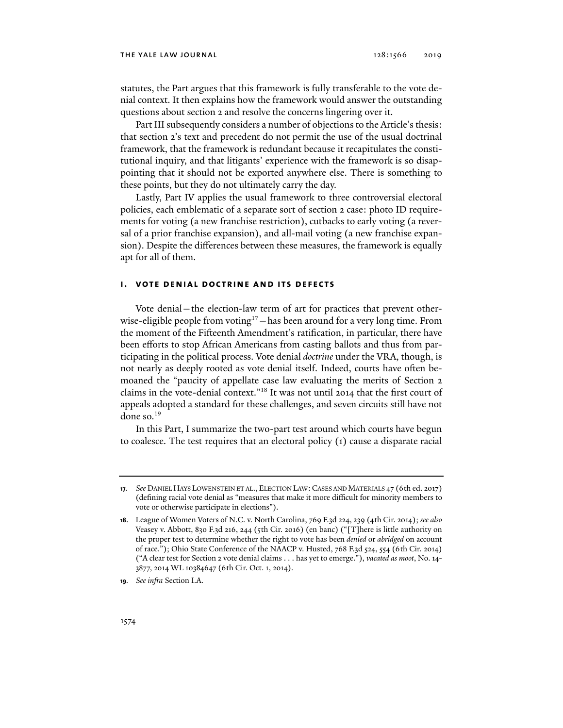statutes, the Part argues that this framework is fully transferable to the vote denial context. It then explains how the framework would answer the outstanding questions about section 2 and resolve the concerns lingering over it.

Part III subsequently considers a number of objections to the Article's thesis: that section 2's text and precedent do not permit the use of the usual doctrinal framework, that the framework is redundant because it recapitulates the constitutional inquiry, and that litigants' experience with the framework is so disappointing that it should not be exported anywhere else. There is something to these points, but they do not ultimately carry the day.

Lastly, Part IV applies the usual framework to three controversial electoral policies, each emblematic of a separate sort of section 2 case: photo ID requirements for voting (a new franchise restriction), cutbacks to early voting (a reversal of a prior franchise expansion), and all-mail voting (a new franchise expansion). Despite the differences between these measures, the framework is equally apt for all of them.

# **i. vote denial doctrine and its defects**

Vote denial—the election-law term of art for practices that prevent otherwise-eligible people from voting<sup>17</sup>—has been around for a very long time. From the moment of the Fifteenth Amendment's ratification, in particular, there have been efforts to stop African Americans from casting ballots and thus from participating in the political process. Vote denial *doctrine* under the VRA, though, is not nearly as deeply rooted as vote denial itself. Indeed, courts have often bemoaned the "paucity of appellate case law evaluating the merits of Section 2 claims in the vote-denial context."18 It was not until 2014 that the first court of appeals adopted a standard for these challenges, and seven circuits still have not done so.<sup>19</sup>

In this Part, I summarize the two-part test around which courts have begun to coalesce. The test requires that an electoral policy (1) cause a disparate racial

**<sup>17</sup>***. See* DANIEL HAYS LOWENSTEIN ET AL., ELECTION LAW:CASES AND MATERIALS 47 (6th ed. 2017) (defining racial vote denial as "measures that make it more difficult for minority members to vote or otherwise participate in elections").

**<sup>18</sup>**. League of Women Voters of N.C. v. North Carolina, 769 F.3d 224, 239 (4th Cir. 2014); *see also* Veasey v. Abbott, 830 F.3d 216, 244 (5th Cir. 2016) (en banc) ("[T]here is little authority on the proper test to determine whether the right to vote has been *denied* or *abridged* on account of race."); Ohio State Conference of the NAACP v. Husted, 768 F.3d 524, 554 (6th Cir. 2014) ("A clear test for Section 2 vote denial claims . . . has yet to emerge."), *vacated as moot*, No. 14- 3877, 2014 WL 10384647 (6th Cir. Oct. 1, 2014).

**<sup>19</sup>***. See infra* Section I.A.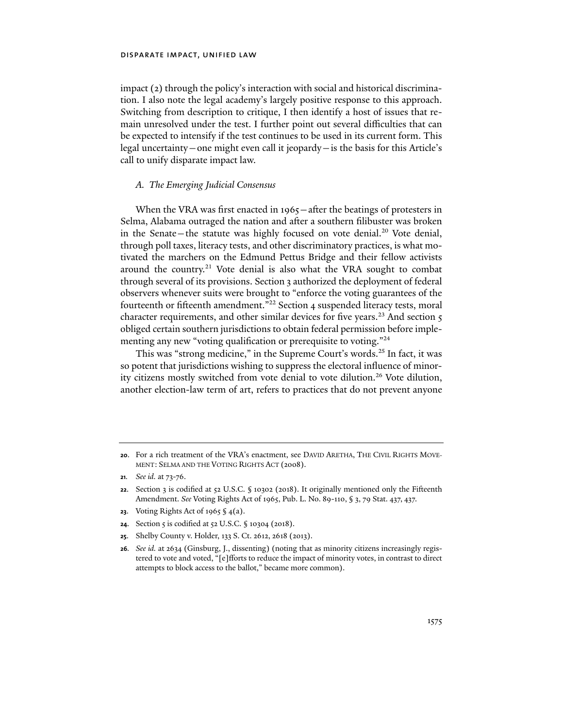impact (2) through the policy's interaction with social and historical discrimination. I also note the legal academy's largely positive response to this approach. Switching from description to critique, I then identify a host of issues that remain unresolved under the test. I further point out several difficulties that can be expected to intensify if the test continues to be used in its current form. This legal uncertainty—one might even call it jeopardy—is the basis for this Article's call to unify disparate impact law.

# *A. The Emerging Judicial Consensus*

When the VRA was first enacted in 1965 – after the beatings of protesters in Selma, Alabama outraged the nation and after a southern filibuster was broken in the Senate—the statute was highly focused on vote denial.<sup>20</sup> Vote denial, through poll taxes, literacy tests, and other discriminatory practices, is what motivated the marchers on the Edmund Pettus Bridge and their fellow activists around the country.<sup>21</sup> Vote denial is also what the VRA sought to combat through several of its provisions. Section 3 authorized the deployment of federal observers whenever suits were brought to "enforce the voting guarantees of the fourteenth or fifteenth amendment.<sup>"22</sup> Section 4 suspended literacy tests, moral character requirements, and other similar devices for five years.<sup>23</sup> And section 5 obliged certain southern jurisdictions to obtain federal permission before implementing any new "voting qualification or prerequisite to voting."<sup>24</sup>

This was "strong medicine," in the Supreme Court's words.<sup>25</sup> In fact, it was so potent that jurisdictions wishing to suppress the electoral influence of minority citizens mostly switched from vote denial to vote dilution.<sup>26</sup> Vote dilution, another election-law term of art, refers to practices that do not prevent anyone

- **23**. Voting Rights Act of 1965 § 4(a).
- **24.** Section 5 is codified at 52 U.S.C. § 10304 (2018).
- **25**. Shelby County v. Holder, 133 S. Ct. 2612, 2618 (2013).
- **26***. See id.* at 2634 (Ginsburg, J., dissenting) (noting that as minority citizens increasingly registered to vote and voted, "[e]fforts to reduce the impact of minority votes, in contrast to direct attempts to block access to the ballot," became more common).

**<sup>20</sup>**. For a rich treatment of the VRA's enactment, see DAVID ARETHA, THE CIVIL RIGHTS MOVE-MENT: SELMA AND THE VOTING RIGHTS ACT (2008).

**<sup>21</sup>***. See id.* at 73-76.

**<sup>22</sup>**. Section 3 is codified at 52 U.S.C. § 10302 (2018). It originally mentioned only the Fifteenth Amendment. *See* Voting Rights Act of 1965, Pub. L. No. 89-110, § 3, 79 Stat. 437, 437.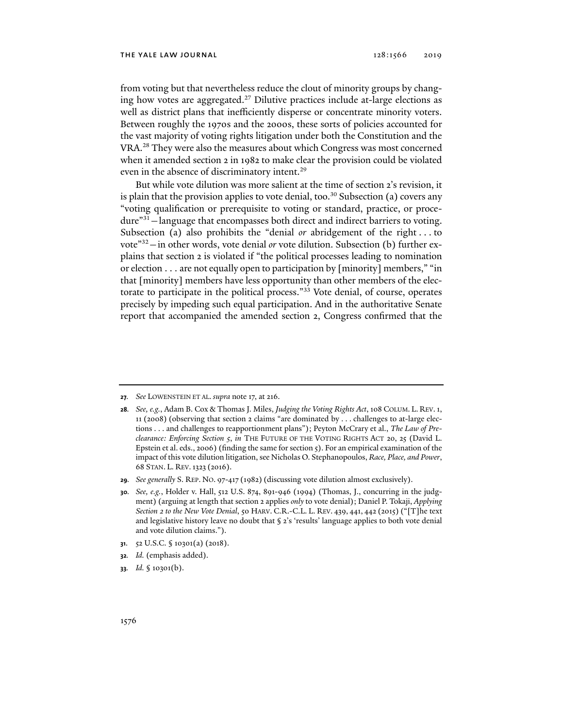from voting but that nevertheless reduce the clout of minority groups by changing how votes are aggregated.<sup>27</sup> Dilutive practices include at-large elections as well as district plans that inefficiently disperse or concentrate minority voters. Between roughly the 1970s and the 2000s, these sorts of policies accounted for the vast majority of voting rights litigation under both the Constitution and the VRA.28 They were also the measures about which Congress was most concerned when it amended section 2 in 1982 to make clear the provision could be violated even in the absence of discriminatory intent.<sup>29</sup>

But while vote dilution was more salient at the time of section 2's revision, it is plain that the provision applies to vote denial, too.<sup>30</sup> Subsection (a) covers any "voting qualification or prerequisite to voting or standard, practice, or procedure"<sup>31</sup> - language that encompasses both direct and indirect barriers to voting. Subsection (a) also prohibits the "denial *or* abridgement of the right . . . to vote"32—in other words, vote denial *or* vote dilution. Subsection (b) further explains that section 2 is violated if "the political processes leading to nomination or election . . . are not equally open to participation by [minority] members," "in that [minority] members have less opportunity than other members of the electorate to participate in the political process."33 Vote denial, of course, operates precisely by impeding such equal participation. And in the authoritative Senate report that accompanied the amended section 2, Congress confirmed that the

- **31**. 52 U.S.C. § 10301(a) (2018).
- **32***. Id.* (emphasis added).
- **33***. Id.* § 10301(b).

**<sup>27</sup>***. See* LOWENSTEIN ET AL. *supra* note 17, at 216.

**<sup>28</sup>***. See, e.g.*, Adam B. Cox & Thomas J. Miles, *Judging the Voting Rights Act*, 108 COLUM. L. REV.1, 11 (2008) (observing that section 2 claims "are dominated by . . . challenges to at-large elections . . . and challenges to reapportionment plans"); Peyton McCrary et al., *The Law of Preclearance: Enforcing Section 5*, *in* THE FUTURE OF THE VOTING RIGHTS ACT 20, 25 (David L. Epstein et al. eds., 2006) (finding the same for section 5). For an empirical examination of the impact of this vote dilution litigation, see Nicholas O. Stephanopoulos, *Race, Place, and Power*, 68 STAN. L. REV.1323 (2016).

**<sup>29</sup>***. See generally* S. REP. NO. 97-417 (1982) (discussing vote dilution almost exclusively).

**<sup>30</sup>***. See, e.g.*, Holder v. Hall, 512 U.S. 874, 891-946 (1994) (Thomas, J., concurring in the judgment) (arguing at length that section 2 applies *only* to vote denial); Daniel P. Tokaji, *Applying Section 2 to the New Vote Denial*, 50 HARV. C.R.-C.L. L. REV. 439, 441, 442 (2015) ("[T]he text and legislative history leave no doubt that § 2's 'results' language applies to both vote denial and vote dilution claims.").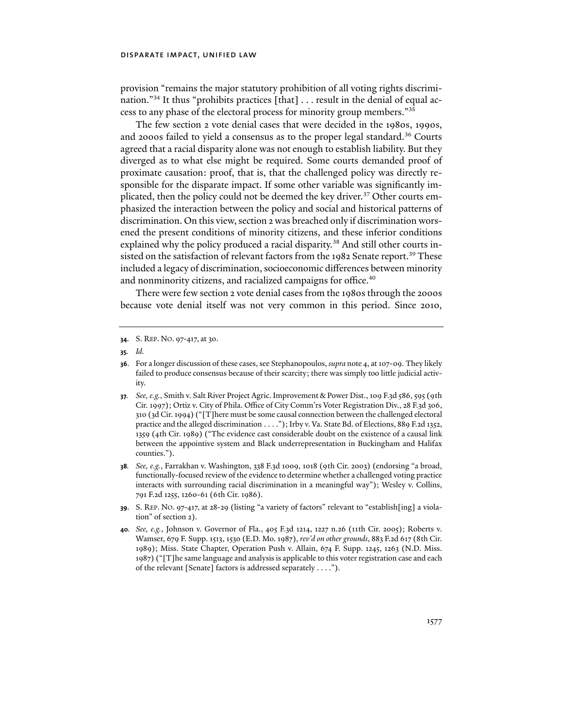provision "remains the major statutory prohibition of all voting rights discrimination."<sup>34</sup> It thus "prohibits practices [that]  $\ldots$  result in the denial of equal access to any phase of the electoral process for minority group members."35

The few section 2 vote denial cases that were decided in the 1980s, 1990s, and 2000s failed to yield a consensus as to the proper legal standard.36 Courts agreed that a racial disparity alone was not enough to establish liability. But they diverged as to what else might be required. Some courts demanded proof of proximate causation: proof, that is, that the challenged policy was directly responsible for the disparate impact. If some other variable was significantly implicated, then the policy could not be deemed the key driver.<sup>37</sup> Other courts emphasized the interaction between the policy and social and historical patterns of discrimination. On this view, section 2 was breached only if discrimination worsened the present conditions of minority citizens, and these inferior conditions explained why the policy produced a racial disparity.<sup>38</sup> And still other courts insisted on the satisfaction of relevant factors from the 1982 Senate report.<sup>39</sup> These included a legacy of discrimination, socioeconomic differences between minority and nonminority citizens, and racialized campaigns for office.<sup>40</sup>

There were few section 2 vote denial cases from the 1980s through the 2000s because vote denial itself was not very common in this period. Since 2010,

**<sup>34</sup>**. S. REP. NO. 97-417, at 30.

**<sup>35</sup>***. Id.*

**<sup>36</sup>**. For a longer discussion of these cases, see Stephanopoulos, *supra* note 4, at 107-09. They likely failed to produce consensus because of their scarcity; there was simply too little judicial activity.

**<sup>37</sup>***. See, e.g.*, Smith v. Salt River Project Agric. Improvement & Power Dist., 109 F.3d 586, 595 (9th Cir. 1997); Ortiz v. City of Phila. Office of City Comm'rs Voter Registration Div., 28 F.3d 306, 310 (3d Cir. 1994) ("[T]here must be some causal connection between the challenged electoral practice and the alleged discrimination . . . ."); Irby v. Va. State Bd. of Elections, 889 F.2d 1352, 1359 (4th Cir. 1989) ("The evidence cast considerable doubt on the existence of a causal link between the appointive system and Black underrepresentation in Buckingham and Halifax counties.").

**<sup>38</sup>***. See, e.g.*, Farrakhan v. Washington, 338 F.3d 1009, 1018 (9th Cir. 2003) (endorsing "a broad, functionally-focused review of the evidence to determine whether a challenged voting practice interacts with surrounding racial discrimination in a meaningful way"); Wesley v. Collins, 791 F.2d 1255, 1260-61 (6th Cir. 1986).

**<sup>39</sup>**. S. REP. NO. 97-417, at 28-29 (listing "a variety of factors" relevant to "establish[ing] a violation" of section 2).

**<sup>40</sup>***. See, e.g.*, Johnson v. Governor of Fla., 405 F.3d 1214, 1227 n.26 (11th Cir. 2005); Roberts v. Wamser, 679 F. Supp. 1513, 1530 (E.D. Mo. 1987), *rev'd on other grounds*, 883 F.2d 617 (8th Cir. 1989); Miss. State Chapter, Operation Push v. Allain, 674 F. Supp. 1245, 1263 (N.D. Miss. 1987) ("[T]he same language and analysis is applicable to this voter registration case and each of the relevant [Senate] factors is addressed separately . . . .").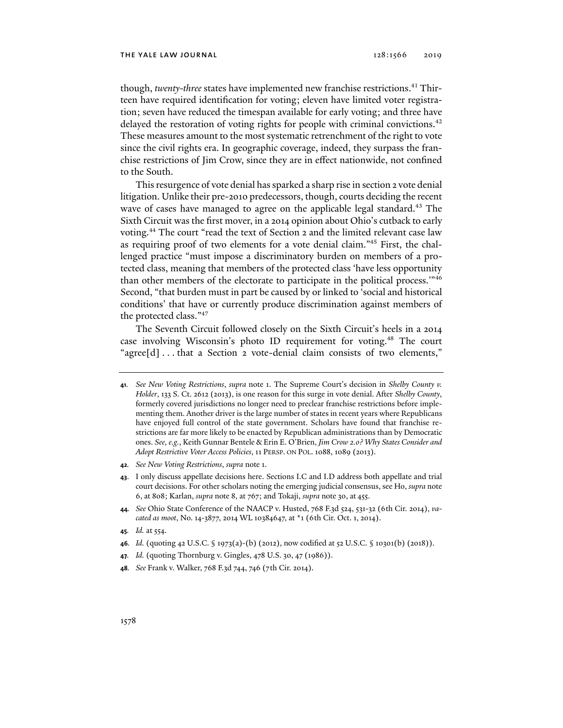though, *twenty-three* states have implemented new franchise restrictions.<sup>41</sup> Thirteen have required identification for voting; eleven have limited voter registration; seven have reduced the timespan available for early voting; and three have delayed the restoration of voting rights for people with criminal convictions.<sup>42</sup> These measures amount to the most systematic retrenchment of the right to vote since the civil rights era. In geographic coverage, indeed, they surpass the franchise restrictions of Jim Crow, since they are in effect nationwide, not confined to the South.

This resurgence of vote denial has sparked a sharp rise in section 2 vote denial litigation. Unlike their pre-2010 predecessors, though, courts deciding the recent wave of cases have managed to agree on the applicable legal standard.<sup>43</sup> The Sixth Circuit was the first mover, in a 2014 opinion about Ohio's cutback to early voting.44 The court "read the text of Section 2 and the limited relevant case law as requiring proof of two elements for a vote denial claim."45 First, the challenged practice "must impose a discriminatory burden on members of a protected class, meaning that members of the protected class 'have less opportunity than other members of the electorate to participate in the political process.'"46 Second, "that burden must in part be caused by or linked to 'social and historical conditions' that have or currently produce discrimination against members of the protected class."47

The Seventh Circuit followed closely on the Sixth Circuit's heels in a 2014 case involving Wisconsin's photo ID requirement for voting.48 The court "agree[d] . . . that a Section 2 vote-denial claim consists of two elements,"

**42***. See New Voting Restrictions*, *supra* note 1.

- **44***. See* Ohio State Conference of the NAACP v. Husted, 768 F.3d 524, 531-32 (6th Cir. 2014), *vacated as moot*, No. 14-3877, 2014 WL 10384647, at \*1 (6th Cir. Oct. 1, 2014).
- **45***. Id.* at 554.
- **46***. Id.* (quoting 42 U.S.C. § 1973(a)-(b) (2012), now codified at 52 U.S.C. § 10301(b) (2018)).
- **47***. Id.* (quoting Thornburg v. Gingles, 478 U.S. 30, 47 (1986)).
- **48***. See* Frank v. Walker, 768 F.3d 744, 746 (7th Cir. 2014).

**<sup>41</sup>***. See New Voting Restrictions*, *supra* note 1. The Supreme Court's decision in *Shelby County v. Holder*, 133 S. Ct. 2612 (2013), is one reason for this surge in vote denial. After *Shelby County*, formerly covered jurisdictions no longer need to preclear franchise restrictions before implementing them. Another driver is the large number of states in recent years where Republicans have enjoyed full control of the state government. Scholars have found that franchise restrictions are far more likely to be enacted by Republican administrations than by Democratic ones. *See, e.g.*, Keith Gunnar Bentele & Erin E. O'Brien, *Jim Crow 2.0? Why States Consider and Adopt Restrictive Voter Access Policies*, 11 PERSP. ON POL. 1088, 1089 (2013).

**<sup>43</sup>**. I only discuss appellate decisions here. Sections I.C and I.D address both appellate and trial court decisions. For other scholars noting the emerging judicial consensus, see Ho, *supra* note 6, at 808; Karlan, *supra* note 8, at 767; and Tokaji, *supra* note 30, at 455.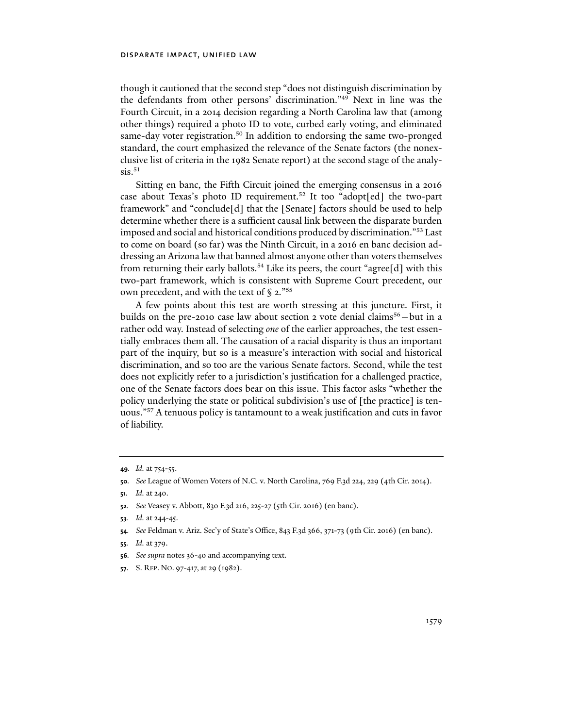though it cautioned that the second step "does not distinguish discrimination by the defendants from other persons' discrimination."49 Next in line was the Fourth Circuit, in a 2014 decision regarding a North Carolina law that (among other things) required a photo ID to vote, curbed early voting, and eliminated same-day voter registration.<sup>50</sup> In addition to endorsing the same two-pronged standard, the court emphasized the relevance of the Senate factors (the nonexclusive list of criteria in the 1982 Senate report) at the second stage of the analy $sis.^{51}$ 

Sitting en banc, the Fifth Circuit joined the emerging consensus in a 2016 case about Texas's photo ID requirement.<sup>52</sup> It too "adopt[ed] the two-part framework" and "conclude[d] that the [Senate] factors should be used to help determine whether there is a sufficient causal link between the disparate burden imposed and social and historical conditions produced by discrimination."53 Last to come on board (so far) was the Ninth Circuit, in a 2016 en banc decision addressing an Arizona law that banned almost anyone other than voters themselves from returning their early ballots.<sup>54</sup> Like its peers, the court "agree<sup>[d]</sup> with this two-part framework, which is consistent with Supreme Court precedent, our own precedent, and with the text of § 2."<sup>55</sup>

A few points about this test are worth stressing at this juncture. First, it builds on the pre-2010 case law about section 2 vote denial claims<sup>56</sup> – but in a rather odd way. Instead of selecting *one* of the earlier approaches, the test essentially embraces them all. The causation of a racial disparity is thus an important part of the inquiry, but so is a measure's interaction with social and historical discrimination, and so too are the various Senate factors. Second, while the test does not explicitly refer to a jurisdiction's justification for a challenged practice, one of the Senate factors does bear on this issue. This factor asks "whether the policy underlying the state or political subdivision's use of [the practice] is tenuous."57 A tenuous policy is tantamount to a weak justification and cuts in favor of liability.

- **54***. See* Feldman v. Ariz. Sec'y of State's Office, 843 F.3d 366, 371-73 (9th Cir. 2016) (en banc).
- **55***. Id.* at 379.
- **56***. See supra* notes 36-40 and accompanying text.
- **57**. S. REP. NO. 97-417, at 29 (1982).

**<sup>49</sup>***. Id.* at 754-55.

**<sup>50</sup>***. See* League of Women Voters of N.C. v. North Carolina, 769 F.3d 224, 229 (4th Cir. 2014).

**<sup>51</sup>***. Id.* at 240.

**<sup>52</sup>***. See* Veasey v. Abbott, 830 F.3d 216, 225-27 (5th Cir. 2016) (en banc).

**<sup>53</sup>***. Id.* at 244-45.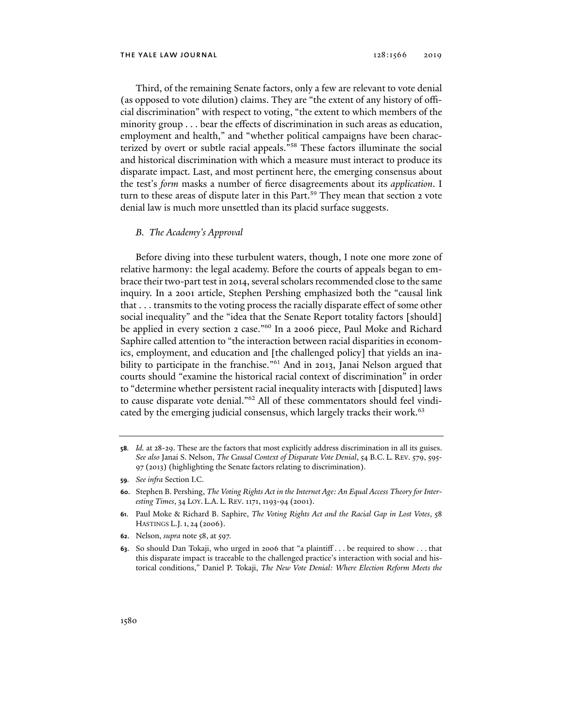Third, of the remaining Senate factors, only a few are relevant to vote denial (as opposed to vote dilution) claims. They are "the extent of any history of official discrimination" with respect to voting, "the extent to which members of the minority group . . . bear the effects of discrimination in such areas as education, employment and health," and "whether political campaigns have been characterized by overt or subtle racial appeals."58 These factors illuminate the social and historical discrimination with which a measure must interact to produce its disparate impact. Last, and most pertinent here, the emerging consensus about the test's *form* masks a number of fierce disagreements about its *application*. I turn to these areas of dispute later in this Part.<sup>59</sup> They mean that section 2 vote denial law is much more unsettled than its placid surface suggests.

# *B. The Academy's Approval*

Before diving into these turbulent waters, though, I note one more zone of relative harmony: the legal academy. Before the courts of appeals began to embrace their two-part test in 2014, several scholars recommended close to the same inquiry. In a 2001 article, Stephen Pershing emphasized both the "causal link that . . . transmits to the voting process the racially disparate effect of some other social inequality" and the "idea that the Senate Report totality factors [should] be applied in every section 2 case."<sup>60</sup> In a 2006 piece, Paul Moke and Richard Saphire called attention to "the interaction between racial disparities in economics, employment, and education and [the challenged policy] that yields an inability to participate in the franchise."<sup>61</sup> And in 2013, Janai Nelson argued that courts should "examine the historical racial context of discrimination" in order to "determine whether persistent racial inequality interacts with [disputed] laws to cause disparate vote denial."62 All of these commentators should feel vindicated by the emerging judicial consensus, which largely tracks their work.<sup>63</sup>

**59***. See infra* Section I.C.

- **62**. Nelson, *supra* note 58, at 597.
- **63**. So should Dan Tokaji, who urged in 2006 that "a plaintiff . . . be required to show . . . that this disparate impact is traceable to the challenged practice's interaction with social and historical conditions," Daniel P. Tokaji, *The New Vote Denial: Where Election Reform Meets the*

**<sup>58</sup>***. Id.* at 28-29. These are the factors that most explicitly address discrimination in all its guises. *See also* Janai S. Nelson, *The Causal Context of Disparate Vote Denial*, 54 B.C. L. REV. 579, 595- 97 (2013) (highlighting the Senate factors relating to discrimination).

**<sup>60</sup>**. Stephen B. Pershing, *The Voting Rights Act in the Internet Age: An Equal Access Theory for Interesting Times*, 34 LOY. L.A. L. REV. 1171, 1193-94 (2001).

**<sup>61</sup>**. Paul Moke & Richard B. Saphire, *The Voting Rights Act and the Racial Gap in Lost Votes*, 58 HASTINGS L.J.1, 24 (2006).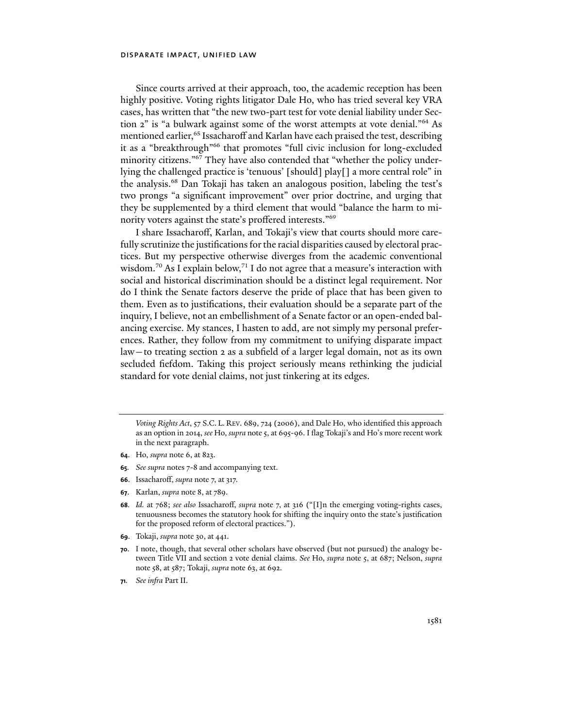Since courts arrived at their approach, too, the academic reception has been highly positive. Voting rights litigator Dale Ho, who has tried several key VRA cases, has written that "the new two-part test for vote denial liability under Section 2" is "a bulwark against some of the worst attempts at vote denial."<sup>64</sup> As mentioned earlier,<sup>65</sup> Issacharoff and Karlan have each praised the test, describing it as a "breakthrough"66 that promotes "full civic inclusion for long-excluded minority citizens."67 They have also contended that "whether the policy underlying the challenged practice is 'tenuous' [should] play[] a more central role" in the analysis.68 Dan Tokaji has taken an analogous position, labeling the test's two prongs "a significant improvement" over prior doctrine, and urging that they be supplemented by a third element that would "balance the harm to minority voters against the state's proffered interests."69

I share Issacharoff, Karlan, and Tokaji's view that courts should more carefully scrutinize the justifications for the racial disparities caused by electoral practices. But my perspective otherwise diverges from the academic conventional wisdom.<sup>70</sup> As I explain below,<sup>71</sup> I do not agree that a measure's interaction with social and historical discrimination should be a distinct legal requirement. Nor do I think the Senate factors deserve the pride of place that has been given to them. Even as to justifications, their evaluation should be a separate part of the inquiry, I believe, not an embellishment of a Senate factor or an open-ended balancing exercise. My stances, I hasten to add, are not simply my personal preferences. Rather, they follow from my commitment to unifying disparate impact law—to treating section 2 as a subfield of a larger legal domain, not as its own secluded fiefdom. Taking this project seriously means rethinking the judicial standard for vote denial claims, not just tinkering at its edges.

- **64**. Ho, *supra* note 6, at 823.
- **65***. See supra* notes 7-8 and accompanying text.
- **66**. Issacharoff, *supra* note 7, at 317.
- **67**. Karlan, *supra* note 8, at 789.
- **68***. Id.* at 768; *see also* Issacharoff, *supra* note 7, at 316 ("[I]n the emerging voting-rights cases, tenuousness becomes the statutory hook for shifting the inquiry onto the state's justification for the proposed reform of electoral practices.").
- **69**. Tokaji, *supra* note 30, at 441.
- **70**. I note, though, that several other scholars have observed (but not pursued) the analogy between Title VII and section 2 vote denial claims. *See* Ho, *supra* note 5, at 687; Nelson, *supra* note 58, at 587; Tokaji, *supra* note 63, at 692.
- **71***. See infra* Part II.

*Voting Rights Act*, 57 S.C. L. REV. 689, 724 (2006), and Dale Ho, who identified this approach as an option in 2014, *see* Ho, *supra* note 5, at 695-96. I flag Tokaji's and Ho's more recent work in the next paragraph.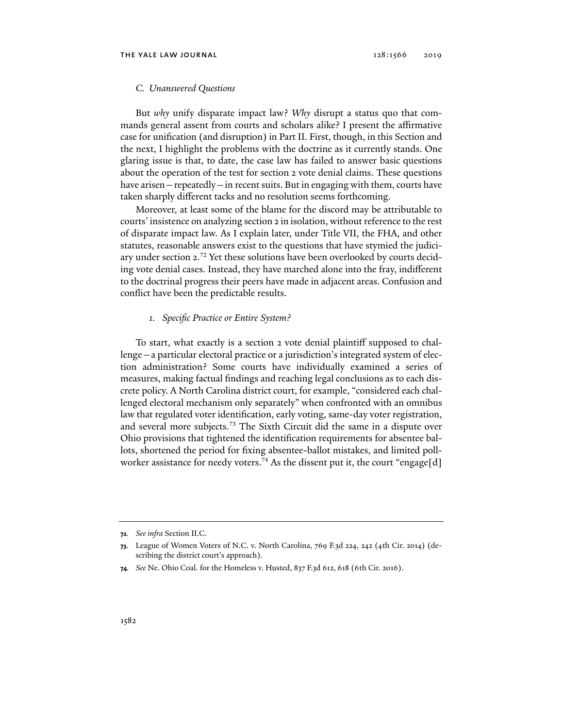#### *C. Unanswered Questions*

But *why* unify disparate impact law? *Why* disrupt a status quo that commands general assent from courts and scholars alike? I present the affirmative case for unification (and disruption) in Part II. First, though, in this Section and the next, I highlight the problems with the doctrine as it currently stands. One glaring issue is that, to date, the case law has failed to answer basic questions about the operation of the test for section 2 vote denial claims. These questions have arisen — repeatedly—in recent suits. But in engaging with them, courts have taken sharply different tacks and no resolution seems forthcoming.

Moreover, at least some of the blame for the discord may be attributable to courts' insistence on analyzing section 2 in isolation, without reference to the rest of disparate impact law. As I explain later, under Title VII, the FHA, and other statutes, reasonable answers exist to the questions that have stymied the judiciary under section 2.<sup>72</sup> Yet these solutions have been overlooked by courts deciding vote denial cases. Instead, they have marched alone into the fray, indifferent to the doctrinal progress their peers have made in adjacent areas. Confusion and conflict have been the predictable results.

# *1. Specific Practice or Entire System?*

To start, what exactly is a section 2 vote denial plaintiff supposed to challenge—a particular electoral practice or a jurisdiction's integrated system of election administration? Some courts have individually examined a series of measures, making factual findings and reaching legal conclusions as to each discrete policy. A North Carolina district court, for example, "considered each challenged electoral mechanism only separately" when confronted with an omnibus law that regulated voter identification, early voting, same-day voter registration, and several more subjects.73 The Sixth Circuit did the same in a dispute over Ohio provisions that tightened the identification requirements for absentee ballots, shortened the period for fixing absentee-ballot mistakes, and limited pollworker assistance for needy voters.<sup>74</sup> As the dissent put it, the court "engage[d]

**<sup>72</sup>***. See infra* Section II.C.

**<sup>73</sup>**. League of Women Voters of N.C. v. North Carolina, 769 F.3d 224, 242 (4th Cir. 2014) (describing the district court's approach).

**<sup>74</sup>***. See* Ne. Ohio Coal. for the Homeless v. Husted, 837 F.3d 612, 618 (6th Cir. 2016).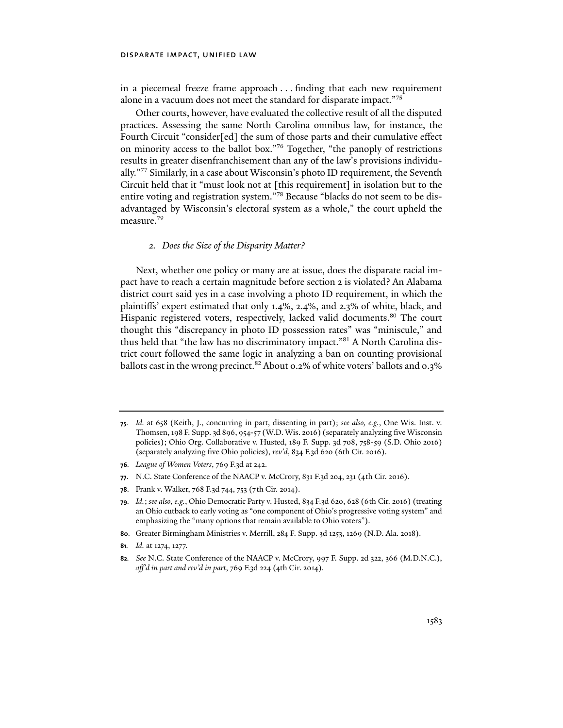in a piecemeal freeze frame approach . . . finding that each new requirement alone in a vacuum does not meet the standard for disparate impact."75

Other courts, however, have evaluated the collective result of all the disputed practices. Assessing the same North Carolina omnibus law, for instance, the Fourth Circuit "consider[ed] the sum of those parts and their cumulative effect on minority access to the ballot box."76 Together, "the panoply of restrictions results in greater disenfranchisement than any of the law's provisions individually."77 Similarly, in a case about Wisconsin's photo ID requirement, the Seventh Circuit held that it "must look not at [this requirement] in isolation but to the entire voting and registration system."78 Because "blacks do not seem to be disadvantaged by Wisconsin's electoral system as a whole," the court upheld the measure.<sup>79</sup>

# *2. Does the Size of the Disparity Matter?*

Next, whether one policy or many are at issue, does the disparate racial impact have to reach a certain magnitude before section 2 is violated? An Alabama district court said yes in a case involving a photo ID requirement, in which the plaintiffs' expert estimated that only 1.4%, 2.4%, and 2.3% of white, black, and Hispanic registered voters, respectively, lacked valid documents.<sup>80</sup> The court thought this "discrepancy in photo ID possession rates" was "miniscule," and thus held that "the law has no discriminatory impact."81 A North Carolina district court followed the same logic in analyzing a ban on counting provisional ballots cast in the wrong precinct.<sup>82</sup> About 0.2% of white voters' ballots and 0.3%

- **76***. League of Women Voters*, 769 F.3d at 242.
- **77**. N.C. State Conference of the NAACP v. McCrory, 831 F.3d 204, 231 (4th Cir. 2016).
- **78**. Frank v. Walker, 768 F.3d 744, 753 (7th Cir. 2014).
- **79***. Id.*; *see also, e.g.*, Ohio Democratic Party v. Husted, 834 F.3d 620, 628 (6th Cir. 2016) (treating an Ohio cutback to early voting as "one component of Ohio's progressive voting system" and emphasizing the "many options that remain available to Ohio voters").
- **80**. Greater Birmingham Ministries v. Merrill, 284 F. Supp. 3d 1253, 1269 (N.D. Ala. 2018).
- **81***. Id.* at 1274, 1277.
- **82***. See* N.C. State Conference of the NAACP v. McCrory, 997 F. Supp. 2d 322, 366 (M.D.N.C.), *aff'd in part and rev'd in part*, 769 F.3d 224 (4th Cir. 2014).

**<sup>75</sup>***. Id.* at 658 (Keith, J., concurring in part, dissenting in part); *see also, e.g.*, One Wis. Inst. v. Thomsen, 198 F. Supp. 3d 896, 954-57 (W.D. Wis. 2016) (separately analyzing five Wisconsin policies); Ohio Org. Collaborative v. Husted, 189 F. Supp. 3d 708, 758-59 (S.D. Ohio 2016) (separately analyzing five Ohio policies), *rev'd*, 834 F.3d 620 (6th Cir. 2016).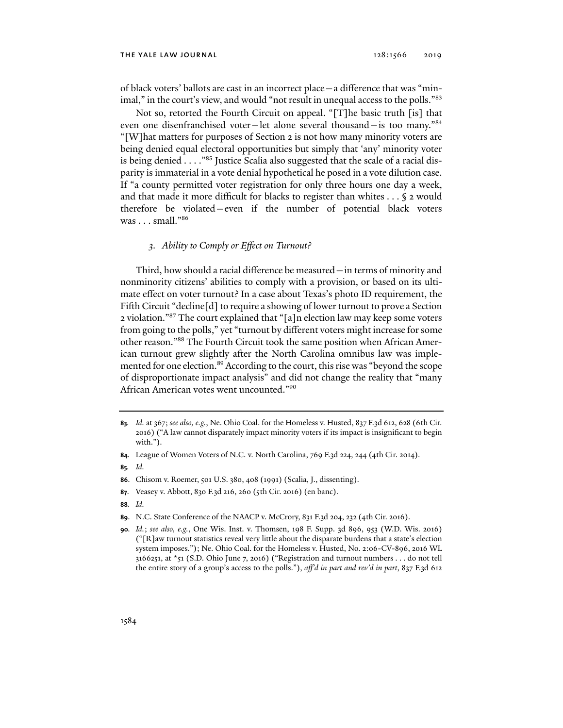of black voters' ballots are cast in an incorrect place—a difference that was "minimal," in the court's view, and would "not result in unequal access to the polls."83

Not so, retorted the Fourth Circuit on appeal. "[T]he basic truth [is] that even one disenfranchised voter—let alone several thousand—is too many."84 "[W]hat matters for purposes of Section 2 is not how many minority voters are being denied equal electoral opportunities but simply that 'any' minority voter is being denied . . . . "85 Justice Scalia also suggested that the scale of a racial disparity is immaterial in a vote denial hypothetical he posed in a vote dilution case. If "a county permitted voter registration for only three hours one day a week, and that made it more difficult for blacks to register than whites . . . § 2 would therefore be violated—even if the number of potential black voters was  $\ldots$  small."<sup>86</sup>

# *3. Ability to Comply or Effect on Turnout?*

Third, how should a racial difference be measured—in terms of minority and nonminority citizens' abilities to comply with a provision, or based on its ultimate effect on voter turnout? In a case about Texas's photo ID requirement, the Fifth Circuit "decline[d] to require a showing of lower turnout to prove a Section 2 violation."87 The court explained that "[a]n election law may keep some voters from going to the polls," yet "turnout by different voters might increase for some other reason."88 The Fourth Circuit took the same position when African American turnout grew slightly after the North Carolina omnibus law was implemented for one election.<sup>89</sup> According to the court, this rise was "beyond the scope of disproportionate impact analysis" and did not change the reality that "many African American votes went uncounted."90

- **85***. Id.*
- **86**. Chisom v. Roemer, 501 U.S. 380, 408 (1991) (Scalia, J., dissenting).
- **87**. Veasey v. Abbott, 830 F.3d 216, 260 (5th Cir. 2016) (en banc).
- **88***. Id.*
- **89**. N.C. State Conference of the NAACP v. McCrory, 831 F.3d 204, 232 (4th Cir. 2016).

**<sup>83</sup>***. Id.* at 367; *see also, e.g.*, Ne. Ohio Coal. for the Homeless v. Husted, 837 F.3d 612, 628 (6th Cir. 2016) ("A law cannot disparately impact minority voters if its impact is insignificant to begin with.").

**<sup>84</sup>**. League of Women Voters of N.C. v. North Carolina, 769 F.3d 224, 244 (4th Cir. 2014).

**<sup>90</sup>***. Id.*; *see also, e.g.*, One Wis. Inst. v. Thomsen, 198 F. Supp. 3d 896, 953 (W.D. Wis. 2016) ("[R]aw turnout statistics reveal very little about the disparate burdens that a state's election system imposes."); Ne. Ohio Coal. for the Homeless v. Husted, No. 2:06-CV-896, 2016 WL 3166251, at  $\star$ 51 (S.D. Ohio June 7, 2016) ("Registration and turnout numbers . . . do not tell the entire story of a group's access to the polls."), *aff'd in part and rev'd in part*, 837 F.3d 612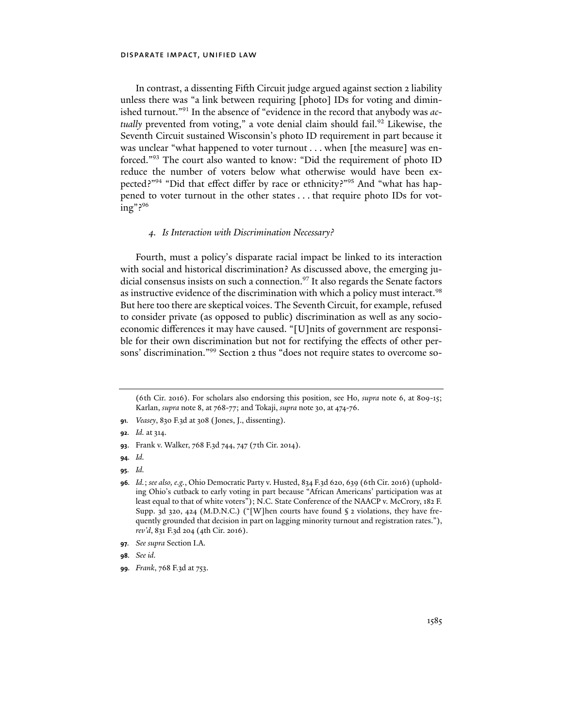In contrast, a dissenting Fifth Circuit judge argued against section 2 liability unless there was "a link between requiring [photo] IDs for voting and diminished turnout."91 In the absence of "evidence in the record that anybody was *actually* prevented from voting," a vote denial claim should fail.<sup>92</sup> Likewise, the Seventh Circuit sustained Wisconsin's photo ID requirement in part because it was unclear "what happened to voter turnout . . . when [the measure] was enforced."93 The court also wanted to know: "Did the requirement of photo ID reduce the number of voters below what otherwise would have been expected?"94 "Did that effect differ by race or ethnicity?"95 And "what has happened to voter turnout in the other states . . . that require photo IDs for voting"?96

# *4. Is Interaction with Discrimination Necessary?*

Fourth, must a policy's disparate racial impact be linked to its interaction with social and historical discrimination? As discussed above, the emerging judicial consensus insists on such a connection.<sup>97</sup> It also regards the Senate factors as instructive evidence of the discrimination with which a policy must interact.<sup>98</sup> But here too there are skeptical voices. The Seventh Circuit, for example, refused to consider private (as opposed to public) discrimination as well as any socioeconomic differences it may have caused. "[U]nits of government are responsible for their own discrimination but not for rectifying the effects of other persons' discrimination."99 Section 2 thus "does not require states to overcome so-

- **93**. Frank v. Walker, 768 F.3d 744, 747 (7th Cir. 2014).
- **94***. Id.*
- **95***. Id.*

<sup>(6</sup>th Cir. 2016). For scholars also endorsing this position, see Ho, *supra* note 6, at 809-15; Karlan, *supra* note 8, at 768-77; and Tokaji, *supra* note 30, at 474-76.

**<sup>91</sup>***. Veasey*, 830 F.3d at 308 (Jones, J., dissenting).

**<sup>92</sup>***. Id.* at 314.

**<sup>96</sup>***. Id.*; *see also, e.g.*, Ohio Democratic Party v. Husted, 834 F.3d 620, 639 (6th Cir. 2016) (upholding Ohio's cutback to early voting in part because "African Americans' participation was at least equal to that of white voters"); N.C. State Conference of the NAACP v. McCrory, 182 F. Supp. 3d 320, 424 (M.D.N.C.) ("[W]hen courts have found § 2 violations, they have frequently grounded that decision in part on lagging minority turnout and registration rates."), *rev'd*, 831 F.3d 204 (4th Cir. 2016).

**<sup>97</sup>***. See supra* Section I.A.

**<sup>98</sup>***. See id.*

**<sup>99</sup>***. Frank*, 768 F.3d at 753.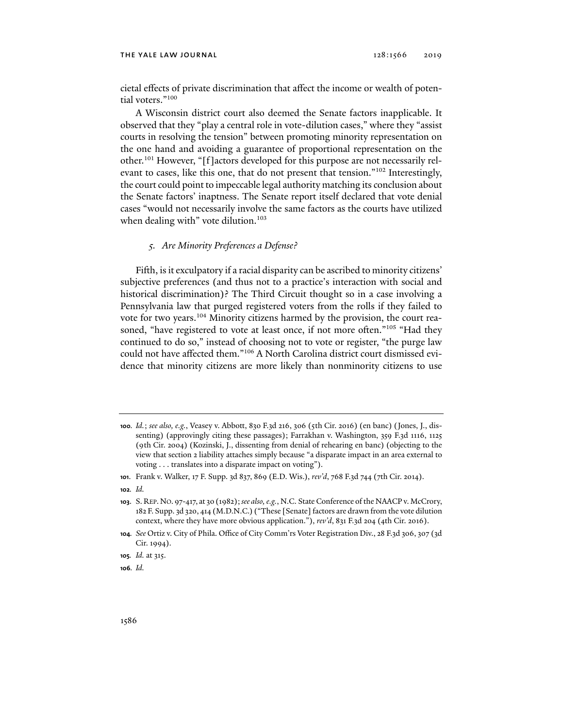#### THE YALE LAW JOURNAL 2019 2019 2019

cietal effects of private discrimination that affect the income or wealth of potential voters."100

A Wisconsin district court also deemed the Senate factors inapplicable. It observed that they "play a central role in vote-dilution cases," where they "assist courts in resolving the tension" between promoting minority representation on the one hand and avoiding a guarantee of proportional representation on the other.101 However, "[f]actors developed for this purpose are not necessarily relevant to cases, like this one, that do not present that tension."102 Interestingly, the court could point to impeccable legal authority matching its conclusion about the Senate factors' inaptness. The Senate report itself declared that vote denial cases "would not necessarily involve the same factors as the courts have utilized when dealing with" vote dilution. $103$ 

# *5. Are Minority Preferences a Defense?*

Fifth, is it exculpatory if a racial disparity can be ascribed to minority citizens' subjective preferences (and thus not to a practice's interaction with social and historical discrimination)? The Third Circuit thought so in a case involving a Pennsylvania law that purged registered voters from the rolls if they failed to vote for two years.<sup>104</sup> Minority citizens harmed by the provision, the court reasoned, "have registered to vote at least once, if not more often."<sup>105</sup> "Had they continued to do so," instead of choosing not to vote or register, "the purge law could not have affected them."106 A North Carolina district court dismissed evidence that minority citizens are more likely than nonminority citizens to use

**106***. Id.*

**<sup>100</sup>***. Id.*; *see also, e.g.*, Veasey v. Abbott, 830 F.3d 216, 306 (5th Cir. 2016) (en banc) (Jones, J., dissenting) (approvingly citing these passages); Farrakhan v. Washington, 359 F.3d 1116, 1125 (9th Cir. 2004) (Kozinski, J., dissenting from denial of rehearing en banc) (objecting to the view that section 2 liability attaches simply because "a disparate impact in an area external to voting . . . translates into a disparate impact on voting").

**<sup>101</sup>**. Frank v. Walker, 17 F. Supp. 3d 837, 869 (E.D. Wis.), *rev'd*, 768 F.3d 744 (7th Cir. 2014).

**<sup>102</sup>***. Id.*

**<sup>103</sup>**. S. REP.NO. 97-417, at 30 (1982);*see also, e.g.*, N.C. State Conference of the NAACP v. McCrory, 182 F. Supp. 3d 320, 414 (M.D.N.C.) ("These [Senate] factors are drawn from the vote dilution context, where they have more obvious application."), *rev'd*, 831 F.3d 204 (4th Cir. 2016).

**<sup>104</sup>***. See* Ortiz v. City of Phila. Office of City Comm'rs Voter Registration Div., 28 F.3d 306, 307 (3d Cir. 1994).

**<sup>105</sup>***. Id.* at 315.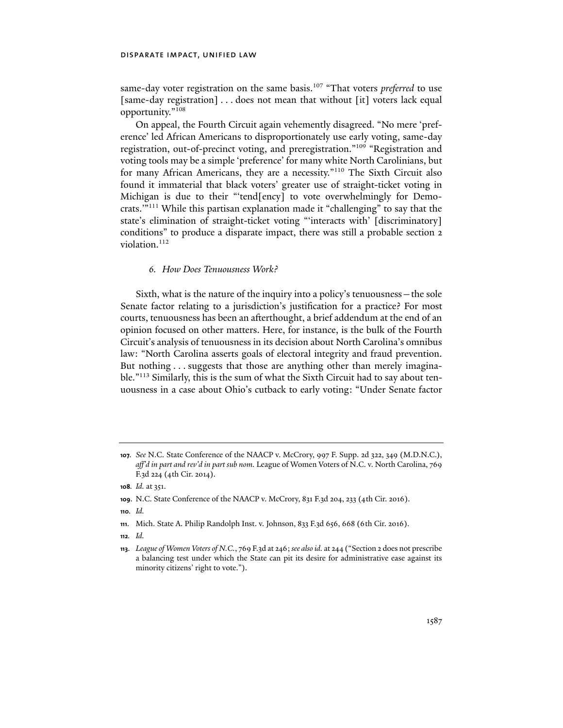same-day voter registration on the same basis.<sup>107</sup> "That voters *preferred* to use [same-day registration] . . . does not mean that without [it] voters lack equal opportunity."108

On appeal, the Fourth Circuit again vehemently disagreed. "No mere 'preference' led African Americans to disproportionately use early voting, same-day registration, out-of-precinct voting, and preregistration."109 "Registration and voting tools may be a simple 'preference' for many white North Carolinians, but for many African Americans, they are a necessity."110 The Sixth Circuit also found it immaterial that black voters' greater use of straight-ticket voting in Michigan is due to their "'tend[ency] to vote overwhelmingly for Democrats.'"111 While this partisan explanation made it "challenging" to say that the state's elimination of straight-ticket voting "'interacts with' [discriminatory] conditions" to produce a disparate impact, there was still a probable section 2 violation.<sup>112</sup>

# *6. How Does Tenuousness Work?*

Sixth, what is the nature of the inquiry into a policy's tenuousness—the sole Senate factor relating to a jurisdiction's justification for a practice? For most courts, tenuousness has been an afterthought, a brief addendum at the end of an opinion focused on other matters. Here, for instance, is the bulk of the Fourth Circuit's analysis of tenuousness in its decision about North Carolina's omnibus law: "North Carolina asserts goals of electoral integrity and fraud prevention. But nothing . . . suggests that those are anything other than merely imaginable."113 Similarly, this is the sum of what the Sixth Circuit had to say about tenuousness in a case about Ohio's cutback to early voting: "Under Senate factor

**112***. Id.*

**<sup>107</sup>***. See* N.C. State Conference of the NAACP v. McCrory, 997 F. Supp. 2d 322, 349 (M.D.N.C.), *aff'd in part and rev'd in part sub nom.* League of Women Voters of N.C. v. North Carolina, 769 F.3d 224 (4th Cir. 2014).

**<sup>108</sup>***. Id.* at 351.

**<sup>109</sup>**. N.C. State Conference of the NAACP v. McCrory, 831 F.3d 204, 233 (4th Cir. 2016).

**<sup>110</sup>***. Id.*

**<sup>111</sup>**. Mich. State A. Philip Randolph Inst. v. Johnson, 833 F.3d 656, 668 (6th Cir. 2016).

**<sup>113</sup>**. *League of Women Voters of N.C.*, 769 F.3d at 246; *see also id.* at 244 ("Section 2 does not prescribe a balancing test under which the State can pit its desire for administrative ease against its minority citizens' right to vote.").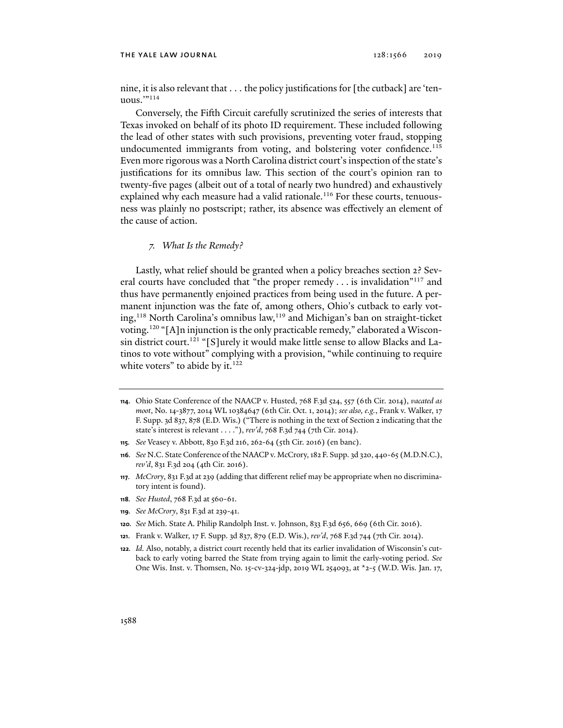#### THE YALE LAW JOURNAL 2019 2019 2019

nine, it is also relevant that . . . the policy justifications for [the cutback] are 'tenuous. $"$ <sup>114</sup>

Conversely, the Fifth Circuit carefully scrutinized the series of interests that Texas invoked on behalf of its photo ID requirement. These included following the lead of other states with such provisions, preventing voter fraud, stopping undocumented immigrants from voting, and bolstering voter confidence.<sup>115</sup> Even more rigorous was a North Carolina district court's inspection of the state's justifications for its omnibus law. This section of the court's opinion ran to twenty-five pages (albeit out of a total of nearly two hundred) and exhaustively explained why each measure had a valid rationale.<sup>116</sup> For these courts, tenuousness was plainly no postscript; rather, its absence was effectively an element of the cause of action.

# *7. What Is the Remedy?*

Lastly, what relief should be granted when a policy breaches section 2? Several courts have concluded that "the proper remedy . . . is invalidation"<sup>117</sup> and thus have permanently enjoined practices from being used in the future. A permanent injunction was the fate of, among others, Ohio's cutback to early voting,<sup>118</sup> North Carolina's omnibus law,<sup>119</sup> and Michigan's ban on straight-ticket voting.120 "[A]n injunction is the only practicable remedy," elaborated a Wisconsin district court.<sup>121</sup> "[S]urely it would make little sense to allow Blacks and Latinos to vote without" complying with a provision, "while continuing to require white voters" to abide by it. $122$ 

- **118***. See Husted*, 768 F.3d at 560-61.
- **119***. See McCrory*, 831 F.3d at 239-41.
- **120***. See* Mich. State A. Philip Randolph Inst. v. Johnson, 833 F.3d 656, 669 (6th Cir. 2016).
- **121**. Frank v. Walker, 17 F. Supp. 3d 837, 879 (E.D. Wis.), *rev'd*, 768 F.3d 744 (7th Cir. 2014).
- **122***. Id.* Also, notably, a district court recently held that its earlier invalidation of Wisconsin's cutback to early voting barred the State from trying again to limit the early-voting period. *See* One Wis. Inst. v. Thomsen, No. 15-cv-324-jdp, 2019 WL 254093, at \*2-5 (W.D. Wis. Jan. 17,

**<sup>114</sup>**. Ohio State Conference of the NAACP v. Husted, 768 F.3d 524, 557 (6th Cir. 2014), *vacated as moot*, No. 14-3877, 2014 WL 10384647 (6th Cir. Oct. 1, 2014); *see also, e.g.*, Frank v. Walker, 17 F. Supp. 3d 837, 878 (E.D. Wis.) ("There is nothing in the text of Section 2 indicating that the state's interest is relevant . . . ."), *rev'd*, 768 F.3d 744 (7th Cir. 2014).

**<sup>115</sup>***. See* Veasey v. Abbott, 830 F.3d 216, 262-64 (5th Cir. 2016) (en banc).

**<sup>116</sup>***. See* N.C. State Conference of the NAACP v. McCrory, 182 F. Supp. 3d 320, 440-65 (M.D.N.C.), *rev'd*, 831 F.3d 204 (4th Cir. 2016).

**<sup>117</sup>**. *McCrory*, 831 F.3d at 239 (adding that different relief may be appropriate when no discriminatory intent is found).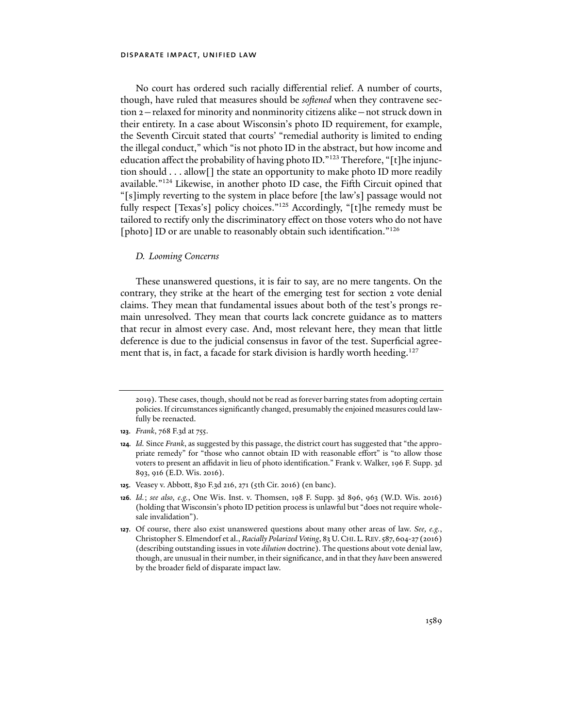No court has ordered such racially differential relief. A number of courts, though, have ruled that measures should be *softened* when they contravene section 2—relaxed for minority and nonminority citizens alike—not struck down in their entirety. In a case about Wisconsin's photo ID requirement, for example, the Seventh Circuit stated that courts' "remedial authority is limited to ending the illegal conduct," which "is not photo ID in the abstract, but how income and education affect the probability of having photo ID."<sup>123</sup> Therefore, "[t]he injunction should . . . allow[] the state an opportunity to make photo ID more readily available."124 Likewise, in another photo ID case, the Fifth Circuit opined that "[s]imply reverting to the system in place before [the law's] passage would not fully respect [Texas's] policy choices."125 Accordingly, "[t]he remedy must be tailored to rectify only the discriminatory effect on those voters who do not have [photo] ID or are unable to reasonably obtain such identification."<sup>126</sup>

# *D. Looming Concerns*

These unanswered questions, it is fair to say, are no mere tangents. On the contrary, they strike at the heart of the emerging test for section 2 vote denial claims. They mean that fundamental issues about both of the test's prongs remain unresolved. They mean that courts lack concrete guidance as to matters that recur in almost every case. And, most relevant here, they mean that little deference is due to the judicial consensus in favor of the test. Superficial agreement that is, in fact, a facade for stark division is hardly worth heeding.<sup>127</sup>

<sup>2019).</sup> These cases, though, should not be read as forever barring states from adopting certain policies. If circumstances significantly changed, presumably the enjoined measures could lawfully be reenacted.

**<sup>123</sup>**. *Frank*, 768 F.3d at 755.

**<sup>124</sup>***. Id.* Since *Frank*, as suggested by this passage, the district court has suggested that "the appropriate remedy" for "those who cannot obtain ID with reasonable effort" is "to allow those voters to present an affidavit in lieu of photo identification." Frank v. Walker, 196 F. Supp. 3d 893, 916 (E.D. Wis. 2016).

**<sup>125</sup>**. Veasey v. Abbott, 830 F.3d 216, 271 (5th Cir. 2016) (en banc).

**<sup>126</sup>***. Id.*; *see also, e.g.*, One Wis. Inst. v. Thomsen, 198 F. Supp. 3d 896, 963 (W.D. Wis. 2016) (holding that Wisconsin's photo ID petition process is unlawful but "does not require wholesale invalidation").

**<sup>127</sup>**. Of course, there also exist unanswered questions about many other areas of law. *See, e.g.*, Christopher S. Elmendorf et al., *Racially Polarized Voting*, 83 U.CHI.L.REV.587, 604-27 (2016) (describing outstanding issues in vote *dilution* doctrine). The questions about vote denial law, though, are unusual in their number, in their significance, and in that they *have* been answered by the broader field of disparate impact law.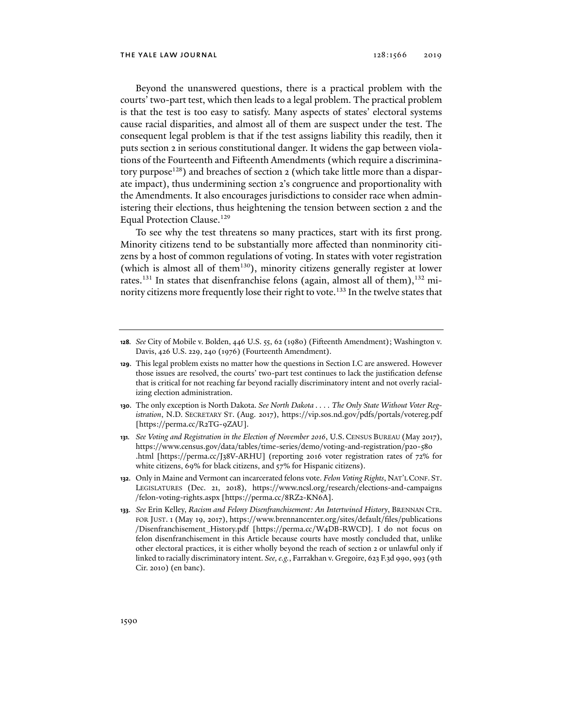Beyond the unanswered questions, there is a practical problem with the courts' two-part test, which then leads to a legal problem. The practical problem is that the test is too easy to satisfy. Many aspects of states' electoral systems cause racial disparities, and almost all of them are suspect under the test. The consequent legal problem is that if the test assigns liability this readily, then it puts section 2 in serious constitutional danger. It widens the gap between violations of the Fourteenth and Fifteenth Amendments (which require a discriminatory purpose<sup>128</sup>) and breaches of section  $2$  (which take little more than a disparate impact), thus undermining section 2's congruence and proportionality with the Amendments. It also encourages jurisdictions to consider race when administering their elections, thus heightening the tension between section 2 and the Equal Protection Clause.<sup>129</sup>

To see why the test threatens so many practices, start with its first prong. Minority citizens tend to be substantially more affected than nonminority citizens by a host of common regulations of voting. In states with voter registration (which is almost all of them<sup>130</sup>), minority citizens generally register at lower rates.<sup>131</sup> In states that disenfranchise felons (again, almost all of them),<sup>132</sup> minority citizens more frequently lose their right to vote.<sup>133</sup> In the twelve states that

- **130**. The only exception is North Dakota. *See North Dakota . . . . The Only State Without Voter Registration*, N.D. SECRETARY ST. (Aug. 2017), https://vip.sos.nd.gov/pdfs/portals/votereg.pdf [https://perma.cc/R2TG-9ZAU].
- **131***. See Voting and Registration in the Election of November 2016*, U.S. CENSUS BUREAU (May 2017), https://www.census.gov/data/tables/time-series/demo/voting-and-registration/p20-580 .html [https://perma.cc/J38V-ARHU] (reporting 2016 voter registration rates of 72% for white citizens, 69% for black citizens, and 57% for Hispanic citizens).
- **132**. Only in Maine and Vermont can incarcerated felons vote. *Felon Voting Rights*, NAT'L CONF. ST. LEGISLATURES (Dec. 21, 2018), https://www.ncsl.org/research/elections-and-campaigns /felon-voting-rights.aspx [https://perma.cc/8RZ2-KN6A].
- **133***. See* Erin Kelley, *Racism and Felony Disenfranchisement: An Intertwined History*, BRENNAN CTR. FOR JUST. 1 (May 19, 2017), https://www.brennancenter.org/sites/default/files/publications /Disenfranchisement\_History.pdf [https://perma.cc/W4DB-RWCD]. I do not focus on felon disenfranchisement in this Article because courts have mostly concluded that, unlike other electoral practices, it is either wholly beyond the reach of section 2 or unlawful only if linked to racially discriminatory intent. *See, e.g.*, Farrakhan v. Gregoire, 623 F.3d 990, 993 (9th Cir. 2010) (en banc).

**<sup>128</sup>***. See* City of Mobile v. Bolden, 446 U.S. 55, 62 (1980) (Fifteenth Amendment); Washington v. Davis, 426 U.S. 229, 240 (1976) (Fourteenth Amendment).

**<sup>129</sup>**. This legal problem exists no matter how the questions in Section I.C are answered. However those issues are resolved, the courts' two-part test continues to lack the justification defense that is critical for not reaching far beyond racially discriminatory intent and not overly racializing election administration.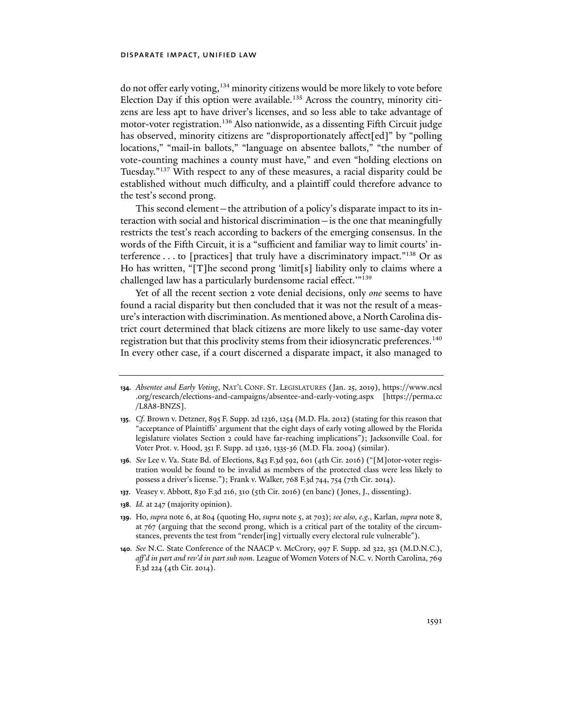do not offer early voting,<sup>134</sup> minority citizens would be more likely to vote before Election Day if this option were available.<sup>135</sup> Across the country, minority citizens are less apt to have driver's licenses, and so less able to take advantage of motor-voter registration.<sup>136</sup> Also nationwide, as a dissenting Fifth Circuit judge has observed, minority citizens are "disproportionately affect[ed]" by "polling locations," "mail-in ballots," "language on absentee ballots," "the number of vote-counting machines a county must have," and even "holding elections on Tuesday."137 With respect to any of these measures, a racial disparity could be established without much difficulty, and a plaintiff could therefore advance to the test's second prong.

This second element—the attribution of a policy's disparate impact to its interaction with social and historical discrimination—is the one that meaningfully restricts the test's reach according to backers of the emerging consensus. In the words of the Fifth Circuit, it is a "sufficient and familiar way to limit courts' interference . . . to [practices] that truly have a discriminatory impact."<sup>138</sup> Or as Ho has written, "[T]he second prong 'limit[s] liability only to claims where a challenged law has a particularly burdensome racial effect.'"139

Yet of all the recent section 2 vote denial decisions, only *one* seems to have found a racial disparity but then concluded that it was not the result of a measure's interaction with discrimination. As mentioned above, a North Carolina district court determined that black citizens are more likely to use same-day voter registration but that this proclivity stems from their idiosyncratic preferences.140 In every other case, if a court discerned a disparate impact, it also managed to

- **137**. Veasey v. Abbott, 830 F.3d 216, 310 (5th Cir. 2016) (en banc) (Jones, J., dissenting).
- **138***. Id.* at 247 (majority opinion).
- **139**. Ho, *supra* note 6, at 804 (quoting Ho, *supra* note 5, at 703); *see also, e.g.*, Karlan, *supra* note 8, at 767 (arguing that the second prong, which is a critical part of the totality of the circumstances, prevents the test from "render[ing] virtually every electoral rule vulnerable").
- **140***. See* N.C. State Conference of the NAACP v. McCrory, 997 F. Supp. 2d 322, 351 (M.D.N.C.), *aff'd in part and rev'd in part sub nom.* League of Women Voters of N.C. v. North Carolina, 769 F.3d 224 (4th Cir. 2014).

**<sup>134</sup>***. Absentee and Early Voting*, NAT'L CONF. ST. LEGISLATURES (Jan. 25, 2019), https://www.ncsl .org/research/elections-and-campaigns/absentee-and-early-voting.aspx [https://perma.cc /L8A8-BNZS].

**<sup>135</sup>***. Cf.* Brown v. Detzner, 895 F. Supp. 2d 1236, 1254 (M.D. Fla. 2012) (stating for this reason that "acceptance of Plaintiffs' argument that the eight days of early voting allowed by the Florida legislature violates Section 2 could have far-reaching implications"); Jacksonville Coal. for Voter Prot. v. Hood, 351 F. Supp. 2d 1326, 1335-36 (M.D. Fla. 2004) (similar).

**<sup>136</sup>***. See* Lee v. Va. State Bd. of Elections, 843 F.3d 592, 601 (4th Cir. 2016) ("[M]otor-voter registration would be found to be invalid as members of the protected class were less likely to possess a driver's license."); Frank v. Walker, 768 F.3d 744, 754 (7th Cir. 2014).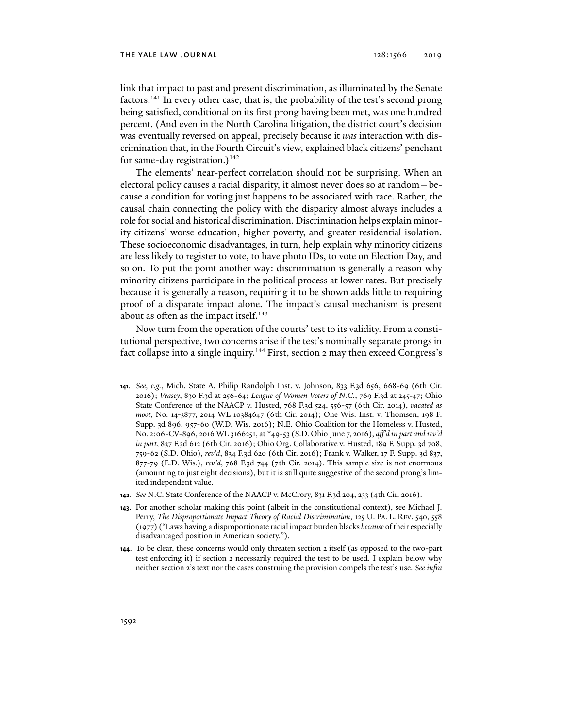#### the yale law journal 128:1566 2019

link that impact to past and present discrimination, as illuminated by the Senate factors.141 In every other case, that is, the probability of the test's second prong being satisfied, conditional on its first prong having been met, was one hundred percent. (And even in the North Carolina litigation, the district court's decision was eventually reversed on appeal, precisely because it *was* interaction with discrimination that, in the Fourth Circuit's view, explained black citizens' penchant for same-day registration.)<sup>142</sup>

The elements' near-perfect correlation should not be surprising. When an electoral policy causes a racial disparity, it almost never does so at random—because a condition for voting just happens to be associated with race. Rather, the causal chain connecting the policy with the disparity almost always includes a role for social and historical discrimination. Discrimination helps explain minority citizens' worse education, higher poverty, and greater residential isolation. These socioeconomic disadvantages, in turn, help explain why minority citizens are less likely to register to vote, to have photo IDs, to vote on Election Day, and so on. To put the point another way: discrimination is generally a reason why minority citizens participate in the political process at lower rates. But precisely because it is generally a reason, requiring it to be shown adds little to requiring proof of a disparate impact alone. The impact's causal mechanism is present about as often as the impact itself.<sup>143</sup>

Now turn from the operation of the courts' test to its validity. From a constitutional perspective, two concerns arise if the test's nominally separate prongs in fact collapse into a single inquiry.<sup>144</sup> First, section 2 may then exceed Congress's

**<sup>141</sup>***. See, e.g.*, Mich. State A. Philip Randolph Inst. v. Johnson, 833 F.3d 656, 668-69 (6th Cir. 2016); *Veasey*, 830 F.3d at 256-64; *League of Women Voters of N.C.*, 769 F.3d at 245-47; Ohio State Conference of the NAACP v. Husted, 768 F.3d 524, 556-57 (6th Cir. 2014), *vacated as moot*, No. 14-3877, 2014 WL 10384647 (6th Cir. 2014); One Wis. Inst. v. Thomsen, 198 F. Supp. 3d 896, 957-60 (W.D. Wis. 2016); N.E. Ohio Coalition for the Homeless v. Husted, No. 2:06-CV-896, 2016 WL 3166251, at \*49-53 (S.D. Ohio June 7, 2016), *aff'd in part and rev'd in part*, 837 F.3d 612 (6th Cir. 2016); Ohio Org. Collaborative v. Husted, 189 F. Supp. 3d 708, 759-62 (S.D. Ohio), *rev'd*, 834 F.3d 620 (6th Cir. 2016); Frank v. Walker, 17 F. Supp. 3d 837, 877-79 (E.D. Wis.), *rev'd*, 768 F.3d 744 (7th Cir. 2014). This sample size is not enormous (amounting to just eight decisions), but it is still quite suggestive of the second prong's limited independent value.

**<sup>142</sup>***. See* N.C. State Conference of the NAACP v. McCrory, 831 F.3d 204, 233 (4th Cir. 2016).

**<sup>143</sup>**. For another scholar making this point (albeit in the constitutional context), see Michael J. Perry, *The Disproportionate Impact Theory of Racial Discrimination*, 125 U. PA. L. REV. 540, 558 (1977) ("Laws having a disproportionate racial impact burden blacks *because* of their especially disadvantaged position in American society.").

**<sup>144</sup>**. To be clear, these concerns would only threaten section 2 itself (as opposed to the two-part test enforcing it) if section 2 necessarily required the test to be used. I explain below why neither section 2's text nor the cases construing the provision compels the test's use. *See infra*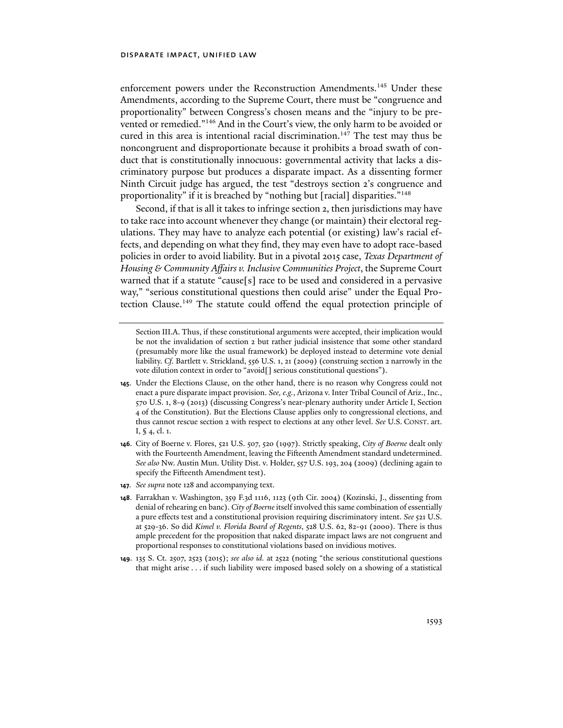enforcement powers under the Reconstruction Amendments.<sup>145</sup> Under these Amendments, according to the Supreme Court, there must be "congruence and proportionality" between Congress's chosen means and the "injury to be prevented or remedied."146 And in the Court's view, the only harm to be avoided or cured in this area is intentional racial discrimination.<sup>147</sup> The test may thus be noncongruent and disproportionate because it prohibits a broad swath of conduct that is constitutionally innocuous: governmental activity that lacks a discriminatory purpose but produces a disparate impact. As a dissenting former Ninth Circuit judge has argued, the test "destroys section 2's congruence and proportionality" if it is breached by "nothing but [racial] disparities."<sup>148</sup>

Second, if that is all it takes to infringe section 2, then jurisdictions may have to take race into account whenever they change (or maintain) their electoral regulations. They may have to analyze each potential (or existing) law's racial effects, and depending on what they find, they may even have to adopt race-based policies in order to avoid liability. But in a pivotal 2015 case, *Texas Department of Housing & Community Affairs v. Inclusive Communities Project*, the Supreme Court warned that if a statute "cause[s] race to be used and considered in a pervasive way," "serious constitutional questions then could arise" under the Equal Protection Clause.149 The statute could offend the equal protection principle of

- **146**. City of Boerne v. Flores, 521 U.S. 507, 520 (1997). Strictly speaking, *City of Boerne* dealt only with the Fourteenth Amendment, leaving the Fifteenth Amendment standard undetermined. *See also* Nw. Austin Mun. Utility Dist. v. Holder, 557 U.S. 193, 204 (2009) (declining again to specify the Fifteenth Amendment test).
- **147***. See supra* note 128 and accompanying text.
- **148**. Farrakhan v. Washington, 359 F.3d 1116, 1123 (9th Cir. 2004) (Kozinski, J., dissenting from denial of rehearing en banc). *City of Boerne* itself involved this same combination of essentially a pure effects test and a constitutional provision requiring discriminatory intent. *See* 521 U.S. at 529-36. So did *Kimel v. Florida Board of Regents*, 528 U.S. 62, 82-91 (2000). There is thus ample precedent for the proposition that naked disparate impact laws are not congruent and proportional responses to constitutional violations based on invidious motives.
- **149**. 135 S. Ct. 2507, 2523 (2015); *see also id.* at 2522 (noting "the serious constitutional questions that might arise . . . if such liability were imposed based solely on a showing of a statistical

Section III.A. Thus, if these constitutional arguments were accepted, their implication would be not the invalidation of section 2 but rather judicial insistence that some other standard (presumably more like the usual framework) be deployed instead to determine vote denial liability. *Cf.* Bartlett v. Strickland, 556 U.S. 1, 21 (2009) (construing section 2 narrowly in the vote dilution context in order to "avoid[] serious constitutional questions").

**<sup>145</sup>**. Under the Elections Clause, on the other hand, there is no reason why Congress could not enact a pure disparate impact provision. *See, e.g.*, Arizona v. Inter Tribal Council of Ariz., Inc., 570 U.S. 1, 8-9 (2013) (discussing Congress's near-plenary authority under Article I, Section 4 of the Constitution). But the Elections Clause applies only to congressional elections, and thus cannot rescue section 2 with respect to elections at any other level. *See* U.S. CONST. art. I, § 4, cl. 1.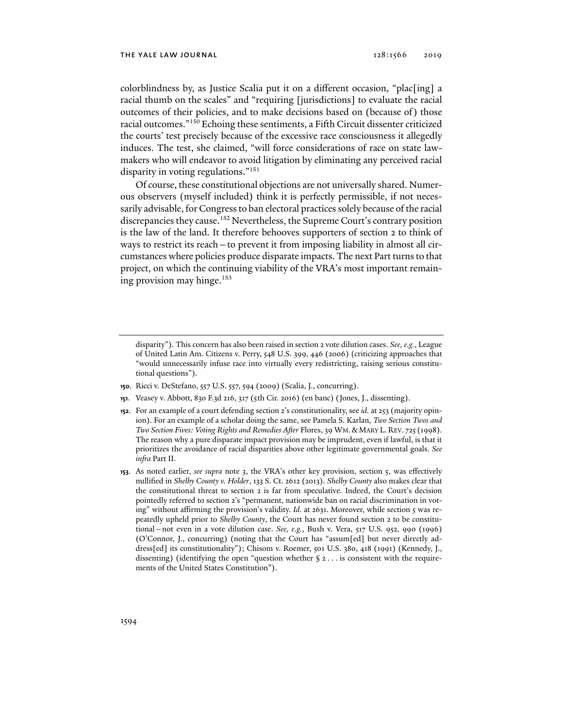colorblindness by, as Justice Scalia put it on a different occasion, "plac[ing] a racial thumb on the scales" and "requiring [jurisdictions] to evaluate the racial outcomes of their policies, and to make decisions based on (because of) those racial outcomes."150 Echoing these sentiments, a Fifth Circuit dissenter criticized the courts' test precisely because of the excessive race consciousness it allegedly induces. The test, she claimed, "will force considerations of race on state lawmakers who will endeavor to avoid litigation by eliminating any perceived racial disparity in voting regulations."151

Of course, these constitutional objections are not universally shared. Numerous observers (myself included) think it is perfectly permissible, if not necessarily advisable, for Congress to ban electoral practices solely because of the racial discrepancies they cause.<sup>152</sup> Nevertheless, the Supreme Court's contrary position is the law of the land. It therefore behooves supporters of section 2 to think of ways to restrict its reach—to prevent it from imposing liability in almost all circumstances where policies produce disparate impacts. The next Part turns to that project, on which the continuing viability of the VRA's most important remaining provision may hinge.153

- **150**. Ricci v. DeStefano, 557 U.S. 557, 594 (2009) (Scalia, J., concurring).
- **151**. Veasey v. Abbott, 830 F.3d 216, 317 (5th Cir. 2016) (en banc) (Jones, J., dissenting).
- **152**. For an example of a court defending section 2's constitutionality, see *id.* at 253 (majority opinion). For an example of a scholar doing the same, see Pamela S. Karlan, *Two Section Twos and Two Section Fives: Voting Rights and Remedies After* Flores, 39 WM. & MARY L. REV. 725 (1998). The reason why a pure disparate impact provision may be imprudent, even if lawful, is that it prioritizes the avoidance of racial disparities above other legitimate governmental goals. *See infra* Part II.
- **153**. As noted earlier, *see supra* note 3, the VRA's other key provision, section 5, was effectively nullified in *Shelby County v. Holder*, 133 S. Ct. 2612 (2013). *Shelby County* also makes clear that the constitutional threat to section 2 is far from speculative. Indeed, the Court's decision pointedly referred to section 2's "permanent, nationwide ban on racial discrimination in voting" without affirming the provision's validity. *Id.* at 2631. Moreover, while section 5 was repeatedly upheld prior to *Shelby County*, the Court has never found section 2 to be constitutional—not even in a vote dilution case. *See, e.g.*, Bush v. Vera, 517 U.S. 952, 990 (1996) (O'Connor, J., concurring) (noting that the Court has "assum[ed] but never directly address[ed] its constitutionality"); Chisom v. Roemer, 501 U.S. 380, 418 (1991) (Kennedy, J., dissenting) (identifying the open "question whether  $\S$ 2... is consistent with the requirements of the United States Constitution").

disparity"). This concern has also been raised in section 2 vote dilution cases. *See, e.g.*, League of United Latin Am. Citizens v. Perry, 548 U.S. 399, 446 (2006) (criticizing approaches that "would unnecessarily infuse race into virtually every redistricting, raising serious constitutional questions").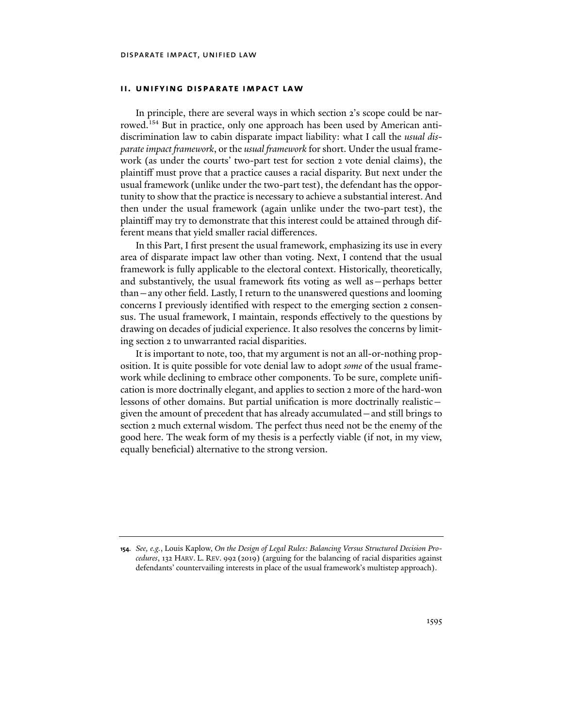# **ii. unifying disparate impact law**

In principle, there are several ways in which section 2's scope could be narrowed.<sup>154</sup> But in practice, only one approach has been used by American antidiscrimination law to cabin disparate impact liability: what I call the *usual disparate impact framework*, or the *usual framework* for short. Under the usual framework (as under the courts' two-part test for section 2 vote denial claims), the plaintiff must prove that a practice causes a racial disparity. But next under the usual framework (unlike under the two-part test), the defendant has the opportunity to show that the practice is necessary to achieve a substantial interest. And then under the usual framework (again unlike under the two-part test), the plaintiff may try to demonstrate that this interest could be attained through different means that yield smaller racial differences.

In this Part, I first present the usual framework, emphasizing its use in every area of disparate impact law other than voting. Next, I contend that the usual framework is fully applicable to the electoral context. Historically, theoretically, and substantively, the usual framework fits voting as well as—perhaps better than—any other field. Lastly, I return to the unanswered questions and looming concerns I previously identified with respect to the emerging section 2 consensus. The usual framework, I maintain, responds effectively to the questions by drawing on decades of judicial experience. It also resolves the concerns by limiting section 2 to unwarranted racial disparities.

It is important to note, too, that my argument is not an all-or-nothing proposition. It is quite possible for vote denial law to adopt *some* of the usual framework while declining to embrace other components. To be sure, complete unification is more doctrinally elegant, and applies to section 2 more of the hard-won lessons of other domains. But partial unification is more doctrinally realistic given the amount of precedent that has already accumulated—and still brings to section 2 much external wisdom. The perfect thus need not be the enemy of the good here. The weak form of my thesis is a perfectly viable (if not, in my view, equally beneficial) alternative to the strong version.

**<sup>154</sup>***. See, e.g.*, Louis Kaplow, *On the Design of Legal Rules: Balancing Versus Structured Decision Procedures*, 132 HARV. L. REV. 992 (2019) (arguing for the balancing of racial disparities against defendants' countervailing interests in place of the usual framework's multistep approach).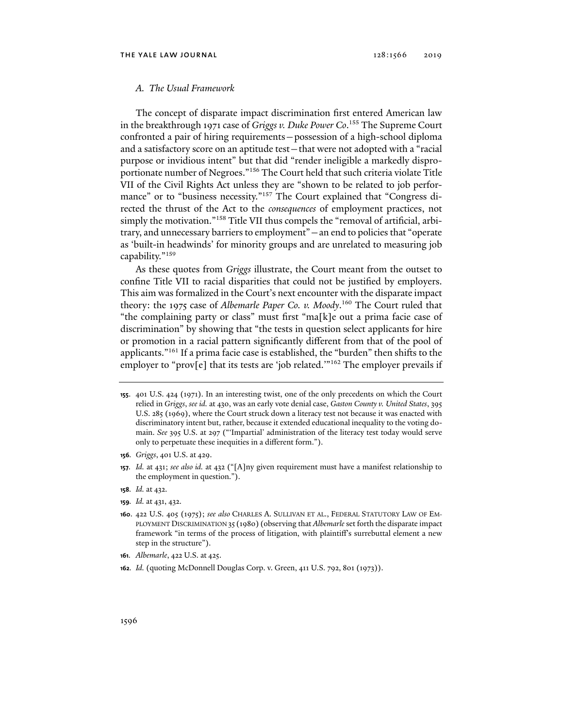# *A. The Usual Framework*

The concept of disparate impact discrimination first entered American law in the breakthrough 1971 case of *Griggs v. Duke Power Co*. 155 The Supreme Court confronted a pair of hiring requirements—possession of a high-school diploma and a satisfactory score on an aptitude test—that were not adopted with a "racial purpose or invidious intent" but that did "render ineligible a markedly disproportionate number of Negroes."156 The Court held that such criteria violate Title VII of the Civil Rights Act unless they are "shown to be related to job performance" or to "business necessity."<sup>157</sup> The Court explained that "Congress directed the thrust of the Act to the *consequences* of employment practices, not simply the motivation."158 Title VII thus compels the "removal of artificial, arbitrary, and unnecessary barriers to employment"—an end to policies that "operate as 'built-in headwinds' for minority groups and are unrelated to measuring job capability."159

As these quotes from *Griggs* illustrate, the Court meant from the outset to confine Title VII to racial disparities that could not be justified by employers. This aim was formalized in the Court's next encounter with the disparate impact theory: the 1975 case of *Albemarle Paper Co. v. Moody*. 160 The Court ruled that "the complaining party or class" must first "ma[k]e out a prima facie case of discrimination" by showing that "the tests in question select applicants for hire or promotion in a racial pattern significantly different from that of the pool of applicants."161 If a prima facie case is established, the "burden" then shifts to the employer to "prov[e] that its tests are 'job related."<sup>162</sup> The employer prevails if

- **157***. Id.* at 431; *see also id.* at 432 ("[A]ny given requirement must have a manifest relationship to the employment in question.").
- **158***. Id.* at 432.
- **159***. Id.* at 431, 432.
- **160**. 422 U.S. 405 (1975); *see also* CHARLES A. SULLIVAN ET AL., FEDERAL STATUTORY LAW OF EM-PLOYMENT DISCRIMINATION 35 (1980) (observing that *Albemarle* set forth the disparate impact framework "in terms of the process of litigation, with plaintiff's surrebuttal element a new step in the structure").
- **161***. Albemarle*, 422 U.S. at 425.
- **162***. Id.* (quoting McDonnell Douglas Corp. v. Green, 411 U.S. 792, 801 (1973)).

**<sup>155</sup>**. 401 U.S. 424 (1971). In an interesting twist, one of the only precedents on which the Court relied in *Griggs*, *see id.* at 430, was an early vote denial case, *Gaston County v. United States*, 395 U.S. 285 (1969), where the Court struck down a literacy test not because it was enacted with discriminatory intent but, rather, because it extended educational inequality to the voting domain. *See* 395 U.S. at 297 ("'Impartial' administration of the literacy test today would serve only to perpetuate these inequities in a different form.").

**<sup>156</sup>***. Griggs*, 401 U.S. at 429.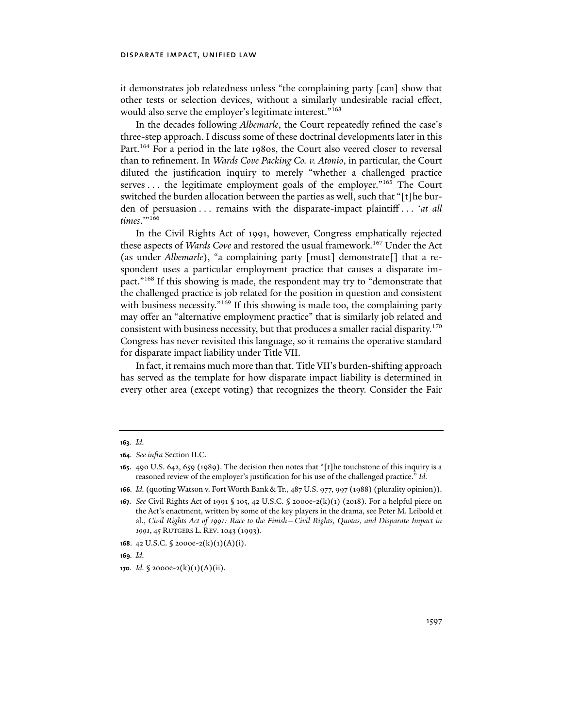it demonstrates job relatedness unless "the complaining party [can] show that other tests or selection devices, without a similarly undesirable racial effect, would also serve the employer's legitimate interest."<sup>163</sup>

In the decades following *Albemarle*, the Court repeatedly refined the case's three-step approach. I discuss some of these doctrinal developments later in this Part.<sup>164</sup> For a period in the late 1980s, the Court also veered closer to reversal than to refinement. In *Wards Cove Packing Co. v. Atonio*, in particular, the Court diluted the justification inquiry to merely "whether a challenged practice serves . . . the legitimate employment goals of the employer."<sup>165</sup> The Court switched the burden allocation between the parties as well, such that "[t]he burden of persuasion . . . remains with the disparate-impact plaintiff . . . '*at all*  times."<sup>166</sup>

In the Civil Rights Act of 1991, however, Congress emphatically rejected these aspects of *Wards Cove* and restored the usual framework.<sup>167</sup> Under the Act (as under *Albemarle*), "a complaining party [must] demonstrate[] that a respondent uses a particular employment practice that causes a disparate impact."168 If this showing is made, the respondent may try to "demonstrate that the challenged practice is job related for the position in question and consistent with business necessity."<sup>169</sup> If this showing is made too, the complaining party may offer an "alternative employment practice" that is similarly job related and consistent with business necessity, but that produces a smaller racial disparity.170 Congress has never revisited this language, so it remains the operative standard for disparate impact liability under Title VII.

In fact, it remains much more than that. Title VII's burden-shifting approach has served as the template for how disparate impact liability is determined in every other area (except voting) that recognizes the theory. Consider the Fair

**<sup>163</sup>***. Id.*

**<sup>164</sup>***. See infra* Section II.C.

**<sup>165</sup>**. 490 U.S. 642, 659 (1989). The decision then notes that "[t]he touchstone of this inquiry is a reasoned review of the employer's justification for his use of the challenged practice." *Id.*

**<sup>166</sup>***. Id.* (quoting Watson v. Fort Worth Bank & Tr., 487 U.S. 977, 997 (1988) (plurality opinion)).

**<sup>167</sup>***. See* Civil Rights Act of 1991 § 105, 42 U.S.C. § 2000e-2(k)(1) (2018). For a helpful piece on the Act's enactment, written by some of the key players in the drama, see Peter M. Leibold et al., *Civil Rights Act of 1991: Race to the Finish—Civil Rights, Quotas, and Disparate Impact in 1991*, 45 RUTGERS L. REV. 1043 (1993).

**<sup>168</sup>**. 42 U.S.C. § 2000e-2(k)(1)(A)(i).

**<sup>169</sup>***. Id.*

**<sup>170.</sup>** *Id.*  $\{2000e^{-2}(k)(1)(A)(ii)\}$ .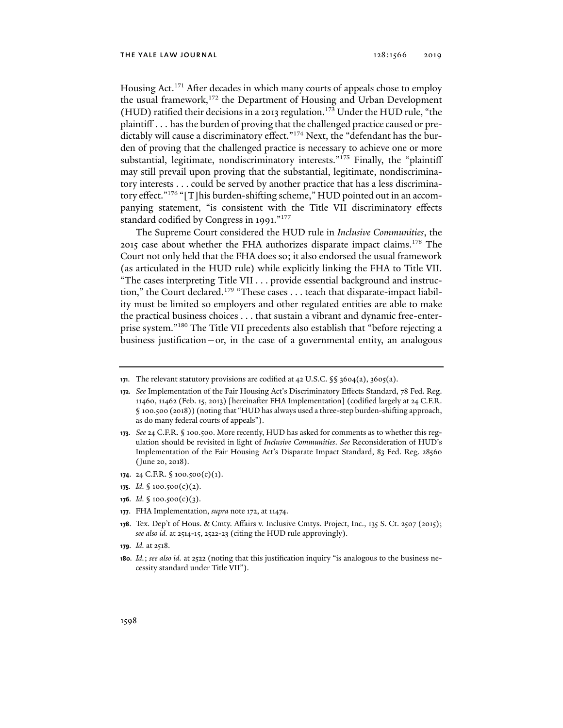Housing Act.<sup>171</sup> After decades in which many courts of appeals chose to employ the usual framework,<sup>172</sup> the Department of Housing and Urban Development (HUD) ratified their decisions in a 2013 regulation.173 Under the HUD rule, "the plaintiff . . . has the burden of proving that the challenged practice caused or predictably will cause a discriminatory effect."<sup>174</sup> Next, the "defendant has the burden of proving that the challenged practice is necessary to achieve one or more substantial, legitimate, nondiscriminatory interests."<sup>175</sup> Finally, the "plaintiff may still prevail upon proving that the substantial, legitimate, nondiscriminatory interests . . . could be served by another practice that has a less discriminatory effect."176 "[T]his burden-shifting scheme," HUD pointed out in an accompanying statement, "is consistent with the Title VII discriminatory effects standard codified by Congress in 1991."<sup>177</sup>

The Supreme Court considered the HUD rule in *Inclusive Communities*, the 2015 case about whether the FHA authorizes disparate impact claims.<sup>178</sup> The Court not only held that the FHA does so; it also endorsed the usual framework (as articulated in the HUD rule) while explicitly linking the FHA to Title VII. "The cases interpreting Title VII . . . provide essential background and instruction," the Court declared.<sup>179</sup> "These cases . . . teach that disparate-impact liability must be limited so employers and other regulated entities are able to make the practical business choices . . . that sustain a vibrant and dynamic free-enterprise system."180 The Title VII precedents also establish that "before rejecting a business justification—or, in the case of a governmental entity, an analogous

- **174**. 24 C.F.R. § 100.500(c)(1).
- **175***. Id.* § 100.500(c)(2).
- **176***. Id.* § 100.500(c)(3).
- **177**. FHA Implementation, *supra* note 172, at 11474.
- **178**. Tex. Dep't of Hous. & Cmty. Affairs v. Inclusive Cmtys. Project, Inc., 135 S. Ct. 2507 (2015); *see also id.* at 2514-15, 2522-23 (citing the HUD rule approvingly).
- **179***. Id.* at 2518.
- **180***. Id.*; *see also id.* at 2522 (noting that this justification inquiry "is analogous to the business necessity standard under Title VII").

**<sup>171</sup>**. The relevant statutory provisions are codified at 42 U.S.C. §§ 3604(a), 3605(a).

**<sup>172</sup>***. See* Implementation of the Fair Housing Act's Discriminatory Effects Standard, 78 Fed. Reg. 11460, 11462 (Feb. 15, 2013) [hereinafter FHA Implementation] (codified largely at 24 C.F.R. § 100.500 (2018)) (noting that "HUD has always used a three-step burden-shifting approach, as do many federal courts of appeals").

**<sup>173</sup>***. See* 24 C.F.R. § 100.500. More recently, HUD has asked for comments as to whether this regulation should be revisited in light of *Inclusive Communities*. *See* Reconsideration of HUD's Implementation of the Fair Housing Act's Disparate Impact Standard, 83 Fed. Reg. 28560 (June 20, 2018).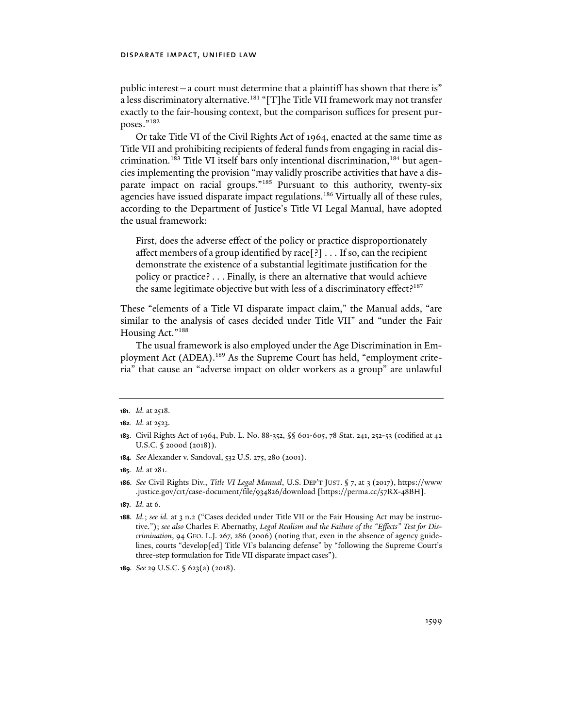public interest—a court must determine that a plaintiff has shown that there is" a less discriminatory alternative.<sup>181</sup> "[T]he Title VII framework may not transfer exactly to the fair-housing context, but the comparison suffices for present purposes."182

Or take Title VI of the Civil Rights Act of 1964, enacted at the same time as Title VII and prohibiting recipients of federal funds from engaging in racial discrimination.<sup>183</sup> Title VI itself bars only intentional discrimination,<sup>184</sup> but agencies implementing the provision "may validly proscribe activities that have a disparate impact on racial groups."<sup>185</sup> Pursuant to this authority, twenty-six agencies have issued disparate impact regulations.<sup>186</sup> Virtually all of these rules, according to the Department of Justice's Title VI Legal Manual, have adopted the usual framework:

First, does the adverse effect of the policy or practice disproportionately affect members of a group identified by race[?] . . . If so, can the recipient demonstrate the existence of a substantial legitimate justification for the policy or practice? . . . Finally, is there an alternative that would achieve the same legitimate objective but with less of a discriminatory effect?<sup>187</sup>

These "elements of a Title VI disparate impact claim," the Manual adds, "are similar to the analysis of cases decided under Title VII" and "under the Fair Housing Act."188

The usual framework is also employed under the Age Discrimination in Employment Act (ADEA).189 As the Supreme Court has held, "employment criteria" that cause an "adverse impact on older workers as a group" are unlawful

**184***. See* Alexander v. Sandoval, 532 U.S. 275, 280 (2001).

**187***. Id.* at 6.

**<sup>181</sup>***. Id.* at 2518.

**<sup>182</sup>***. Id.* at 2523.

**<sup>183</sup>**. Civil Rights Act of 1964, Pub. L. No. 88-352, §§ 601-605, 78 Stat. 241, 252-53 (codified at 42 U.S.C. § 2000d (2018)).

**<sup>185</sup>***. Id.* at 281.

**<sup>186</sup>***. See* Civil Rights Div., *Title VI Legal Manual*, U.S. DEP'T JUST. § 7, at 3 (2017), https://www .justice.gov/crt/case-document/file/934826/download [https://perma.cc/57RX-48BH].

**<sup>188</sup>***. Id.*; *see id.* at 3 n.2 ("Cases decided under Title VII or the Fair Housing Act may be instructive."); *see also* Charles F. Abernathy, *Legal Realism and the Failure of the "Effects" Test for Discrimination*, 94 GEO. L.J. 267, 286 (2006) (noting that, even in the absence of agency guidelines, courts "develop[ed] Title VI's balancing defense" by "following the Supreme Court's three-step formulation for Title VII disparate impact cases").

**<sup>189</sup>***. See* 29 U.S.C. § 623(a) (2018).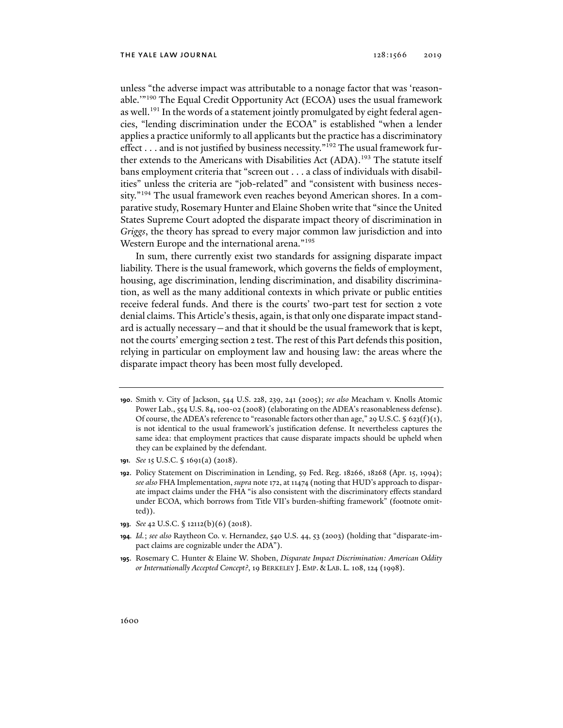unless "the adverse impact was attributable to a nonage factor that was 'reasonable.'"190 The Equal Credit Opportunity Act (ECOA) uses the usual framework as well.<sup>191</sup> In the words of a statement jointly promulgated by eight federal agencies, "lending discrimination under the ECOA" is established "when a lender applies a practice uniformly to all applicants but the practice has a discriminatory effect . . . and is not justified by business necessity."<sup>192</sup> The usual framework further extends to the Americans with Disabilities Act (ADA).<sup>193</sup> The statute itself bans employment criteria that "screen out . . . a class of individuals with disabilities" unless the criteria are "job-related" and "consistent with business necessity."194 The usual framework even reaches beyond American shores. In a comparative study, Rosemary Hunter and Elaine Shoben write that "since the United States Supreme Court adopted the disparate impact theory of discrimination in *Griggs*, the theory has spread to every major common law jurisdiction and into Western Europe and the international arena."195

In sum, there currently exist two standards for assigning disparate impact liability. There is the usual framework, which governs the fields of employment, housing, age discrimination, lending discrimination, and disability discrimination, as well as the many additional contexts in which private or public entities receive federal funds. And there is the courts' two-part test for section 2 vote denial claims. This Article's thesis, again, is that only one disparate impact standard is actually necessary—and that it should be the usual framework that is kept, not the courts' emerging section 2 test. The rest of this Part defends this position, relying in particular on employment law and housing law: the areas where the disparate impact theory has been most fully developed.

- **190**. Smith v. City of Jackson, 544 U.S. 228, 239, 241 (2005); *see also* Meacham v. Knolls Atomic Power Lab., 554 U.S. 84, 100-02 (2008) (elaborating on the ADEA's reasonableness defense). Of course, the ADEA's reference to "reasonable factors other than age," 29 U.S.C.  $\S$  623(f)(1), is not identical to the usual framework's justification defense. It nevertheless captures the same idea: that employment practices that cause disparate impacts should be upheld when they can be explained by the defendant.
- **191***. See* 15 U.S.C. § 1691(a) (2018).
- **192**. Policy Statement on Discrimination in Lending, 59 Fed. Reg. 18266, 18268 (Apr. 15, 1994); *see also* FHA Implementation, *supra* note 172, at 11474 (noting that HUD's approach to disparate impact claims under the FHA "is also consistent with the discriminatory effects standard under ECOA, which borrows from Title VII's burden-shifting framework" (footnote omitted)).
- **193***. See* 42 U.S.C. § 12112(b)(6) (2018).
- **194***. Id.*; *see also* Raytheon Co. v. Hernandez, 540 U.S. 44, 53 (2003) (holding that "disparate-impact claims are cognizable under the ADA").
- **195**. Rosemary C. Hunter & Elaine W. Shoben, *Disparate Impact Discrimination: American Oddity or Internationally Accepted Concept?*, 19 BERKELEY J. EMP. & LAB. L. 108, 124 (1998).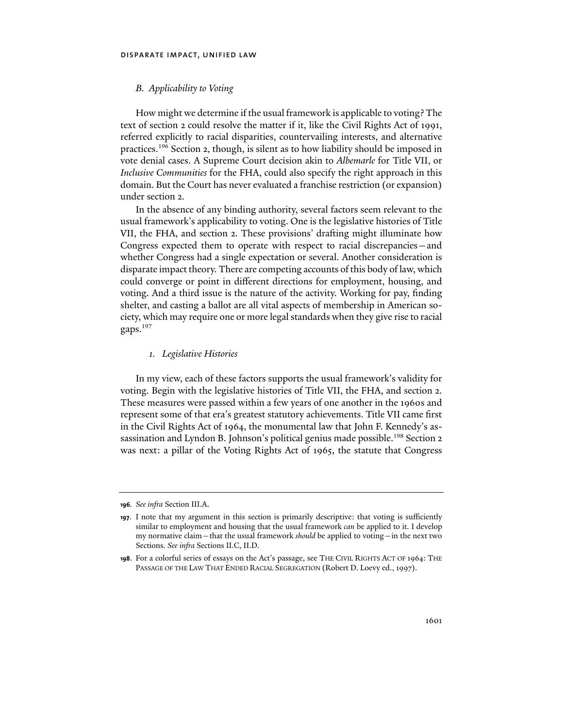# *B. Applicability to Voting*

How might we determine if the usual framework is applicable to voting? The text of section 2 could resolve the matter if it, like the Civil Rights Act of 1991, referred explicitly to racial disparities, countervailing interests, and alternative practices.196 Section 2, though, is silent as to how liability should be imposed in vote denial cases. A Supreme Court decision akin to *Albemarle* for Title VII, or *Inclusive Communities* for the FHA, could also specify the right approach in this domain. But the Court has never evaluated a franchise restriction (or expansion) under section 2.

In the absence of any binding authority, several factors seem relevant to the usual framework's applicability to voting. One is the legislative histories of Title VII, the FHA, and section 2. These provisions' drafting might illuminate how Congress expected them to operate with respect to racial discrepancies—and whether Congress had a single expectation or several. Another consideration is disparate impact theory. There are competing accounts of this body of law, which could converge or point in different directions for employment, housing, and voting. And a third issue is the nature of the activity. Working for pay, finding shelter, and casting a ballot are all vital aspects of membership in American society, which may require one or more legal standards when they give rise to racial gaps.197

# *1. Legislative Histories*

In my view, each of these factors supports the usual framework's validity for voting. Begin with the legislative histories of Title VII, the FHA, and section 2. These measures were passed within a few years of one another in the 1960s and represent some of that era's greatest statutory achievements. Title VII came first in the Civil Rights Act of 1964, the monumental law that John F. Kennedy's assassination and Lyndon B. Johnson's political genius made possible.<sup>198</sup> Section 2 was next: a pillar of the Voting Rights Act of 1965, the statute that Congress

**<sup>196</sup>***. See infra* Section III.A.

**<sup>197</sup>**. I note that my argument in this section is primarily descriptive: that voting is sufficiently similar to employment and housing that the usual framework *can* be applied to it. I develop my normative claim—that the usual framework *should* be applied to voting—in the next two Sections. *See infra* Sections II.C, II.D.

**<sup>198</sup>**. For a colorful series of essays on the Act's passage, see THE CIVIL RIGHTS ACT OF 1964: THE PASSAGE OF THE LAW THAT ENDED RACIAL SEGREGATION (Robert D. Loevy ed., 1997).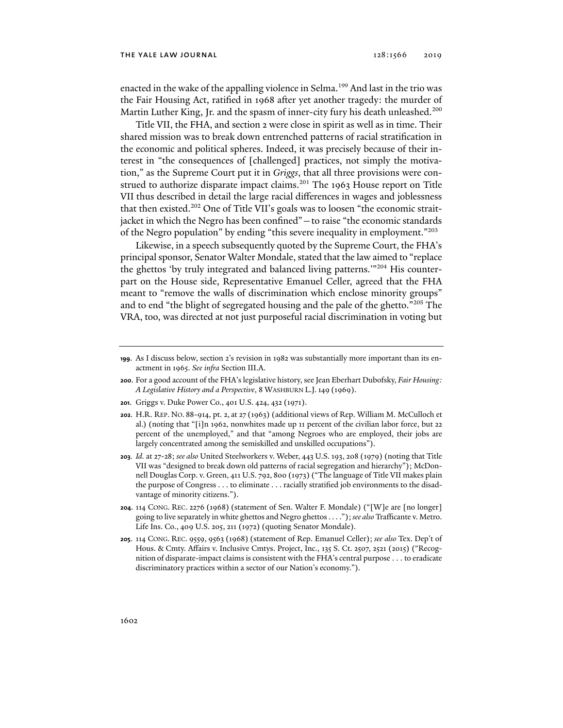enacted in the wake of the appalling violence in Selma.<sup>199</sup> And last in the trio was the Fair Housing Act, ratified in 1968 after yet another tragedy: the murder of Martin Luther King, Jr. and the spasm of inner-city fury his death unleashed.<sup>200</sup>

Title VII, the FHA, and section 2 were close in spirit as well as in time. Their shared mission was to break down entrenched patterns of racial stratification in the economic and political spheres. Indeed, it was precisely because of their interest in "the consequences of [challenged] practices, not simply the motivation," as the Supreme Court put it in *Griggs*, that all three provisions were construed to authorize disparate impact claims.<sup>201</sup> The 1963 House report on Title VII thus described in detail the large racial differences in wages and joblessness that then existed.<sup>202</sup> One of Title VII's goals was to loosen "the economic straitjacket in which the Negro has been confined"—to raise "the economic standards of the Negro population" by ending "this severe inequality in employment."203

Likewise, in a speech subsequently quoted by the Supreme Court, the FHA's principal sponsor, Senator Walter Mondale, stated that the law aimed to "replace the ghettos 'by truly integrated and balanced living patterns."<sup>204</sup> His counterpart on the House side, Representative Emanuel Celler, agreed that the FHA meant to "remove the walls of discrimination which enclose minority groups" and to end "the blight of segregated housing and the pale of the ghetto."205 The VRA, too, was directed at not just purposeful racial discrimination in voting but

- **200**. For a good account of the FHA's legislative history, see Jean Eberhart Dubofsky, *Fair Housing: A Legislative History and a Perspective*, 8 WASHBURN L.J.149 (1969).
- **201**. Griggs v. Duke Power Co., 401 U.S. 424, 432 (1971).
- **202**. H.R. REP. NO. 88-914, pt. 2, at 27 (1963) (additional views of Rep. William M. McCulloch et al.) (noting that "[i]n 1962, nonwhites made up 11 percent of the civilian labor force, but 22 percent of the unemployed," and that "among Negroes who are employed, their jobs are largely concentrated among the semiskilled and unskilled occupations").
- **203***. Id.* at 27-28; *see also* United Steelworkers v. Weber, 443 U.S. 193, 208 (1979) (noting that Title VII was "designed to break down old patterns of racial segregation and hierarchy"); McDonnell Douglas Corp. v. Green, 411 U.S. 792, 800 (1973) ("The language of Title VII makes plain the purpose of Congress . . . to eliminate . . . racially stratified job environments to the disadvantage of minority citizens.").
- **204**. 114 CONG. REC. 2276 (1968) (statement of Sen. Walter F. Mondale) ("[W]e are [no longer] going to live separately in white ghettos and Negro ghettos . . . ."); *see also* Trafficante v. Metro. Life Ins. Co., 409 U.S. 205, 211 (1972) (quoting Senator Mondale).
- **205**. 114 CONG. REC. 9559, 9563 (1968) (statement of Rep. Emanuel Celler); *see also* Tex. Dep't of Hous. & Cmty. Affairs v. Inclusive Cmtys. Project, Inc., 135 S. Ct. 2507, 2521 (2015) ("Recognition of disparate-impact claims is consistent with the FHA's central purpose . . . to eradicate discriminatory practices within a sector of our Nation's economy.").

**<sup>199</sup>**. As I discuss below, section 2's revision in 1982 was substantially more important than its enactment in 1965. *See infra* Section III.A.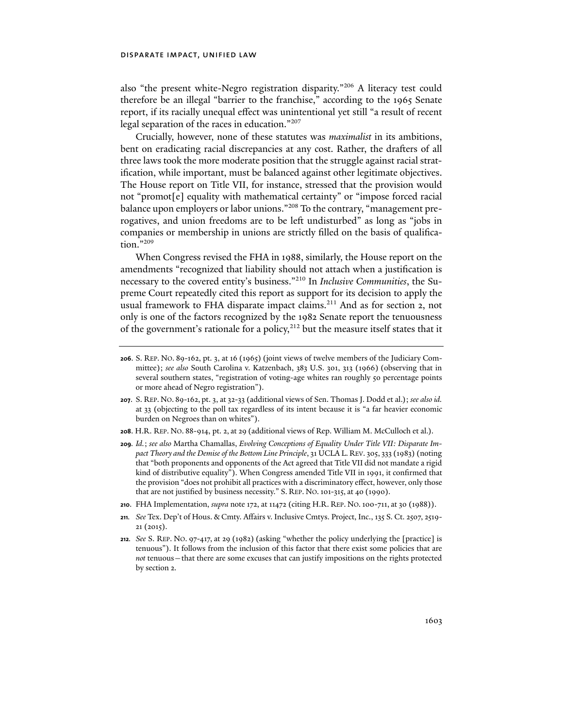also "the present white-Negro registration disparity."206 A literacy test could therefore be an illegal "barrier to the franchise," according to the 1965 Senate report, if its racially unequal effect was unintentional yet still "a result of recent legal separation of the races in education."207

Crucially, however, none of these statutes was *maximalist* in its ambitions, bent on eradicating racial discrepancies at any cost. Rather, the drafters of all three laws took the more moderate position that the struggle against racial stratification, while important, must be balanced against other legitimate objectives. The House report on Title VII, for instance, stressed that the provision would not "promot[e] equality with mathematical certainty" or "impose forced racial balance upon employers or labor unions."208 To the contrary, "management prerogatives, and union freedoms are to be left undisturbed" as long as "jobs in companies or membership in unions are strictly filled on the basis of qualification."209

When Congress revised the FHA in 1988, similarly, the House report on the amendments "recognized that liability should not attach when a justification is necessary to the covered entity's business."210 In *Inclusive Communities*, the Supreme Court repeatedly cited this report as support for its decision to apply the usual framework to FHA disparate impact claims.<sup>211</sup> And as for section 2, not only is one of the factors recognized by the 1982 Senate report the tenuousness of the government's rationale for a policy,<sup>212</sup> but the measure itself states that it

- **207**. S. REP. NO. 89-162, pt. 3, at 32-33 (additional views of Sen. Thomas J. Dodd et al.); *see also id.*  at 33 (objecting to the poll tax regardless of its intent because it is "a far heavier economic burden on Negroes than on whites").
- **208**. H.R. REP. NO. 88-914, pt. 2, at 29 (additional views of Rep. William M. McCulloch et al.).
- **209***. Id.*; *see also* Martha Chamallas, *Evolving Conceptions of Equality Under Title VII: Disparate Impact Theory and the Demise of the Bottom Line Principle*, 31 UCLA L. REV. 305, 333 (1983) (noting that "both proponents and opponents of the Act agreed that Title VII did not mandate a rigid kind of distributive equality"). When Congress amended Title VII in 1991, it confirmed that the provision "does not prohibit all practices with a discriminatory effect, however, only those that are not justified by business necessity." S. REP. NO.101-315, at 40 (1990).
- **210**. FHA Implementation, *supra* note 172, at 11472 (citing H.R. REP. NO.100-711, at 30 (1988)).
- **211***. See* Tex. Dep't of Hous. & Cmty. Affairs v. Inclusive Cmtys. Project, Inc., 135 S. Ct. 2507, 2519- 21 (2015).
- **212***. See* S. REP. NO. 97-417, at 29 (1982) (asking "whether the policy underlying the [practice] is tenuous"). It follows from the inclusion of this factor that there exist some policies that are *not* tenuous—that there are some excuses that can justify impositions on the rights protected by section 2.

**<sup>206</sup>**. S. REP. NO. 89-162, pt. 3, at 16 (1965) (joint views of twelve members of the Judiciary Committee); *see also* South Carolina v. Katzenbach, 383 U.S. 301, 313 (1966) (observing that in several southern states, "registration of voting-age whites ran roughly 50 percentage points or more ahead of Negro registration").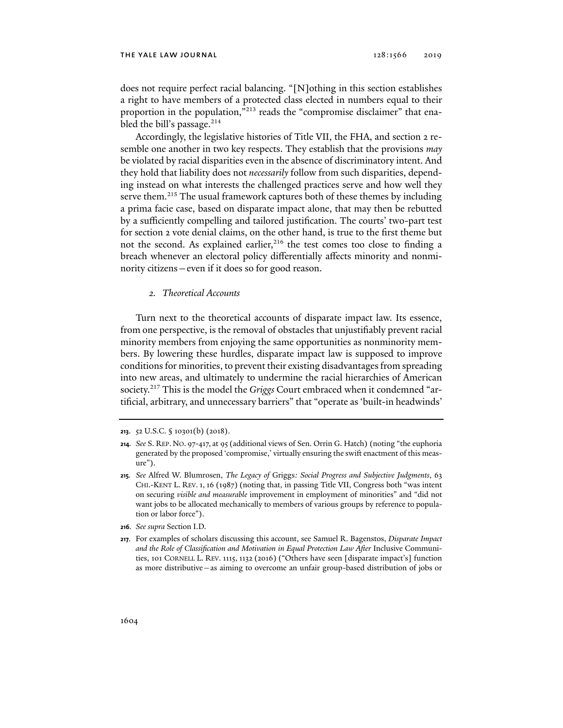does not require perfect racial balancing. "[N]othing in this section establishes a right to have members of a protected class elected in numbers equal to their proportion in the population,"213 reads the "compromise disclaimer" that enabled the bill's passage. $214$ 

Accordingly, the legislative histories of Title VII, the FHA, and section 2 resemble one another in two key respects. They establish that the provisions *may* be violated by racial disparities even in the absence of discriminatory intent. And they hold that liability does not *necessarily* follow from such disparities, depending instead on what interests the challenged practices serve and how well they serve them.<sup>215</sup> The usual framework captures both of these themes by including a prima facie case, based on disparate impact alone, that may then be rebutted by a sufficiently compelling and tailored justification. The courts' two-part test for section 2 vote denial claims, on the other hand, is true to the first theme but not the second. As explained earlier,<sup>216</sup> the test comes too close to finding a breach whenever an electoral policy differentially affects minority and nonminority citizens—even if it does so for good reason.

# *2. Theoretical Accounts*

Turn next to the theoretical accounts of disparate impact law. Its essence, from one perspective, is the removal of obstacles that unjustifiably prevent racial minority members from enjoying the same opportunities as nonminority members. By lowering these hurdles, disparate impact law is supposed to improve conditions for minorities, to prevent their existing disadvantages from spreading into new areas, and ultimately to undermine the racial hierarchies of American society.217 This is the model the *Griggs* Court embraced when it condemned "artificial, arbitrary, and unnecessary barriers" that "operate as 'built-in headwinds'

**216***. See supra* Section I.D.

**<sup>213</sup>**. 52 U.S.C. § 10301(b) (2018).

**<sup>214</sup>***. See* S. REP. NO. 97-417, at 95 (additional views of Sen. Orrin G. Hatch) (noting "the euphoria generated by the proposed 'compromise,' virtually ensuring the swift enactment of this measure").

**<sup>215</sup>***. See* Alfred W. Blumrosen, *The Legacy of* Griggs*: Social Progress and Subjective Judgments*, 63 CHI.-KENT L. REV. 1, 16 (1987) (noting that, in passing Title VII, Congress both "was intent on securing *visible and measurable* improvement in employment of minorities" and "did not want jobs to be allocated mechanically to members of various groups by reference to population or labor force").

**<sup>217</sup>**. For examples of scholars discussing this account, see Samuel R. Bagenstos, *Disparate Impact and the Role of Classification and Motivation in Equal Protection Law After* Inclusive Communities, 101 CORNELL L. REV. 1115, 1132 (2016) ("Others have seen [disparate impact's] function as more distributive—as aiming to overcome an unfair group-based distribution of jobs or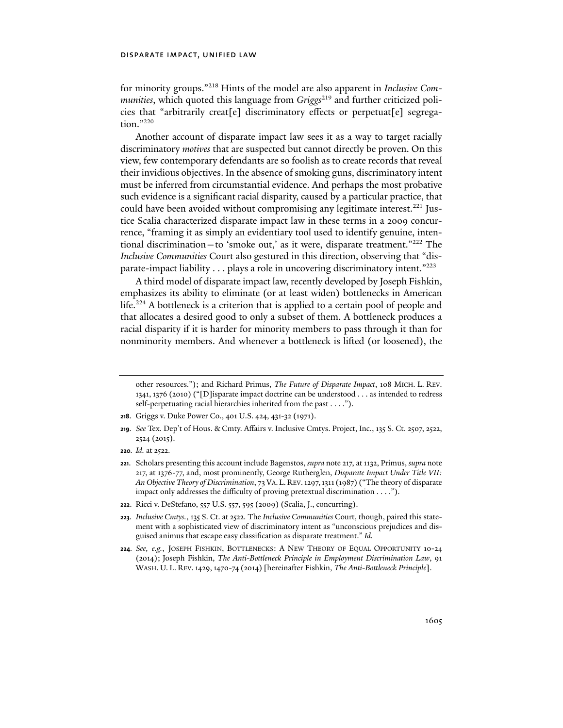for minority groups."218 Hints of the model are also apparent in *Inclusive Communities*, which quoted this language from *Griggs*<sup>219</sup> and further criticized policies that "arbitrarily creat[e] discriminatory effects or perpetuat[e] segregation."220

Another account of disparate impact law sees it as a way to target racially discriminatory *motives* that are suspected but cannot directly be proven. On this view, few contemporary defendants are so foolish as to create records that reveal their invidious objectives. In the absence of smoking guns, discriminatory intent must be inferred from circumstantial evidence. And perhaps the most probative such evidence is a significant racial disparity, caused by a particular practice, that could have been avoided without compromising any legitimate interest.<sup>221</sup> Justice Scalia characterized disparate impact law in these terms in a 2009 concurrence, "framing it as simply an evidentiary tool used to identify genuine, intentional discrimination—to 'smoke out,' as it were, disparate treatment."222 The *Inclusive Communities* Court also gestured in this direction, observing that "disparate-impact liability . . . plays a role in uncovering discriminatory intent."223

A third model of disparate impact law, recently developed by Joseph Fishkin, emphasizes its ability to eliminate (or at least widen) bottlenecks in American life.<sup>224</sup> A bottleneck is a criterion that is applied to a certain pool of people and that allocates a desired good to only a subset of them. A bottleneck produces a racial disparity if it is harder for minority members to pass through it than for nonminority members. And whenever a bottleneck is lifted (or loosened), the

other resources."); and Richard Primus, *The Future of Disparate Impact*, 108 MICH. L. REV. 1341, 1376 (2010) ("[D]isparate impact doctrine can be understood . . . as intended to redress self-perpetuating racial hierarchies inherited from the past . . . .").

**<sup>218</sup>**. Griggs v. Duke Power Co., 401 U.S. 424, 431-32 (1971).

**<sup>219</sup>***. See* Tex. Dep't of Hous. & Cmty. Affairs v. Inclusive Cmtys. Project, Inc., 135 S. Ct. 2507, 2522, 2524 (2015).

**<sup>220</sup>***. Id.* at 2522.

**<sup>221</sup>**. Scholars presenting this account include Bagenstos, *supra* note 217, at 1132, Primus, *supra* note 217, at 1376-77, and, most prominently, George Rutherglen, *Disparate Impact Under Title VII: An Objective Theory of Discrimination*, 73 VA. L. REV.1297,1311 (1987) ("The theory of disparate impact only addresses the difficulty of proving pretextual discrimination . . . .").

**<sup>222</sup>**. Ricci v. DeStefano, 557 U.S. 557, 595 (2009) (Scalia, J., concurring).

**<sup>223</sup>***. Inclusive Cmtys.*, 135 S. Ct. at 2522. The *Inclusive Communities* Court, though, paired this statement with a sophisticated view of discriminatory intent as "unconscious prejudices and disguised animus that escape easy classification as disparate treatment." *Id.*

**<sup>224</sup>***. See, e.g.*, JOSEPH FISHKIN, BOTTLENECKS: A NEW THEORY OF EQUAL OPPORTUNITY 10-24 (2014); Joseph Fishkin, *The Anti-Bottleneck Principle in Employment Discrimination Law*, 91 WASH. U. L. REV.1429,1470-74 (2014) [hereinafter Fishkin, *The Anti-Bottleneck Principle*].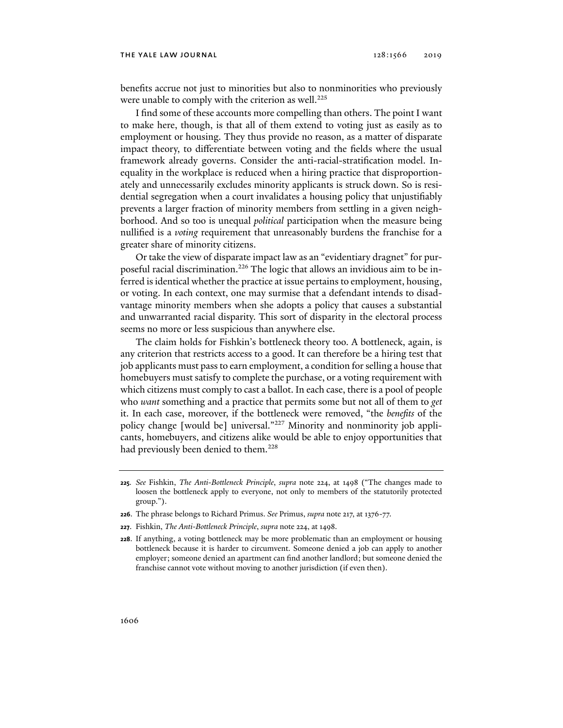#### the yale law journal 128:1566 2019

benefits accrue not just to minorities but also to nonminorities who previously were unable to comply with the criterion as well.<sup>225</sup>

I find some of these accounts more compelling than others. The point I want to make here, though, is that all of them extend to voting just as easily as to employment or housing. They thus provide no reason, as a matter of disparate impact theory, to differentiate between voting and the fields where the usual framework already governs. Consider the anti-racial-stratification model. Inequality in the workplace is reduced when a hiring practice that disproportionately and unnecessarily excludes minority applicants is struck down. So is residential segregation when a court invalidates a housing policy that unjustifiably prevents a larger fraction of minority members from settling in a given neighborhood. And so too is unequal *political* participation when the measure being nullified is a *voting* requirement that unreasonably burdens the franchise for a greater share of minority citizens.

Or take the view of disparate impact law as an "evidentiary dragnet" for purposeful racial discrimination.226 The logic that allows an invidious aim to be inferred is identical whether the practice at issue pertains to employment, housing, or voting. In each context, one may surmise that a defendant intends to disadvantage minority members when she adopts a policy that causes a substantial and unwarranted racial disparity. This sort of disparity in the electoral process seems no more or less suspicious than anywhere else.

The claim holds for Fishkin's bottleneck theory too. A bottleneck, again, is any criterion that restricts access to a good. It can therefore be a hiring test that job applicants must pass to earn employment, a condition for selling a house that homebuyers must satisfy to complete the purchase, or a voting requirement with which citizens must comply to cast a ballot. In each case, there is a pool of people who *want* something and a practice that permits some but not all of them to *get* it. In each case, moreover, if the bottleneck were removed, "the *benefits* of the policy change [would be] universal."227 Minority and nonminority job applicants, homebuyers, and citizens alike would be able to enjoy opportunities that had previously been denied to them.<sup>228</sup>

- **226**. The phrase belongs to Richard Primus. *See* Primus, *supra* note 217, at 1376-77.
- **227**. Fishkin, *The Anti-Bottleneck Principle*, *supra* note 224, at 1498.

**<sup>225</sup>***. See* Fishkin, *The Anti-Bottleneck Principle*, *supra* note 224, at 1498 ("The changes made to loosen the bottleneck apply to everyone, not only to members of the statutorily protected group.").

**<sup>228</sup>**. If anything, a voting bottleneck may be more problematic than an employment or housing bottleneck because it is harder to circumvent. Someone denied a job can apply to another employer; someone denied an apartment can find another landlord; but someone denied the franchise cannot vote without moving to another jurisdiction (if even then).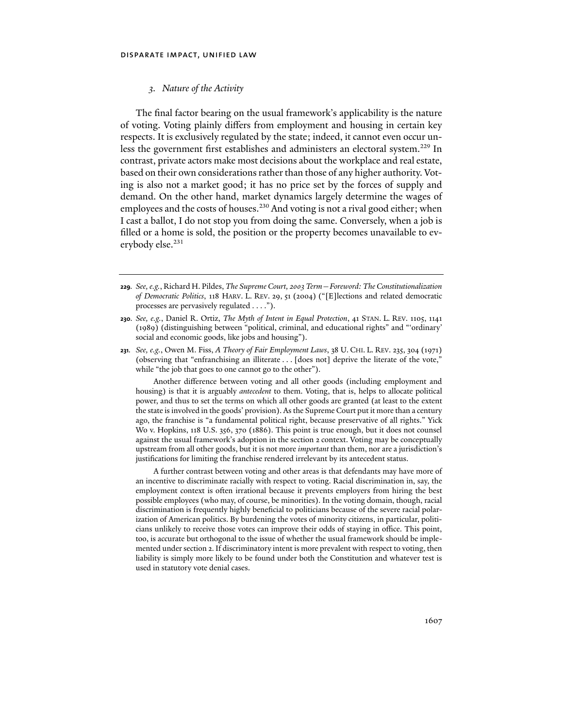### *3. Nature of the Activity*

The final factor bearing on the usual framework's applicability is the nature of voting. Voting plainly differs from employment and housing in certain key respects. It is exclusively regulated by the state; indeed, it cannot even occur unless the government first establishes and administers an electoral system.<sup>229</sup> In contrast, private actors make most decisions about the workplace and real estate, based on their own considerations rather than those of any higher authority. Voting is also not a market good; it has no price set by the forces of supply and demand. On the other hand, market dynamics largely determine the wages of employees and the costs of houses.<sup>230</sup> And voting is not a rival good either; when I cast a ballot, I do not stop you from doing the same. Conversely, when a job is filled or a home is sold, the position or the property becomes unavailable to everybody else.<sup>231</sup>

- **229***. See, e.g.*, Richard H. Pildes, *The Supreme Court, 2003 Term—Foreword: The Constitutionalization of Democratic Politics*, 118 HARV. L. REV. 29, 51 (2004) ("[E]lections and related democratic processes are pervasively regulated . . . .").
- **230***. See, e.g.*, Daniel R. Ortiz, *The Myth of Intent in Equal Protection*, 41 STAN. L. REV. 1105, 1141 (1989) (distinguishing between "political, criminal, and educational rights" and "'ordinary' social and economic goods, like jobs and housing").
- **231***. See, e.g.*, Owen M. Fiss, *A Theory of Fair Employment Laws*, 38 U. CHI. L. REV. 235, 304 (1971) (observing that "enfranchising an illiterate . . . [does not] deprive the literate of the vote," while "the job that goes to one cannot go to the other").

 Another difference between voting and all other goods (including employment and housing) is that it is arguably *antecedent* to them. Voting, that is, helps to allocate political power, and thus to set the terms on which all other goods are granted (at least to the extent the state is involved in the goods' provision). As the Supreme Court put it more than a century ago, the franchise is "a fundamental political right, because preservative of all rights." Yick Wo v. Hopkins, 118 U.S. 356, 370 (1886). This point is true enough, but it does not counsel against the usual framework's adoption in the section 2 context. Voting may be conceptually upstream from all other goods, but it is not more *important* than them, nor are a jurisdiction's justifications for limiting the franchise rendered irrelevant by its antecedent status.

 A further contrast between voting and other areas is that defendants may have more of an incentive to discriminate racially with respect to voting. Racial discrimination in, say, the employment context is often irrational because it prevents employers from hiring the best possible employees (who may, of course, be minorities). In the voting domain, though, racial discrimination is frequently highly beneficial to politicians because of the severe racial polarization of American politics. By burdening the votes of minority citizens, in particular, politicians unlikely to receive those votes can improve their odds of staying in office. This point, too, is accurate but orthogonal to the issue of whether the usual framework should be implemented under section 2. If discriminatory intent is more prevalent with respect to voting, then liability is simply more likely to be found under both the Constitution and whatever test is used in statutory vote denial cases.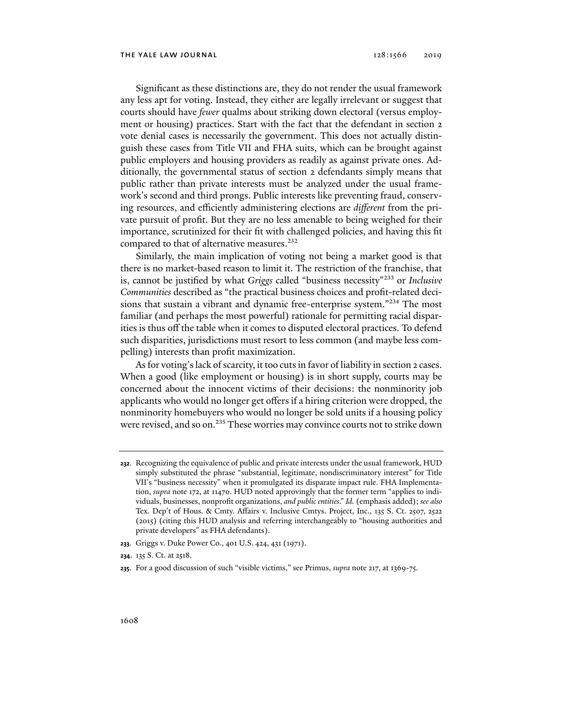Significant as these distinctions are, they do not render the usual framework any less apt for voting. Instead, they either are legally irrelevant or suggest that courts should have *fewer* qualms about striking down electoral (versus employment or housing) practices. Start with the fact that the defendant in section 2 vote denial cases is necessarily the government. This does not actually distinguish these cases from Title VII and FHA suits, which can be brought against public employers and housing providers as readily as against private ones. Additionally, the governmental status of section 2 defendants simply means that public rather than private interests must be analyzed under the usual framework's second and third prongs. Public interests like preventing fraud, conserving resources, and efficiently administering elections are *different* from the private pursuit of profit. But they are no less amenable to being weighed for their importance, scrutinized for their fit with challenged policies, and having this fit compared to that of alternative measures.<sup>232</sup>

Similarly, the main implication of voting not being a market good is that there is no market-based reason to limit it. The restriction of the franchise, that is, cannot be justified by what *Griggs* called "business necessity"233 or *Inclusive Communities* described as "the practical business choices and profit-related decisions that sustain a vibrant and dynamic free-enterprise system."<sup>234</sup> The most familiar (and perhaps the most powerful) rationale for permitting racial disparities is thus off the table when it comes to disputed electoral practices. To defend such disparities, jurisdictions must resort to less common (and maybe less compelling) interests than profit maximization.

As for voting's lack of scarcity, it too cuts in favor of liability in section 2 cases. When a good (like employment or housing) is in short supply, courts may be concerned about the innocent victims of their decisions: the nonminority job applicants who would no longer get offers if a hiring criterion were dropped, the nonminority homebuyers who would no longer be sold units if a housing policy were revised, and so on.<sup>235</sup> These worries may convince courts not to strike down

**233**. Griggs v. Duke Power Co., 401 U.S. 424, 431 (1971).

**235**. For a good discussion of such "visible victims," see Primus, *supra* note 217, at 1369-75.

**<sup>232</sup>**. Recognizing the equivalence of public and private interests under the usual framework, HUD simply substituted the phrase "substantial, legitimate, nondiscriminatory interest" for Title VII's "business necessity" when it promulgated its disparate impact rule. FHA Implementation, *supra* note 172, at 11470. HUD noted approvingly that the former term "applies to individuals, businesses, nonprofit organizations, *and public entities*." *Id.* (emphasis added); *see also* Tex. Dep't of Hous. & Cmty. Affairs v. Inclusive Cmtys. Project, Inc., 135 S. Ct. 2507, 2522 (2015) (citing this HUD analysis and referring interchangeably to "housing authorities and private developers" as FHA defendants).

**<sup>234</sup>**. 135 S. Ct. at 2518.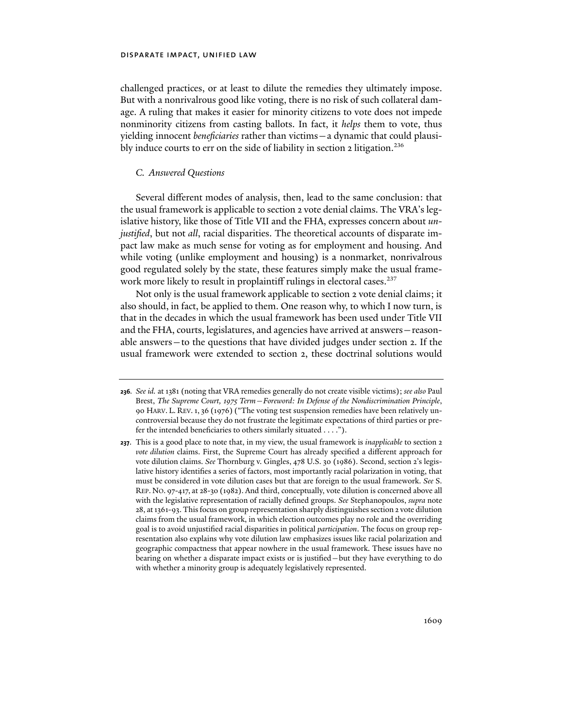challenged practices, or at least to dilute the remedies they ultimately impose. But with a nonrivalrous good like voting, there is no risk of such collateral damage. A ruling that makes it easier for minority citizens to vote does not impede nonminority citizens from casting ballots. In fact, it *helps* them to vote, thus yielding innocent *beneficiaries* rather than victims—a dynamic that could plausibly induce courts to err on the side of liability in section 2 litigation.<sup>236</sup>

# *C. Answered Questions*

Several different modes of analysis, then, lead to the same conclusion: that the usual framework is applicable to section 2 vote denial claims. The VRA's legislative history, like those of Title VII and the FHA, expresses concern about *unjustified*, but not *all*, racial disparities. The theoretical accounts of disparate impact law make as much sense for voting as for employment and housing. And while voting (unlike employment and housing) is a nonmarket, nonrivalrous good regulated solely by the state, these features simply make the usual framework more likely to result in proplaintiff rulings in electoral cases.<sup>237</sup>

Not only is the usual framework applicable to section 2 vote denial claims; it also should, in fact, be applied to them. One reason why, to which I now turn, is that in the decades in which the usual framework has been used under Title VII and the FHA, courts, legislatures, and agencies have arrived at answers—reasonable answers—to the questions that have divided judges under section 2. If the usual framework were extended to section 2, these doctrinal solutions would

**<sup>236</sup>***. See id.* at 1381 (noting that VRA remedies generally do not create visible victims); *see also* Paul Brest, *The Supreme Court, 1975 Term—Foreword: In Defense of the Nondiscrimination Principle*, 90 HARV. L. REV.1, 36 (1976) ("The voting test suspension remedies have been relatively uncontroversial because they do not frustrate the legitimate expectations of third parties or prefer the intended beneficiaries to others similarly situated . . . .").

**<sup>237</sup>**. This is a good place to note that, in my view, the usual framework is *inapplicable* to section 2 *vote dilution* claims. First, the Supreme Court has already specified a different approach for vote dilution claims. *See* Thornburg v. Gingles, 478 U.S. 30 (1986). Second, section 2's legislative history identifies a series of factors, most importantly racial polarization in voting, that must be considered in vote dilution cases but that are foreign to the usual framework. *See* S. REP. NO. 97-417, at 28-30 (1982). And third, conceptually, vote dilution is concerned above all with the legislative representation of racially defined groups. *See* Stephanopoulos, *supra* note 28, at 1361-93. This focus on group representation sharply distinguishes section 2 vote dilution claims from the usual framework, in which election outcomes play no role and the overriding goal is to avoid unjustified racial disparities in political *participation*. The focus on group representation also explains why vote dilution law emphasizes issues like racial polarization and geographic compactness that appear nowhere in the usual framework. These issues have no bearing on whether a disparate impact exists or is justified—but they have everything to do with whether a minority group is adequately legislatively represented.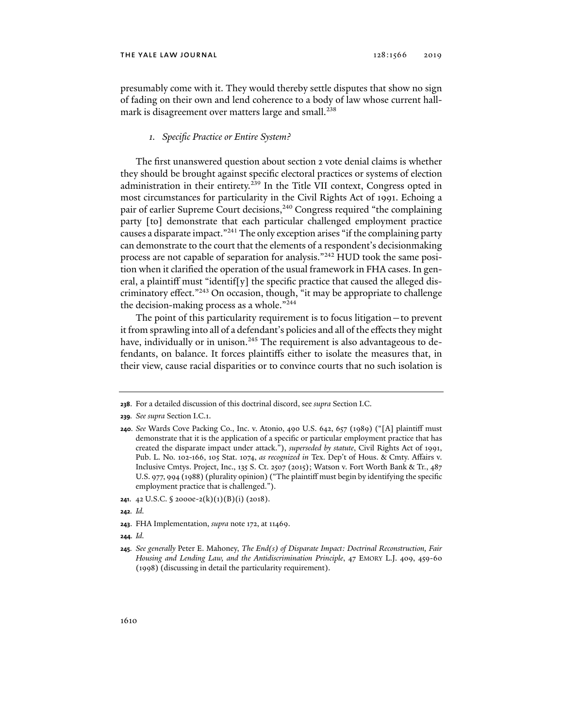presumably come with it. They would thereby settle disputes that show no sign of fading on their own and lend coherence to a body of law whose current hallmark is disagreement over matters large and small.<sup>238</sup>

### *1. Specific Practice or Entire System?*

The first unanswered question about section 2 vote denial claims is whether they should be brought against specific electoral practices or systems of election administration in their entirety.<sup>239</sup> In the Title VII context, Congress opted in most circumstances for particularity in the Civil Rights Act of 1991. Echoing a pair of earlier Supreme Court decisions,<sup>240</sup> Congress required "the complaining party [to] demonstrate that each particular challenged employment practice causes a disparate impact."241 The only exception arises "if the complaining party can demonstrate to the court that the elements of a respondent's decisionmaking process are not capable of separation for analysis."242 HUD took the same position when it clarified the operation of the usual framework in FHA cases. In general, a plaintiff must "identif[y] the specific practice that caused the alleged discriminatory effect."243 On occasion, though, "it may be appropriate to challenge the decision-making process as a whole."<sup>244</sup>

The point of this particularity requirement is to focus litigation—to prevent it from sprawling into all of a defendant's policies and all of the effects they might have, individually or in unison.<sup>245</sup> The requirement is also advantageous to defendants, on balance. It forces plaintiffs either to isolate the measures that, in their view, cause racial disparities or to convince courts that no such isolation is

**<sup>238</sup>**. For a detailed discussion of this doctrinal discord, see *supra* Section I.C.

**<sup>239</sup>***. See supra* Section I.C.1.

**<sup>240</sup>***. See* Wards Cove Packing Co., Inc. v. Atonio, 490 U.S. 642, 657 (1989) ("[A] plaintiff must demonstrate that it is the application of a specific or particular employment practice that has created the disparate impact under attack."), *superseded by statute*, Civil Rights Act of 1991, Pub. L. No. 102-166, 105 Stat. 1074, *as recognized in* Tex. Dep't of Hous. & Cmty. Affairs v. Inclusive Cmtys. Project, Inc., 135 S. Ct. 2507 (2015); Watson v. Fort Worth Bank & Tr., 487 U.S. 977, 994 (1988) (plurality opinion) ("The plaintiff must begin by identifying the specific employment practice that is challenged.").

**<sup>241</sup>**. 42 U.S.C. § 2000e-2(k)(1)(B)(i) (2018).

**<sup>242</sup>***. Id.*

**<sup>243</sup>**. FHA Implementation, *supra* note 172, at 11469.

**<sup>244</sup>***. Id.*

**<sup>245</sup>***. See generally* Peter E. Mahoney, *The End(s) of Disparate Impact: Doctrinal Reconstruction, Fair Housing and Lending Law, and the Antidiscrimination Principle*, 47 EMORY L.J. 409, 459-60 (1998) (discussing in detail the particularity requirement).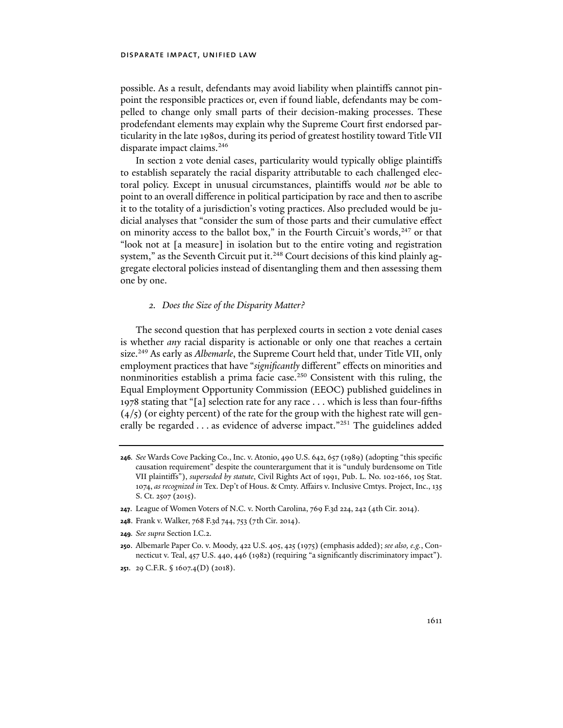possible. As a result, defendants may avoid liability when plaintiffs cannot pinpoint the responsible practices or, even if found liable, defendants may be compelled to change only small parts of their decision-making processes. These prodefendant elements may explain why the Supreme Court first endorsed particularity in the late 1980s, during its period of greatest hostility toward Title VII disparate impact claims.<sup>246</sup>

In section 2 vote denial cases, particularity would typically oblige plaintiffs to establish separately the racial disparity attributable to each challenged electoral policy. Except in unusual circumstances, plaintiffs would *not* be able to point to an overall difference in political participation by race and then to ascribe it to the totality of a jurisdiction's voting practices. Also precluded would be judicial analyses that "consider the sum of those parts and their cumulative effect on minority access to the ballot box," in the Fourth Circuit's words, $247$  or that "look not at [a measure] in isolation but to the entire voting and registration system," as the Seventh Circuit put it.<sup>248</sup> Court decisions of this kind plainly aggregate electoral policies instead of disentangling them and then assessing them one by one.

# *2. Does the Size of the Disparity Matter?*

The second question that has perplexed courts in section 2 vote denial cases is whether *any* racial disparity is actionable or only one that reaches a certain size.<sup>249</sup> As early as *Albemarle*, the Supreme Court held that, under Title VII, only employment practices that have "*significantly* different" effects on minorities and nonminorities establish a prima facie case.250 Consistent with this ruling, the Equal Employment Opportunity Commission (EEOC) published guidelines in 1978 stating that "[a] selection rate for any race . . . which is less than four-fifths  $(4/5)$  (or eighty percent) of the rate for the group with the highest rate will generally be regarded . . . as evidence of adverse impact."251 The guidelines added

**<sup>246</sup>***. See* Wards Cove Packing Co., Inc. v. Atonio, 490 U.S. 642, 657 (1989) (adopting "this specific causation requirement" despite the counterargument that it is "unduly burdensome on Title VII plaintiffs"), *superseded by statute*, Civil Rights Act of 1991, Pub. L. No. 102-166, 105 Stat. 1074, *as recognized in* Tex. Dep't of Hous. & Cmty. Affairs v. Inclusive Cmtys. Project, Inc., 135 S. Ct. 2507 (2015).

**<sup>247</sup>**. League of Women Voters of N.C. v. North Carolina, 769 F.3d 224, 242 (4th Cir. 2014).

**<sup>248</sup>**. Frank v. Walker, 768 F.3d 744, 753 (7th Cir. 2014).

**<sup>249</sup>***. See supra* Section I.C.2.

**<sup>250</sup>**. Albemarle Paper Co. v. Moody, 422 U.S. 405, 425 (1975) (emphasis added); *see also, e.g.*, Connecticut v. Teal, 457 U.S. 440, 446 (1982) (requiring "a significantly discriminatory impact").

**<sup>251</sup>**. 29 C.F.R. § 1607.4(D) (2018).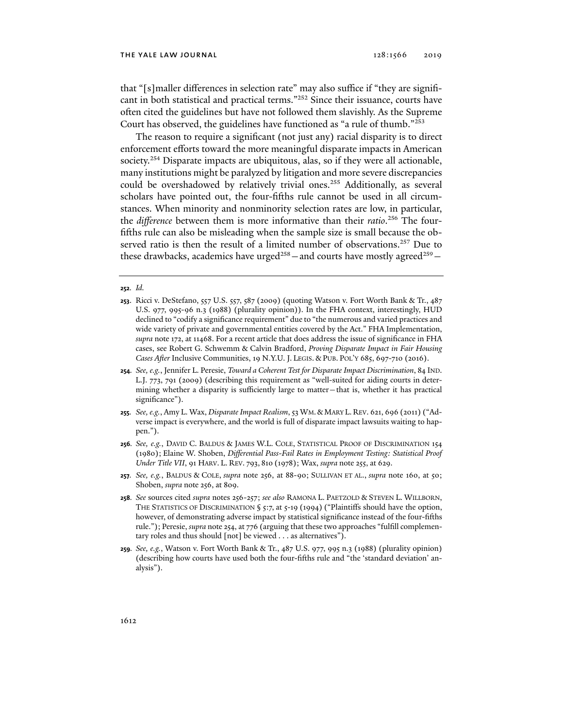that "[s]maller differences in selection rate" may also suffice if "they are significant in both statistical and practical terms."252 Since their issuance, courts have often cited the guidelines but have not followed them slavishly. As the Supreme Court has observed, the guidelines have functioned as "a rule of thumb."253

The reason to require a significant (not just any) racial disparity is to direct enforcement efforts toward the more meaningful disparate impacts in American society.<sup>254</sup> Disparate impacts are ubiquitous, alas, so if they were all actionable, many institutions might be paralyzed by litigation and more severe discrepancies could be overshadowed by relatively trivial ones.<sup>255</sup> Additionally, as several scholars have pointed out, the four-fifths rule cannot be used in all circumstances. When minority and nonminority selection rates are low, in particular, the *difference* between them is more informative than their *ratio*. 256 The fourfifths rule can also be misleading when the sample size is small because the observed ratio is then the result of a limited number of observations.<sup>257</sup> Due to these drawbacks, academics have urged<sup>258</sup> – and courts have mostly agreed<sup>259</sup> –

#### **252***. Id.*

- **254***. See, e.g.*, Jennifer L. Peresie, *Toward a Coherent Test for Disparate Impact Discrimination*, 84 IND. L.J. 773, 791 (2009) (describing this requirement as "well-suited for aiding courts in determining whether a disparity is sufficiently large to matter—that is, whether it has practical significance").
- **255***. See, e.g.*, Amy L. Wax, *Disparate Impact Realism*, 53 WM.& MARY L. REV. 621, 696 (2011) ("Adverse impact is everywhere, and the world is full of disparate impact lawsuits waiting to happen.").
- **256***. See, e.g.*, DAVID C. BALDUS & JAMES W.L. COLE, STATISTICAL PROOF OF DISCRIMINATION 154 (1980); Elaine W. Shoben, *Differential Pass-Fail Rates in Employment Testing: Statistical Proof Under Title VII*, 91 HARV. L. REV. 793, 810 (1978); Wax, *supra* note 255, at 629.
- **257***. See, e.g.*, BALDUS & COLE, *supra* note 256, at 88-90; SULLIVAN ET AL., *supra* note 160, at 50; Shoben, *supra* note 256, at 809.
- **258***. See* sources cited *supra* notes 256-257; *see also* RAMONA L. PAETZOLD & STEVEN L. WILLBORN, THE STATISTICS OF DISCRIMINATION § 5:7, at 5-19 (1994) ("Plaintiffs should have the option, however, of demonstrating adverse impact by statistical significance instead of the four-fifths rule."); Peresie, *supra* note 254, at 776 (arguing that these two approaches "fulfill complementary roles and thus should [not] be viewed . . . as alternatives").
- **259***. See, e.g.*, Watson v. Fort Worth Bank & Tr., 487 U.S. 977, 995 n.3 (1988) (plurality opinion) (describing how courts have used both the four-fifths rule and "the 'standard deviation' analysis").

**<sup>253</sup>**. Ricci v. DeStefano, 557 U.S. 557, 587 (2009) (quoting Watson v. Fort Worth Bank & Tr., 487 U.S. 977, 995-96 n.3 (1988) (plurality opinion)). In the FHA context, interestingly, HUD declined to "codify a significance requirement" due to "the numerous and varied practices and wide variety of private and governmental entities covered by the Act." FHA Implementation, *supra* note 172, at 11468. For a recent article that does address the issue of significance in FHA cases, see Robert G. Schwemm & Calvin Bradford, *Proving Disparate Impact in Fair Housing Cases After* Inclusive Communities, 19 N.Y.U. J. LEGIS. & PUB. POL'Y 685, 697-710 (2016).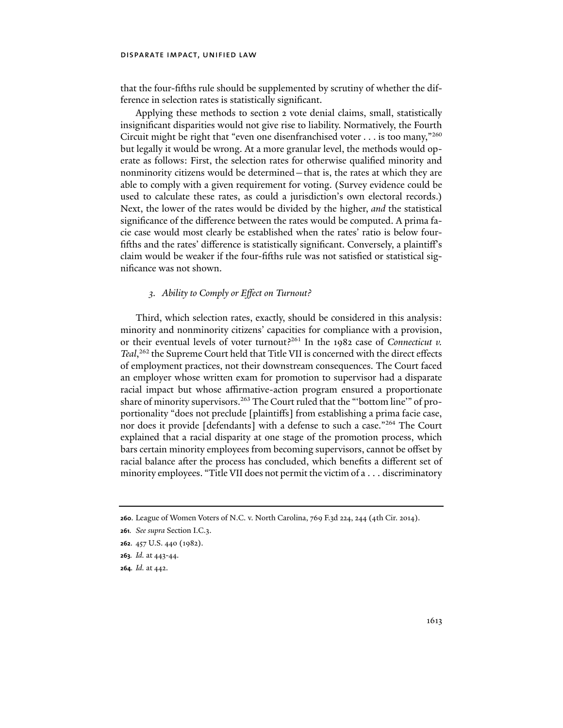that the four-fifths rule should be supplemented by scrutiny of whether the difference in selection rates is statistically significant.

Applying these methods to section 2 vote denial claims, small, statistically insignificant disparities would not give rise to liability. Normatively, the Fourth Circuit might be right that "even one disenfranchised voter  $\dots$  is too many,"260 but legally it would be wrong. At a more granular level, the methods would operate as follows: First, the selection rates for otherwise qualified minority and nonminority citizens would be determined—that is, the rates at which they are able to comply with a given requirement for voting. (Survey evidence could be used to calculate these rates, as could a jurisdiction's own electoral records.) Next, the lower of the rates would be divided by the higher, *and* the statistical significance of the difference between the rates would be computed. A prima facie case would most clearly be established when the rates' ratio is below fourfifths and the rates' difference is statistically significant. Conversely, a plaintiff's claim would be weaker if the four-fifths rule was not satisfied or statistical significance was not shown.

# *3. Ability to Comply or Effect on Turnout?*

Third, which selection rates, exactly, should be considered in this analysis: minority and nonminority citizens' capacities for compliance with a provision, or their eventual levels of voter turnout?<sup>261</sup> In the 1982 case of *Connecticut v*. *Teal*, 262 the Supreme Court held that Title VII is concerned with the direct effects of employment practices, not their downstream consequences. The Court faced an employer whose written exam for promotion to supervisor had a disparate racial impact but whose affirmative-action program ensured a proportionate share of minority supervisors.<sup>263</sup> The Court ruled that the "'bottom line'" of proportionality "does not preclude [plaintiffs] from establishing a prima facie case, nor does it provide [defendants] with a defense to such a case."<sup>264</sup> The Court explained that a racial disparity at one stage of the promotion process, which bars certain minority employees from becoming supervisors, cannot be offset by racial balance after the process has concluded, which benefits a different set of minority employees. "Title VII does not permit the victim of a . . . discriminatory

**<sup>260</sup>**. League of Women Voters of N.C. v. North Carolina, 769 F.3d 224, 244 (4th Cir. 2014).

**<sup>261</sup>***. See supra* Section I.C.3.

**<sup>262</sup>**. 457 U.S. 440 (1982).

**<sup>263</sup>***. Id.* at 443-44.

**<sup>264</sup>***. Id.* at 442.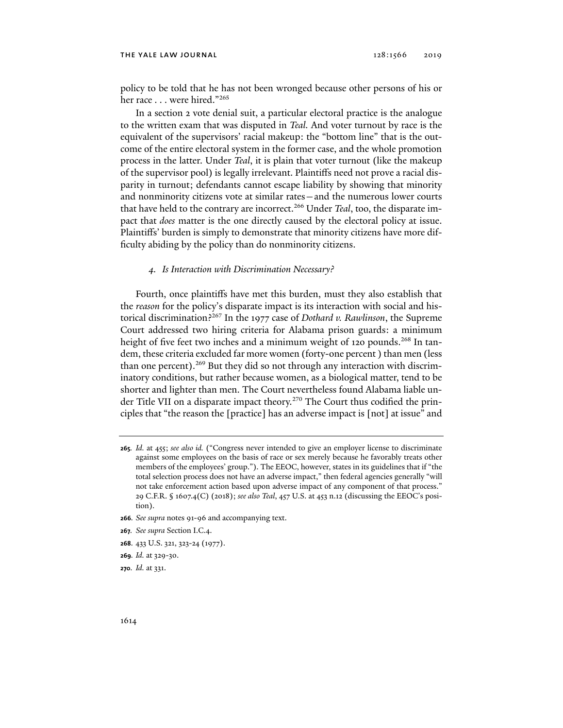#### THE YALE LAW JOURNAL 2019 2019 2019

policy to be told that he has not been wronged because other persons of his or her race . . . were hired."265

In a section 2 vote denial suit, a particular electoral practice is the analogue to the written exam that was disputed in *Teal.* And voter turnout by race is the equivalent of the supervisors' racial makeup: the "bottom line" that is the outcome of the entire electoral system in the former case, and the whole promotion process in the latter. Under *Teal*, it is plain that voter turnout (like the makeup of the supervisor pool) is legally irrelevant. Plaintiffs need not prove a racial disparity in turnout; defendants cannot escape liability by showing that minority and nonminority citizens vote at similar rates—and the numerous lower courts that have held to the contrary are incorrect.266 Under *Teal*, too, the disparate impact that *does* matter is the one directly caused by the electoral policy at issue. Plaintiffs' burden is simply to demonstrate that minority citizens have more difficulty abiding by the policy than do nonminority citizens.

### *4. Is Interaction with Discrimination Necessary?*

Fourth, once plaintiffs have met this burden, must they also establish that the *reason* for the policy's disparate impact is its interaction with social and historical discrimination?267 In the 1977 case of *Dothard v. Rawlinson*, the Supreme Court addressed two hiring criteria for Alabama prison guards: a minimum height of five feet two inches and a minimum weight of 120 pounds.<sup>268</sup> In tandem, these criteria excluded far more women (forty-one percent ) than men (less than one percent).<sup>269</sup> But they did so not through any interaction with discriminatory conditions, but rather because women, as a biological matter, tend to be shorter and lighter than men. The Court nevertheless found Alabama liable under Title VII on a disparate impact theory.<sup>270</sup> The Court thus codified the principles that "the reason the [practice] has an adverse impact is [not] at issue" and

- **266***. See supra* notes 91-96 and accompanying text.
- **267***. See supra* Section I.C.4.
- **268**. 433 U.S. 321, 323-24 (1977).
- **269***. Id.* at 329-30.
- **270***. Id.* at 331.

**<sup>265</sup>***. Id.* at 455; *see also id.* ("Congress never intended to give an employer license to discriminate against some employees on the basis of race or sex merely because he favorably treats other members of the employees' group."). The EEOC, however, states in its guidelines that if "the total selection process does not have an adverse impact," then federal agencies generally "will not take enforcement action based upon adverse impact of any component of that process." 29 C.F.R. § 1607.4(C) (2018); *see also Teal*, 457 U.S. at 453 n.12 (discussing the EEOC's position).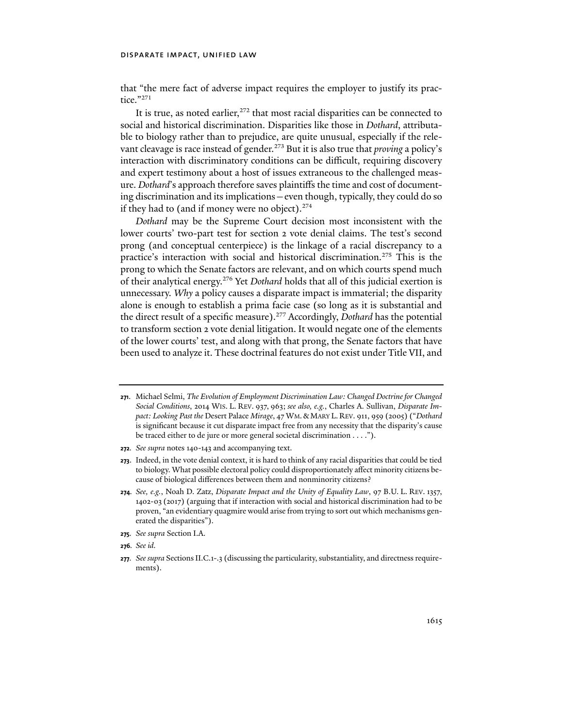that "the mere fact of adverse impact requires the employer to justify its practice."271

It is true, as noted earlier, $272$  that most racial disparities can be connected to social and historical discrimination. Disparities like those in *Dothard*, attributable to biology rather than to prejudice, are quite unusual, especially if the relevant cleavage is race instead of gender.<sup>273</sup> But it is also true that *proving* a policy's interaction with discriminatory conditions can be difficult, requiring discovery and expert testimony about a host of issues extraneous to the challenged measure. *Dothard*'s approach therefore saves plaintiffs the time and cost of documenting discrimination and its implications—even though, typically, they could do so if they had to (and if money were no object). $274$ 

*Dothard* may be the Supreme Court decision most inconsistent with the lower courts' two-part test for section 2 vote denial claims. The test's second prong (and conceptual centerpiece) is the linkage of a racial discrepancy to a practice's interaction with social and historical discrimination.<sup>275</sup> This is the prong to which the Senate factors are relevant, and on which courts spend much of their analytical energy.276 Yet *Dothard* holds that all of this judicial exertion is unnecessary. *Why* a policy causes a disparate impact is immaterial; the disparity alone is enough to establish a prima facie case (so long as it is substantial and the direct result of a specific measure).277 Accordingly, *Dothard* has the potential to transform section 2 vote denial litigation. It would negate one of the elements of the lower courts' test, and along with that prong, the Senate factors that have been used to analyze it. These doctrinal features do not exist under Title VII, and

- **272***. See supra* notes 140-143 and accompanying text.
- **273**. Indeed, in the vote denial context, it is hard to think of any racial disparities that could be tied to biology. What possible electoral policy could disproportionately affect minority citizens because of biological differences between them and nonminority citizens?
- **274***. See, e.g.*, Noah D. Zatz, *Disparate Impact and the Unity of Equality Law*, 97 B.U. L. REV. 1357, 1402-03 (2017) (arguing that if interaction with social and historical discrimination had to be proven, "an evidentiary quagmire would arise from trying to sort out which mechanisms generated the disparities").
- **275***. See supra* Section I.A.
- **276***. See id.*

**<sup>271</sup>**. Michael Selmi, *The Evolution of Employment Discrimination Law: Changed Doctrine for Changed Social Conditions*, 2014 WIS. L. REV. 937, 963; *see also, e.g.*, Charles A. Sullivan, *Disparate Impact: Looking Past the* Desert Palace *Mirage*, 47 WM.& MARY L. REV. 911, 959 (2005) ("*Dothard* is significant because it cut disparate impact free from any necessity that the disparity's cause be traced either to de jure or more general societal discrimination . . . .").

**<sup>277</sup>***. See supra* Sections II.C.1-.3 (discussing the particularity, substantiality, and directness requirements).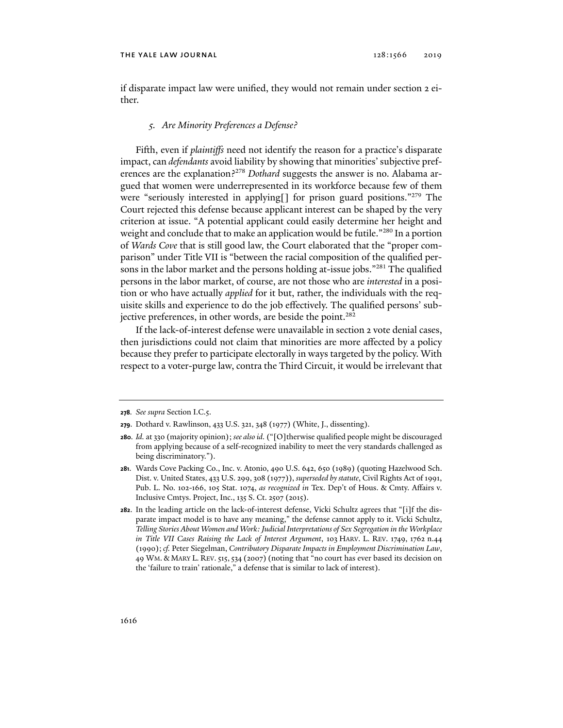if disparate impact law were unified, they would not remain under section 2 either.

### *5. Are Minority Preferences a Defense?*

Fifth, even if *plaintiffs* need not identify the reason for a practice's disparate impact, can *defendants* avoid liability by showing that minorities' subjective preferences are the explanation?<sup>278</sup> *Dothard* suggests the answer is no. Alabama argued that women were underrepresented in its workforce because few of them were "seriously interested in applying[] for prison guard positions."279 The Court rejected this defense because applicant interest can be shaped by the very criterion at issue. "A potential applicant could easily determine her height and weight and conclude that to make an application would be futile."<sup>280</sup> In a portion of *Wards Cove* that is still good law, the Court elaborated that the "proper comparison" under Title VII is "between the racial composition of the qualified persons in the labor market and the persons holding at-issue jobs."<sup>281</sup> The qualified persons in the labor market, of course, are not those who are *interested* in a position or who have actually *applied* for it but, rather, the individuals with the requisite skills and experience to do the job effectively. The qualified persons' subjective preferences, in other words, are beside the point.<sup>282</sup>

If the lack-of-interest defense were unavailable in section 2 vote denial cases, then jurisdictions could not claim that minorities are more affected by a policy because they prefer to participate electorally in ways targeted by the policy. With respect to a voter-purge law, contra the Third Circuit, it would be irrelevant that

**<sup>278</sup>***. See supra* Section I.C.5.

**<sup>279</sup>**. Dothard v. Rawlinson, 433 U.S. 321, 348 (1977) (White, J., dissenting).

**<sup>280</sup>***. Id.* at 330 (majority opinion); *see also id.* ("[O]therwise qualified people might be discouraged from applying because of a self-recognized inability to meet the very standards challenged as being discriminatory.").

**<sup>281</sup>**. Wards Cove Packing Co., Inc. v. Atonio, 490 U.S. 642, 650 (1989) (quoting Hazelwood Sch. Dist. v. United States, 433 U.S. 299, 308 (1977)), *superseded by statute*, Civil Rights Act of 1991, Pub. L. No. 102-166, 105 Stat. 1074, *as recognized in* Tex. Dep't of Hous. & Cmty. Affairs v. Inclusive Cmtys. Project, Inc., 135 S. Ct. 2507 (2015).

**<sup>282</sup>**. In the leading article on the lack-of-interest defense, Vicki Schultz agrees that "[i]f the disparate impact model is to have any meaning," the defense cannot apply to it. Vicki Schultz, *Telling Stories About Women and Work: Judicial Interpretations of Sex Segregation in the Workplace in Title VII Cases Raising the Lack of Interest Argument*, 103 HARV. L. REV. 1749, 1762 n.44 (1990); *cf.* Peter Siegelman, *Contributory Disparate Impacts in Employment Discrimination Law*, 49 WM. & MARY L. REV. 515,534 (2007) (noting that "no court has ever based its decision on the 'failure to train' rationale," a defense that is similar to lack of interest).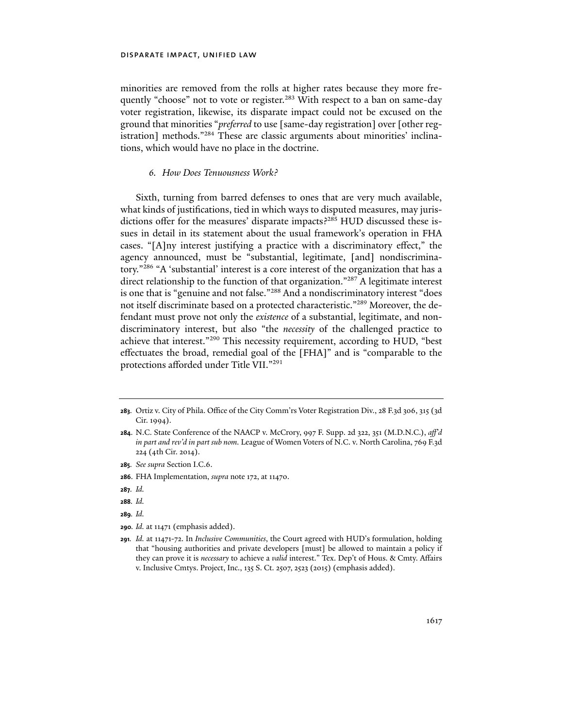minorities are removed from the rolls at higher rates because they more frequently "choose" not to vote or register.<sup>283</sup> With respect to a ban on same-day voter registration, likewise, its disparate impact could not be excused on the ground that minorities "*preferred* to use [same-day registration] over [other registration] methods."<sup>284</sup> These are classic arguments about minorities' inclinations, which would have no place in the doctrine.

# *6. How Does Tenuousness Work?*

Sixth, turning from barred defenses to ones that are very much available, what kinds of justifications, tied in which ways to disputed measures, may jurisdictions offer for the measures' disparate impacts?<sup>285</sup> HUD discussed these issues in detail in its statement about the usual framework's operation in FHA cases. "[A]ny interest justifying a practice with a discriminatory effect," the agency announced, must be "substantial, legitimate, [and] nondiscriminatory."286 "A 'substantial' interest is a core interest of the organization that has a direct relationship to the function of that organization."<sup>287</sup> A legitimate interest is one that is "genuine and not false."288 And a nondiscriminatory interest "does not itself discriminate based on a protected characteristic."289 Moreover, the defendant must prove not only the *existence* of a substantial, legitimate, and nondiscriminatory interest, but also "the *necessity* of the challenged practice to achieve that interest."290 This necessity requirement, according to HUD, "best effectuates the broad, remedial goal of the [FHA]" and is "comparable to the protections afforded under Title VII."291

- **287***. Id.*
- **288***. Id.*
- **289***. Id.*
- **290***. Id.* at 11471 (emphasis added).

**<sup>283</sup>***.* Ortiz v. City of Phila. Office of the City Comm'rs Voter Registration Div., 28 F.3d 306, 315 (3d Cir. 1994).

**<sup>284</sup>**. N.C. State Conference of the NAACP v. McCrory, 997 F. Supp. 2d 322, 351 (M.D.N.C.), *aff'd in part and rev'd in part sub nom.* League of Women Voters of N.C. v. North Carolina, 769 F.3d 224 (4th Cir. 2014).

**<sup>285</sup>***. See supra* Section I.C.6.

**<sup>286</sup>**. FHA Implementation, *supra* note 172, at 11470.

**<sup>291</sup>***. Id.* at 11471-72. In *Inclusive Communities*, the Court agreed with HUD's formulation, holding that "housing authorities and private developers [must] be allowed to maintain a policy if they can prove it is *necessary* to achieve a *valid* interest." Tex. Dep't of Hous. & Cmty. Affairs v. Inclusive Cmtys. Project, Inc., 135 S. Ct. 2507, 2523 (2015) (emphasis added).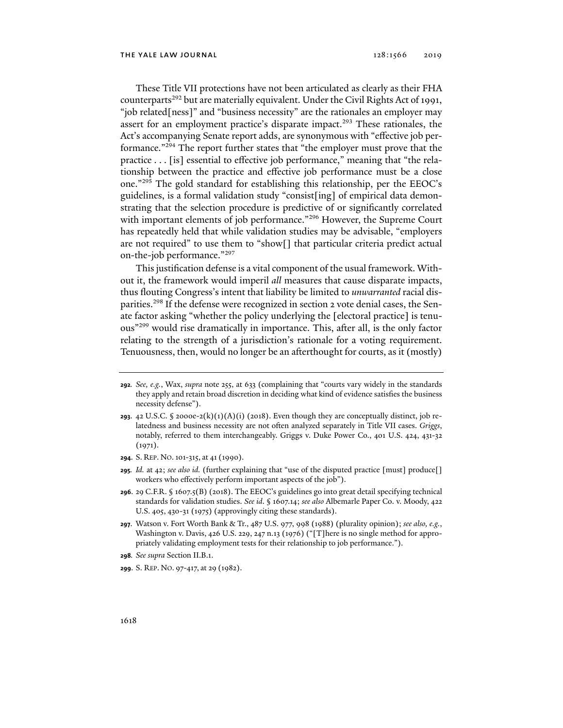These Title VII protections have not been articulated as clearly as their FHA counterparts<sup>292</sup> but are materially equivalent. Under the Civil Rights Act of 1991, "job related[ness]" and "business necessity" are the rationales an employer may assert for an employment practice's disparate impact.<sup>293</sup> These rationales, the Act's accompanying Senate report adds, are synonymous with "effective job performance."294 The report further states that "the employer must prove that the practice . . . [is] essential to effective job performance," meaning that "the relationship between the practice and effective job performance must be a close one."295 The gold standard for establishing this relationship, per the EEOC's guidelines, is a formal validation study "consist[ing] of empirical data demonstrating that the selection procedure is predictive of or significantly correlated with important elements of job performance."<sup>296</sup> However, the Supreme Court has repeatedly held that while validation studies may be advisable, "employers are not required" to use them to "show[] that particular criteria predict actual on-the-job performance."297

This justification defense is a vital component of the usual framework. Without it, the framework would imperil *all* measures that cause disparate impacts, thus flouting Congress's intent that liability be limited to *unwarranted* racial disparities.<sup>298</sup> If the defense were recognized in section 2 vote denial cases, the Senate factor asking "whether the policy underlying the [electoral practice] is tenuous"299 would rise dramatically in importance. This, after all, is the only factor relating to the strength of a jurisdiction's rationale for a voting requirement. Tenuousness, then, would no longer be an afterthought for courts, as it (mostly)

- **294**. S. REP. NO.101-315, at 41 (1990).
- **295***. Id.* at 42; *see also id.* (further explaining that "use of the disputed practice [must] produce[] workers who effectively perform important aspects of the job").
- **296**. 29 C.F.R. § 1607.5(B) (2018). The EEOC's guidelines go into great detail specifying technical standards for validation studies. *See id*. § 1607.14; *see also* Albemarle Paper Co. v. Moody, 422 U.S. 405, 430-31 (1975) (approvingly citing these standards).
- **297**. Watson v. Fort Worth Bank & Tr., 487 U.S. 977, 998 (1988) (plurality opinion); *see also, e.g.*, Washington v. Davis, 426 U.S. 229, 247 n.13 (1976) ("[T]here is no single method for appropriately validating employment tests for their relationship to job performance.").
- **298***. See supra* Section II.B.1.
- **299**. S. REP. NO. 97-417, at 29 (1982).

**<sup>292</sup>***. See, e.g.*, Wax, *supra* note 255, at 633 (complaining that "courts vary widely in the standards they apply and retain broad discretion in deciding what kind of evidence satisfies the business necessity defense").

**<sup>293</sup>**. 42 U.S.C. § 2000e-2(k)(1)(A)(i) (2018). Even though they are conceptually distinct, job relatedness and business necessity are not often analyzed separately in Title VII cases. *Griggs*, notably, referred to them interchangeably. Griggs v. Duke Power Co., 401 U.S. 424, 431-32 (1971).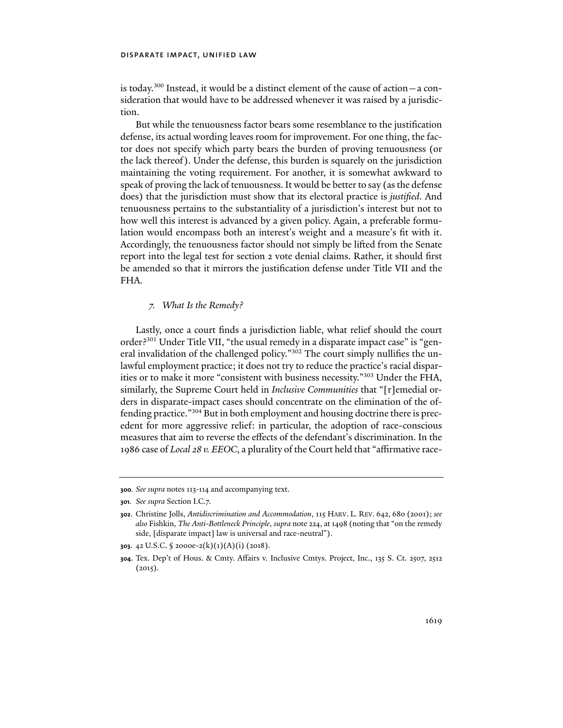is today.<sup>300</sup> Instead, it would be a distinct element of the cause of action  $-$  a consideration that would have to be addressed whenever it was raised by a jurisdiction.

But while the tenuousness factor bears some resemblance to the justification defense, its actual wording leaves room for improvement. For one thing, the factor does not specify which party bears the burden of proving tenuousness (or the lack thereof). Under the defense, this burden is squarely on the jurisdiction maintaining the voting requirement. For another, it is somewhat awkward to speak of proving the lack of tenuousness. It would be better to say (as the defense does) that the jurisdiction must show that its electoral practice is *justified*. And tenuousness pertains to the substantiality of a jurisdiction's interest but not to how well this interest is advanced by a given policy. Again, a preferable formulation would encompass both an interest's weight and a measure's fit with it. Accordingly, the tenuousness factor should not simply be lifted from the Senate report into the legal test for section 2 vote denial claims. Rather, it should first be amended so that it mirrors the justification defense under Title VII and the FHA.

### *7. What Is the Remedy?*

Lastly, once a court finds a jurisdiction liable, what relief should the court order?<sup>301</sup> Under Title VII, "the usual remedy in a disparate impact case" is "general invalidation of the challenged policy."302 The court simply nullifies the unlawful employment practice; it does not try to reduce the practice's racial disparities or to make it more "consistent with business necessity."303 Under the FHA, similarly, the Supreme Court held in *Inclusive Communities* that "[r]emedial orders in disparate-impact cases should concentrate on the elimination of the offending practice."304 But in both employment and housing doctrine there is precedent for more aggressive relief: in particular, the adoption of race-conscious measures that aim to reverse the effects of the defendant's discrimination. In the 1986 case of *Local 28 v. EEOC*, a plurality of the Court held that "affirmative race-

**<sup>300</sup>***. See supra* notes 113-114 and accompanying text.

**<sup>301</sup>***. See supra* Section I.C.7.

**<sup>302</sup>**. Christine Jolls, *Antidiscrimination and Accommodation*, 115 HARV. L. REV. 642, 680 (2001); *see also* Fishkin, *The Anti-Bottleneck Principle*, *supra* note 224, at 1498 (noting that "on the remedy side, [disparate impact] law is universal and race-neutral").

**<sup>303</sup>**. 42 U.S.C. § 2000e-2(k)(1)(A)(i) (2018).

**<sup>304</sup>**. Tex. Dep't of Hous. & Cmty. Affairs v. Inclusive Cmtys. Project, Inc., 135 S. Ct. 2507, 2512  $(2015).$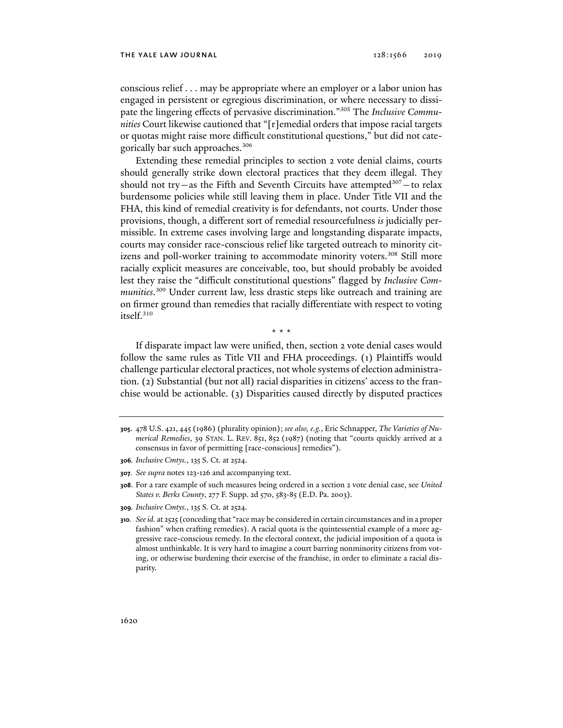conscious relief . . . may be appropriate where an employer or a labor union has engaged in persistent or egregious discrimination, or where necessary to dissipate the lingering effects of pervasive discrimination."305 The *Inclusive Communities* Court likewise cautioned that "[r]emedial orders that impose racial targets or quotas might raise more difficult constitutional questions," but did not categorically bar such approaches.306

Extending these remedial principles to section 2 vote denial claims, courts should generally strike down electoral practices that they deem illegal. They should not try—as the Fifth and Seventh Circuits have attempted<sup>307</sup>—to relax burdensome policies while still leaving them in place. Under Title VII and the FHA, this kind of remedial creativity is for defendants, not courts. Under those provisions, though, a different sort of remedial resourcefulness *is* judicially permissible. In extreme cases involving large and longstanding disparate impacts, courts may consider race-conscious relief like targeted outreach to minority citizens and poll-worker training to accommodate minority voters.<sup>308</sup> Still more racially explicit measures are conceivable, too, but should probably be avoided lest they raise the "difficult constitutional questions" flagged by *Inclusive Communities*. 309 Under current law, less drastic steps like outreach and training are on firmer ground than remedies that racially differentiate with respect to voting itself.310

\* \* \*

If disparate impact law were unified, then, section 2 vote denial cases would follow the same rules as Title VII and FHA proceedings. (1) Plaintiffs would challenge particular electoral practices, not whole systems of election administration. (2) Substantial (but not all) racial disparities in citizens' access to the franchise would be actionable. (3) Disparities caused directly by disputed practices

**309***. Inclusive Cmtys.*, 135 S. Ct. at 2524.

**<sup>305</sup>**. 478 U.S. 421, 445 (1986) (plurality opinion); *see also, e.g.*, Eric Schnapper, *The Varieties of Numerical Remedies*, 39 STAN. L. REV. 851, 852 (1987) (noting that "courts quickly arrived at a consensus in favor of permitting [race-conscious] remedies").

**<sup>306</sup>***. Inclusive Cmtys.*, 135 S. Ct. at 2524.

**<sup>307</sup>***. See supra* notes 123-126 and accompanying text.

**<sup>308</sup>**. For a rare example of such measures being ordered in a section 2 vote denial case, see *United States v. Berks County*, 277 F. Supp. 2d 570, 583-85 (E.D. Pa. 2003).

**<sup>310</sup>***. See id.* at 2525 (conceding that "race may be considered in certain circumstances and in a proper fashion" when crafting remedies). A racial quota is the quintessential example of a more aggressive race-conscious remedy. In the electoral context, the judicial imposition of a quota is almost unthinkable. It is very hard to imagine a court barring nonminority citizens from voting, or otherwise burdening their exercise of the franchise, in order to eliminate a racial disparity.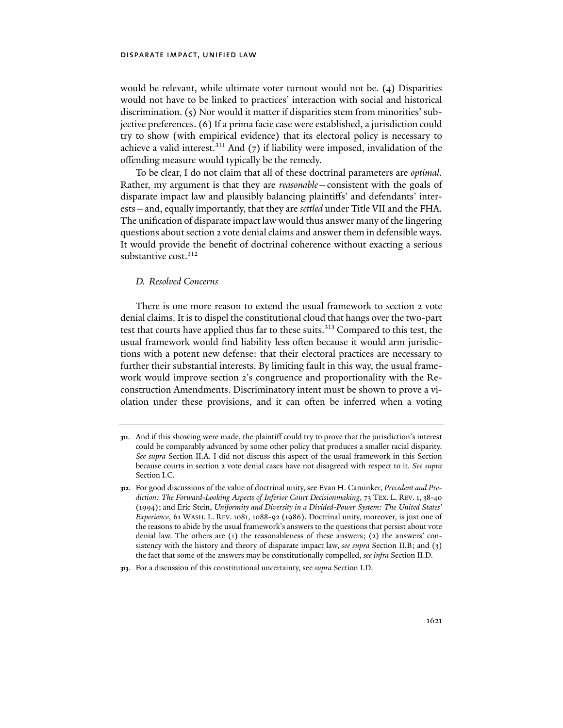would be relevant, while ultimate voter turnout would not be. (4) Disparities would not have to be linked to practices' interaction with social and historical discrimination. (5) Nor would it matter if disparities stem from minorities' subjective preferences. (6) If a prima facie case were established, a jurisdiction could try to show (with empirical evidence) that its electoral policy is necessary to achieve a valid interest. $311$  And (7) if liability were imposed, invalidation of the offending measure would typically be the remedy.

To be clear, I do not claim that all of these doctrinal parameters are *optimal*. Rather, my argument is that they are *reasonable*—consistent with the goals of disparate impact law and plausibly balancing plaintiffs' and defendants' interests—and, equally importantly, that they are *settled* under Title VII and the FHA. The unification of disparate impact law would thus answer many of the lingering questions about section 2 vote denial claims and answer them in defensible ways. It would provide the benefit of doctrinal coherence without exacting a serious substantive cost.<sup>312</sup>

### *D. Resolved Concerns*

There is one more reason to extend the usual framework to section 2 vote denial claims. It is to dispel the constitutional cloud that hangs over the two-part test that courts have applied thus far to these suits.<sup>313</sup> Compared to this test, the usual framework would find liability less often because it would arm jurisdictions with a potent new defense: that their electoral practices are necessary to further their substantial interests. By limiting fault in this way, the usual framework would improve section 2's congruence and proportionality with the Reconstruction Amendments. Discriminatory intent must be shown to prove a violation under these provisions, and it can often be inferred when a voting

**<sup>311</sup>**. And if this showing were made, the plaintiff could try to prove that the jurisdiction's interest could be comparably advanced by some other policy that produces a smaller racial disparity. *See supra* Section II.A. I did not discuss this aspect of the usual framework in this Section because courts in section 2 vote denial cases have not disagreed with respect to it. *See supra* Section I.C.

**<sup>312</sup>**. For good discussions of the value of doctrinal unity, see Evan H. Caminker, *Precedent and Prediction: The Forward-Looking Aspects of Inferior Court Decisionmaking*, 73 TEX. L. REV. 1, 38-40 (1994); and Eric Stein, *Uniformity and Diversity in a Divided-Power System: The United States' Experience*, 61 WASH. L. REV. 1081, 1088-92 (1986). Doctrinal unity, moreover, is just one of the reasons to abide by the usual framework's answers to the questions that persist about vote denial law. The others are (1) the reasonableness of these answers; (2) the answers' consistency with the history and theory of disparate impact law, *see supra* Section II.B; and (3) the fact that some of the answers may be constitutionally compelled, *see infra* Section II.D.

**<sup>313</sup>**. For a discussion of this constitutional uncertainty, see *supra* Section I.D.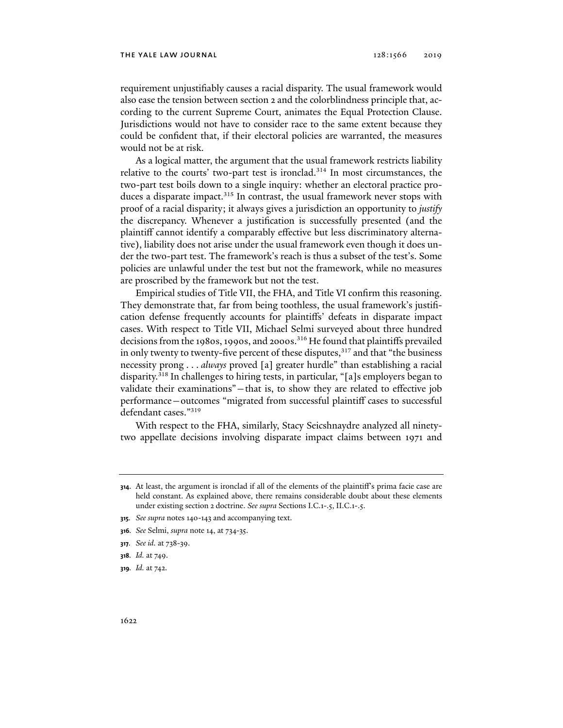#### the yale law journal 128:1566 2019

requirement unjustifiably causes a racial disparity. The usual framework would also ease the tension between section 2 and the colorblindness principle that, according to the current Supreme Court, animates the Equal Protection Clause. Jurisdictions would not have to consider race to the same extent because they could be confident that, if their electoral policies are warranted, the measures would not be at risk.

As a logical matter, the argument that the usual framework restricts liability relative to the courts' two-part test is ironclad.<sup>314</sup> In most circumstances, the two-part test boils down to a single inquiry: whether an electoral practice produces a disparate impact.<sup>315</sup> In contrast, the usual framework never stops with proof of a racial disparity; it always gives a jurisdiction an opportunity to *justify* the discrepancy. Whenever a justification is successfully presented (and the plaintiff cannot identify a comparably effective but less discriminatory alternative), liability does not arise under the usual framework even though it does under the two-part test. The framework's reach is thus a subset of the test's. Some policies are unlawful under the test but not the framework, while no measures are proscribed by the framework but not the test.

Empirical studies of Title VII, the FHA, and Title VI confirm this reasoning. They demonstrate that, far from being toothless, the usual framework's justification defense frequently accounts for plaintiffs' defeats in disparate impact cases. With respect to Title VII, Michael Selmi surveyed about three hundred decisions from the 1980s, 1990s, and 2000s.<sup>316</sup> He found that plaintiffs prevailed in only twenty to twenty-five percent of these disputes, $317$  and that "the business necessity prong . . . *always* proved [a] greater hurdle" than establishing a racial disparity.318 In challenges to hiring tests, in particular, "[a]s employers began to validate their examinations"—that is, to show they are related to effective job performance—outcomes "migrated from successful plaintiff cases to successful defendant cases."319

With respect to the FHA, similarly, Stacy Seicshnaydre analyzed all ninetytwo appellate decisions involving disparate impact claims between 1971 and

**<sup>314</sup>**. At least, the argument is ironclad if all of the elements of the plaintiff's prima facie case are held constant. As explained above, there remains considerable doubt about these elements under existing section 2 doctrine. *See supra* Sections I.C.1-.5, II.C.1-.5.

**<sup>315</sup>***. See supra* notes 140-143 and accompanying text.

**<sup>316</sup>***. See* Selmi, *supra* note 14, at 734-35.

**<sup>317</sup>***. See id.* at 738-39.

**<sup>318</sup>***. Id.* at 749.

**<sup>319</sup>***. Id.* at 742.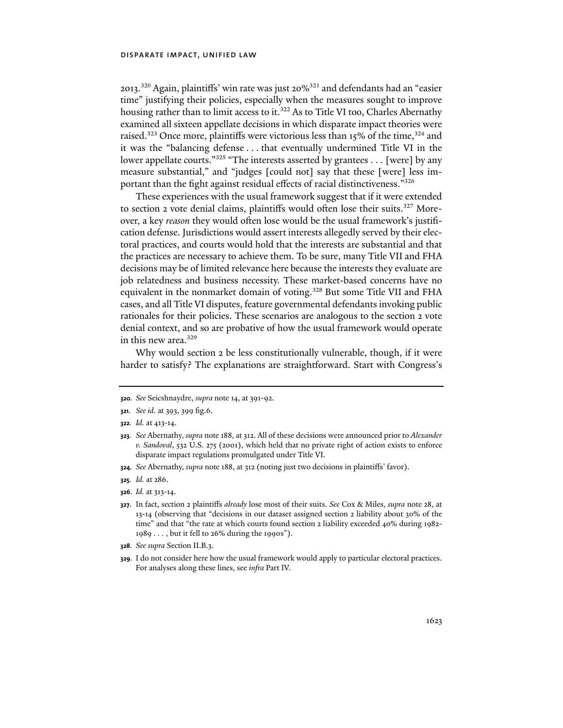2013.320 Again, plaintiffs' win rate was just 20%321 and defendants had an "easier time" justifying their policies, especially when the measures sought to improve housing rather than to limit access to it.<sup>322</sup> As to Title VI too, Charles Abernathy examined all sixteen appellate decisions in which disparate impact theories were raised.<sup>323</sup> Once more, plaintiffs were victorious less than 15% of the time,<sup>324</sup> and it was the "balancing defense . . . that eventually undermined Title VI in the lower appellate courts."<sup>325</sup> "The interests asserted by grantees . . . [were] by any measure substantial," and "judges [could not] say that these [were] less important than the fight against residual effects of racial distinctiveness."326

These experiences with the usual framework suggest that if it were extended to section 2 vote denial claims, plaintiffs would often lose their suits.<sup>327</sup> Moreover, a key *reason* they would often lose would be the usual framework's justification defense. Jurisdictions would assert interests allegedly served by their electoral practices, and courts would hold that the interests are substantial and that the practices are necessary to achieve them. To be sure, many Title VII and FHA decisions may be of limited relevance here because the interests they evaluate are job relatedness and business necessity. These market-based concerns have no equivalent in the nonmarket domain of voting.<sup>328</sup> But some Title VII and FHA cases, and all Title VI disputes, feature governmental defendants invoking public rationales for their policies. These scenarios are analogous to the section 2 vote denial context, and so are probative of how the usual framework would operate in this new area.<sup>329</sup>

Why would section 2 be less constitutionally vulnerable, though, if it were harder to satisfy? The explanations are straightforward. Start with Congress's

**324***. See* Abernathy, *supra* note 188, at 312 (noting just two decisions in plaintiffs' favor).

**326***. Id.* at 313-14.

- **328***. See supra* Section II.B.3.
- **329**. I do not consider here how the usual framework would apply to particular electoral practices. For analyses along these lines, see *infra* Part IV.

**<sup>320</sup>***. See* Seicshnaydre, *supra* note 14, at 391-92.

**<sup>321</sup>***. See id.* at 393, 399 fig.6.

**<sup>322</sup>***. Id.* at 413-14.

**<sup>323</sup>***. See* Abernathy, *supra* note 188, at 312. All of these decisions were announced prior to *Alexander v. Sandoval*, 532 U.S. 275 (2001), which held that no private right of action exists to enforce disparate impact regulations promulgated under Title VI.

**<sup>325</sup>***. Id.* at 286.

**<sup>327</sup>**. In fact, section 2 plaintiffs *already* lose most of their suits. *See* Cox & Miles, *supra* note 28, at 13-14 (observing that "decisions in our dataset assigned section 2 liability about 30% of the time" and that "the rate at which courts found section 2 liability exceeded 40% during 1982- 1989 . . . , but it fell to 26% during the 1990s").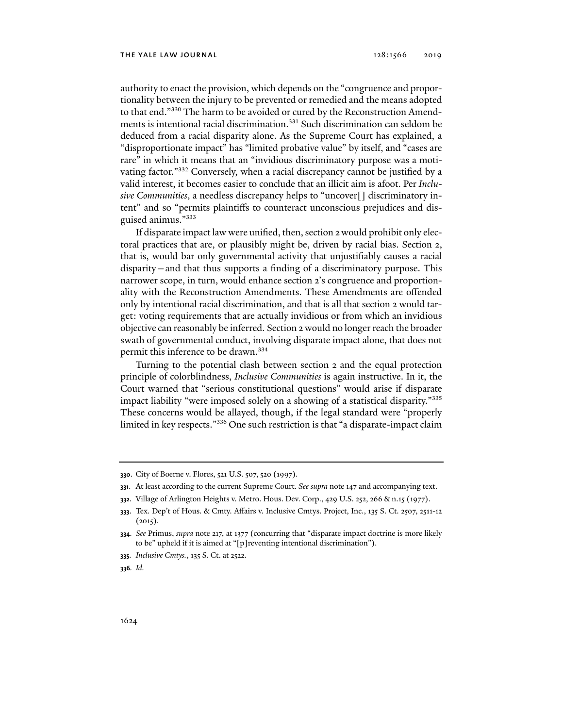authority to enact the provision, which depends on the "congruence and proportionality between the injury to be prevented or remedied and the means adopted to that end."330 The harm to be avoided or cured by the Reconstruction Amendments is intentional racial discrimination.<sup>331</sup> Such discrimination can seldom be deduced from a racial disparity alone. As the Supreme Court has explained, a "disproportionate impact" has "limited probative value" by itself, and "cases are rare" in which it means that an "invidious discriminatory purpose was a motivating factor."332 Conversely, when a racial discrepancy cannot be justified by a valid interest, it becomes easier to conclude that an illicit aim is afoot. Per *Inclusive Communities*, a needless discrepancy helps to "uncover[] discriminatory intent" and so "permits plaintiffs to counteract unconscious prejudices and disguised animus."333

If disparate impact law were unified, then, section 2 would prohibit only electoral practices that are, or plausibly might be, driven by racial bias. Section 2, that is, would bar only governmental activity that unjustifiably causes a racial disparity—and that thus supports a finding of a discriminatory purpose. This narrower scope, in turn, would enhance section 2's congruence and proportionality with the Reconstruction Amendments. These Amendments are offended only by intentional racial discrimination, and that is all that section 2 would target: voting requirements that are actually invidious or from which an invidious objective can reasonably be inferred. Section 2 would no longer reach the broader swath of governmental conduct, involving disparate impact alone, that does not permit this inference to be drawn.334

Turning to the potential clash between section 2 and the equal protection principle of colorblindness, *Inclusive Communities* is again instructive. In it, the Court warned that "serious constitutional questions" would arise if disparate impact liability "were imposed solely on a showing of a statistical disparity."335 These concerns would be allayed, though, if the legal standard were "properly limited in key respects."336 One such restriction is that "a disparate-impact claim

**<sup>330</sup>**. City of Boerne v. Flores, 521 U.S. 507, 520 (1997).

**<sup>331</sup>**. At least according to the current Supreme Court. *See supra* note 147 and accompanying text.

**<sup>332</sup>**. Village of Arlington Heights v. Metro. Hous. Dev. Corp., 429 U.S. 252, 266 & n.15 (1977).

**<sup>333</sup>**. Tex. Dep't of Hous. & Cmty. Affairs v. Inclusive Cmtys. Project, Inc., 135 S. Ct. 2507, 2511-12  $(2015).$ 

**<sup>334</sup>***. See* Primus, *supra* note 217, at 1377 (concurring that "disparate impact doctrine is more likely to be" upheld if it is aimed at "[p]reventing intentional discrimination").

**<sup>335</sup>***. Inclusive Cmtys.*, 135 S. Ct. at 2522.

**<sup>336</sup>***. Id.*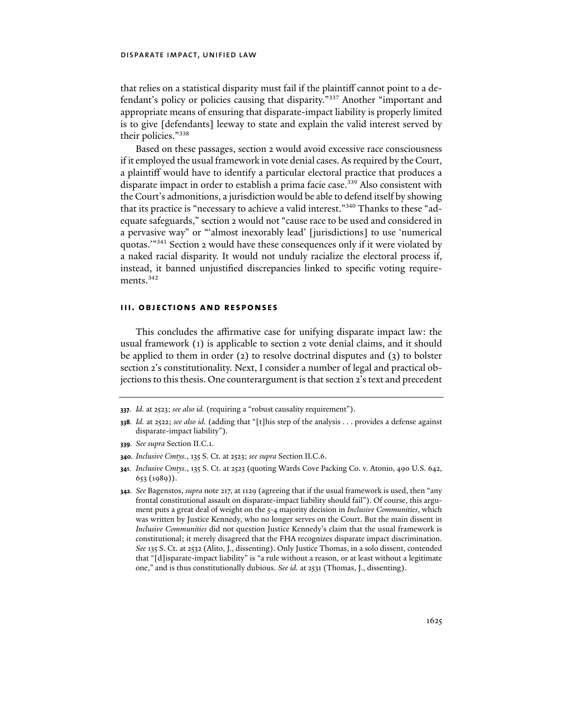that relies on a statistical disparity must fail if the plaintiff cannot point to a defendant's policy or policies causing that disparity."337 Another "important and appropriate means of ensuring that disparate-impact liability is properly limited is to give [defendants] leeway to state and explain the valid interest served by their policies."338

Based on these passages, section 2 would avoid excessive race consciousness if it employed the usual framework in vote denial cases. As required by the Court, a plaintiff would have to identify a particular electoral practice that produces a disparate impact in order to establish a prima facie case.<sup>339</sup> Also consistent with the Court's admonitions, a jurisdiction would be able to defend itself by showing that its practice is "necessary to achieve a valid interest."340 Thanks to these "adequate safeguards," section 2 would not "cause race to be used and considered in a pervasive way" or "'almost inexorably lead' [jurisdictions] to use 'numerical quotas.'"341 Section 2 would have these consequences only if it were violated by a naked racial disparity. It would not unduly racialize the electoral process if, instead, it banned unjustified discrepancies linked to specific voting requirements.<sup>342</sup>

## **iii. objections and responses**

This concludes the affirmative case for unifying disparate impact law: the usual framework (1) is applicable to section 2 vote denial claims, and it should be applied to them in order (2) to resolve doctrinal disputes and (3) to bolster section 2's constitutionality. Next, I consider a number of legal and practical objections to this thesis. One counterargument is that section 2's text and precedent

**339***. See supra* Section II.C.1.

**<sup>337</sup>***. Id.* at 2523; *see also id.* (requiring a "robust causality requirement").

**<sup>338</sup>***. Id.* at 2522; *see also id.* (adding that "[t]his step of the analysis . . . provides a defense against disparate-impact liability").

**<sup>340</sup>***. Inclusive Cmtys.*, 135 S. Ct. at 2523; *see supra* Section II.C.6.

**<sup>341</sup>***. Inclusive Cmtys*., 135 S. Ct. at 2523 (quoting Wards Cove Packing Co. v. Atonio, 490 U.S. 642, 653 (1989)).

**<sup>342</sup>***. See* Bagenstos, *supra* note 217, at 1129 (agreeing that if the usual framework is used, then "any frontal constitutional assault on disparate-impact liability should fail"). Of course, this argument puts a great deal of weight on the 5-4 majority decision in *Inclusive Communities*, which was written by Justice Kennedy, who no longer serves on the Court. But the main dissent in *Inclusive Communities* did not question Justice Kennedy's claim that the usual framework is constitutional; it merely disagreed that the FHA recognizes disparate impact discrimination. *See* 135 S. Ct. at 2532 (Alito, J., dissenting). Only Justice Thomas, in a solo dissent, contended that "[d]isparate-impact liability" is "a rule without a reason, or at least without a legitimate one," and is thus constitutionally dubious. *See id.* at 2531 (Thomas, J., dissenting).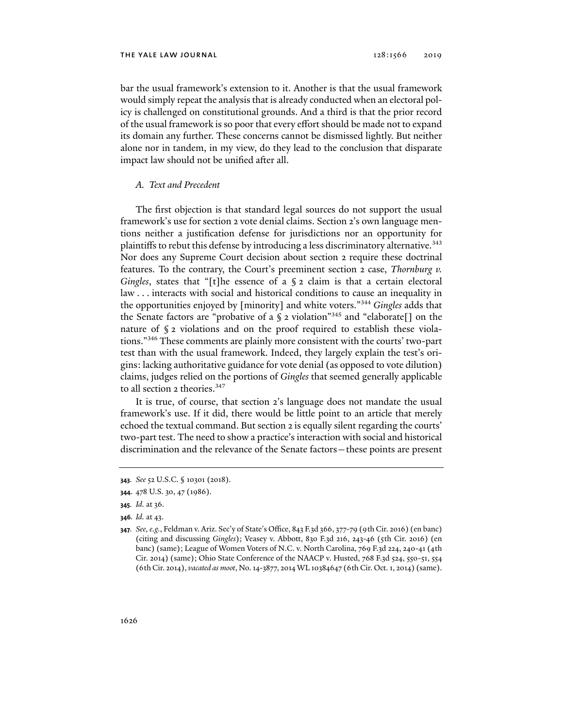bar the usual framework's extension to it. Another is that the usual framework would simply repeat the analysis that is already conducted when an electoral policy is challenged on constitutional grounds. And a third is that the prior record of the usual framework is so poor that every effort should be made not to expand its domain any further. These concerns cannot be dismissed lightly. But neither alone nor in tandem, in my view, do they lead to the conclusion that disparate impact law should not be unified after all.

### *A. Text and Precedent*

The first objection is that standard legal sources do not support the usual framework's use for section 2 vote denial claims. Section 2's own language mentions neither a justification defense for jurisdictions nor an opportunity for plaintiffs to rebut this defense by introducing a less discriminatory alternative.<sup>343</sup> Nor does any Supreme Court decision about section 2 require these doctrinal features. To the contrary, the Court's preeminent section 2 case, *Thornburg v. Gingles*, states that "[t]he essence of a § 2 claim is that a certain electoral law . . . interacts with social and historical conditions to cause an inequality in the opportunities enjoyed by [minority] and white voters."344 *Gingles* adds that the Senate factors are "probative of a  $\S$  2 violation"<sup>345</sup> and "elaborate<sup>[]</sup> on the nature of § 2 violations and on the proof required to establish these violations."346 These comments are plainly more consistent with the courts' two-part test than with the usual framework. Indeed, they largely explain the test's origins: lacking authoritative guidance for vote denial (as opposed to vote dilution) claims, judges relied on the portions of *Gingles* that seemed generally applicable to all section 2 theories.<sup>347</sup>

It is true, of course, that section 2's language does not mandate the usual framework's use. If it did, there would be little point to an article that merely echoed the textual command. But section 2 is equally silent regarding the courts' two-part test. The need to show a practice's interaction with social and historical discrimination and the relevance of the Senate factors—these points are present

**346***. Id.* at 43.

**<sup>343</sup>***. See* 52 U.S.C. § 10301 (2018).

**<sup>344</sup>**. 478 U.S. 30, 47 (1986).

**<sup>345</sup>***. Id.* at 36.

**<sup>347</sup>***. See, e.g.*, Feldman v. Ariz. Sec'y of State's Office, 843 F.3d 366, 377-79 (9th Cir. 2016) (en banc) (citing and discussing *Gingles*); Veasey v. Abbott, 830 F.3d 216, 243-46 (5th Cir. 2016) (en banc) (same); League of Women Voters of N.C. v. North Carolina, 769 F.3d 224, 240-41 (4th Cir. 2014) (same); Ohio State Conference of the NAACP v. Husted, 768 F.3d 524, 550-51, 554 (6th Cir. 2014), *vacated as moot*, No. 14-3877, 2014 WL 10384647 (6th Cir. Oct. 1, 2014) (same).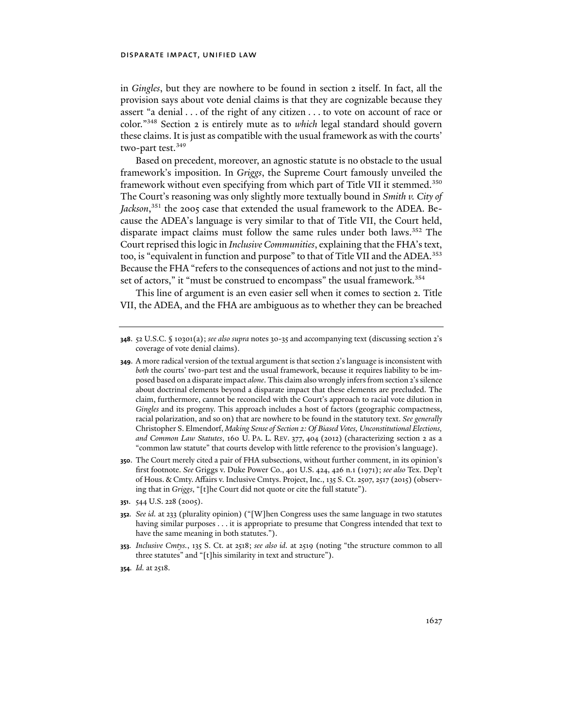in *Gingles*, but they are nowhere to be found in section 2 itself. In fact, all the provision says about vote denial claims is that they are cognizable because they assert "a denial . . . of the right of any citizen . . . to vote on account of race or color."348 Section 2 is entirely mute as to *which* legal standard should govern these claims. It is just as compatible with the usual framework as with the courts' two-part test.<sup>349</sup>

Based on precedent, moreover, an agnostic statute is no obstacle to the usual framework's imposition. In *Griggs*, the Supreme Court famously unveiled the framework without even specifying from which part of Title VII it stemmed.<sup>350</sup> The Court's reasoning was only slightly more textually bound in *Smith v. City of Jackson*, 351 the 2005 case that extended the usual framework to the ADEA. Because the ADEA's language is very similar to that of Title VII, the Court held, disparate impact claims must follow the same rules under both laws.352 The Court reprised this logic in *Inclusive Communities*, explaining that the FHA's text, too, is "equivalent in function and purpose" to that of Title VII and the ADEA.<sup>353</sup> Because the FHA "refers to the consequences of actions and not just to the mindset of actors," it "must be construed to encompass" the usual framework.<sup>354</sup>

This line of argument is an even easier sell when it comes to section 2. Title VII, the ADEA, and the FHA are ambiguous as to whether they can be breached

**350**. The Court merely cited a pair of FHA subsections, without further comment, in its opinion's first footnote. *See* Griggs v. Duke Power Co., 401 U.S. 424, 426 n.1 (1971); *see also* Tex. Dep't of Hous. & Cmty. Affairs v. Inclusive Cmtys. Project, Inc., 135 S. Ct. 2507, 2517 (2015) (observing that in *Griggs*, "[t]he Court did not quote or cite the full statute").

**<sup>348</sup>**. 52 U.S.C. § 10301(a); *see also supra* notes 30-35 and accompanying text (discussing section 2's coverage of vote denial claims).

**<sup>349</sup>**. A more radical version of the textual argument is that section 2's language is inconsistent with *both* the courts' two-part test and the usual framework, because it requires liability to be imposed based on a disparate impact *alone*. This claim also wrongly infers from section 2's silence about doctrinal elements beyond a disparate impact that these elements are precluded. The claim, furthermore, cannot be reconciled with the Court's approach to racial vote dilution in *Gingles* and its progeny. This approach includes a host of factors (geographic compactness, racial polarization, and so on) that are nowhere to be found in the statutory text. *See generally* Christopher S. Elmendorf, *Making Sense of Section 2: Of Biased Votes, Unconstitutional Elections, and Common Law Statutes*, 160 U. PA. L. REV. 377, 404 (2012) (characterizing section 2 as a "common law statute" that courts develop with little reference to the provision's language).

**<sup>351</sup>**. 544 U.S. 228 (2005).

**<sup>352</sup>***. See id.* at 233 (plurality opinion) ("[W]hen Congress uses the same language in two statutes having similar purposes . . . it is appropriate to presume that Congress intended that text to have the same meaning in both statutes.").

**<sup>353</sup>***. Inclusive Cmtys.*, 135 S. Ct. at 2518; *see also id.* at 2519 (noting "the structure common to all three statutes" and "[t]his similarity in text and structure").

**<sup>354</sup>***. Id.* at 2518.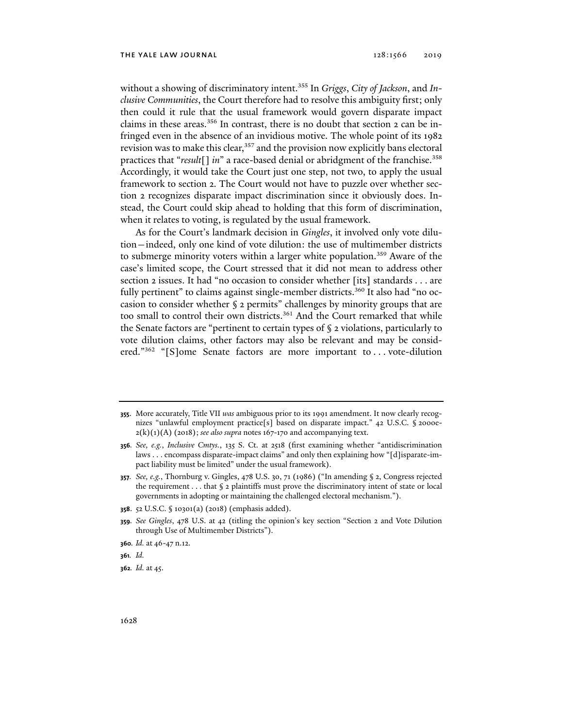without a showing of discriminatory intent.355 In *Griggs*, *City of Jackson*, and *Inclusive Communities*, the Court therefore had to resolve this ambiguity first; only then could it rule that the usual framework would govern disparate impact claims in these areas.<sup>356</sup> In contrast, there is no doubt that section 2 can be infringed even in the absence of an invidious motive. The whole point of its 1982 revision was to make this clear,<sup>357</sup> and the provision now explicitly bans electoral practices that "*result*[] *in*" a race-based denial or abridgment of the franchise.358 Accordingly, it would take the Court just one step, not two, to apply the usual framework to section 2. The Court would not have to puzzle over whether section 2 recognizes disparate impact discrimination since it obviously does. Instead, the Court could skip ahead to holding that this form of discrimination, when it relates to voting, is regulated by the usual framework.

As for the Court's landmark decision in *Gingles*, it involved only vote dilution—indeed, only one kind of vote dilution: the use of multimember districts to submerge minority voters within a larger white population.<sup>359</sup> Aware of the case's limited scope, the Court stressed that it did not mean to address other section 2 issues. It had "no occasion to consider whether [its] standards . . . are fully pertinent" to claims against single-member districts.<sup>360</sup> It also had "no occasion to consider whether § 2 permits" challenges by minority groups that are too small to control their own districts.<sup>361</sup> And the Court remarked that while the Senate factors are "pertinent to certain types of § 2 violations, particularly to vote dilution claims, other factors may also be relevant and may be considered."<sup>362</sup> "[S]ome Senate factors are more important to . . . vote-dilution

**<sup>355</sup>**. More accurately, Title VII *was* ambiguous prior to its 1991 amendment. It now clearly recognizes "unlawful employment practice[s] based on disparate impact." 42 U.S.C. § 2000e- $2(k)(1)(A)$  (2018); *see also supra* notes 167-170 and accompanying text.

**<sup>356</sup>***. See, e.g.*, *Inclusive Cmtys.*, 135 S. Ct. at 2518 (first examining whether "antidiscrimination laws . . . encompass disparate-impact claims" and only then explaining how "[d]isparate-impact liability must be limited" under the usual framework).

**<sup>357</sup>***. See, e.g.*, Thornburg v. Gingles, 478 U.S. 30, 71 (1986) ("In amending § 2, Congress rejected the requirement  $\dots$  that  $\S$  2 plaintiffs must prove the discriminatory intent of state or local governments in adopting or maintaining the challenged electoral mechanism.").

**<sup>358</sup>**. 52 U.S.C. § 10301(a) (2018) (emphasis added).

**<sup>359</sup>***. See Gingles*, 478 U.S. at 42 (titling the opinion's key section "Section 2 and Vote Dilution through Use of Multimember Districts").

**<sup>360</sup>***. Id.* at 46-47 n.12.

**<sup>361</sup>***. Id.*

**<sup>362</sup>***. Id.* at 45.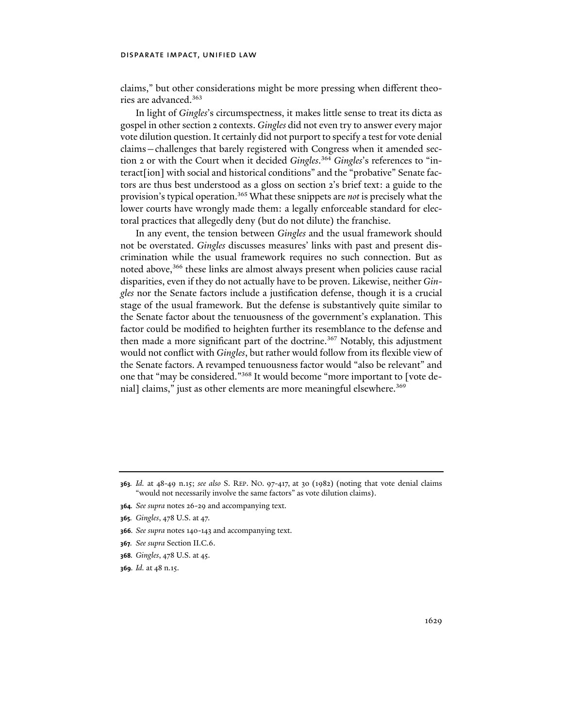claims," but other considerations might be more pressing when different theories are advanced.363

In light of *Gingles*'s circumspectness, it makes little sense to treat its dicta as gospel in other section 2 contexts. *Gingles* did not even try to answer every major vote dilution question. It certainly did not purport to specify a test for vote denial claims—challenges that barely registered with Congress when it amended section 2 or with the Court when it decided *Gingles*. <sup>364</sup> *Gingles*'s references to "interact[ion] with social and historical conditions" and the "probative" Senate factors are thus best understood as a gloss on section 2's brief text: a guide to the provision's typical operation.365 What these snippets are *not* is precisely what the lower courts have wrongly made them: a legally enforceable standard for electoral practices that allegedly deny (but do not dilute) the franchise.

In any event, the tension between *Gingles* and the usual framework should not be overstated. *Gingles* discusses measures' links with past and present discrimination while the usual framework requires no such connection. But as noted above,366 these links are almost always present when policies cause racial disparities, even if they do not actually have to be proven. Likewise, neither *Gingles* nor the Senate factors include a justification defense, though it is a crucial stage of the usual framework. But the defense is substantively quite similar to the Senate factor about the tenuousness of the government's explanation. This factor could be modified to heighten further its resemblance to the defense and then made a more significant part of the doctrine.<sup>367</sup> Notably, this adjustment would not conflict with *Gingles*, but rather would follow from its flexible view of the Senate factors. A revamped tenuousness factor would "also be relevant" and one that "may be considered."368 It would become "more important to [vote denial] claims," just as other elements are more meaningful elsewhere.<sup>369</sup>

- **364***. See supra* notes 26-29 and accompanying text.
- **365***. Gingles*, 478 U.S. at 47.
- **366***. See supra* notes 140-143 and accompanying text.
- **367***. See supra* Section II.C.6.
- **368***. Gingles*, 478 U.S. at 45.
- **369***. Id.* at 48 n.15.

**<sup>363</sup>***. Id.* at 48-49 n.15; *see also* S. REP. NO. 97-417, at 30 (1982) (noting that vote denial claims "would not necessarily involve the same factors" as vote dilution claims).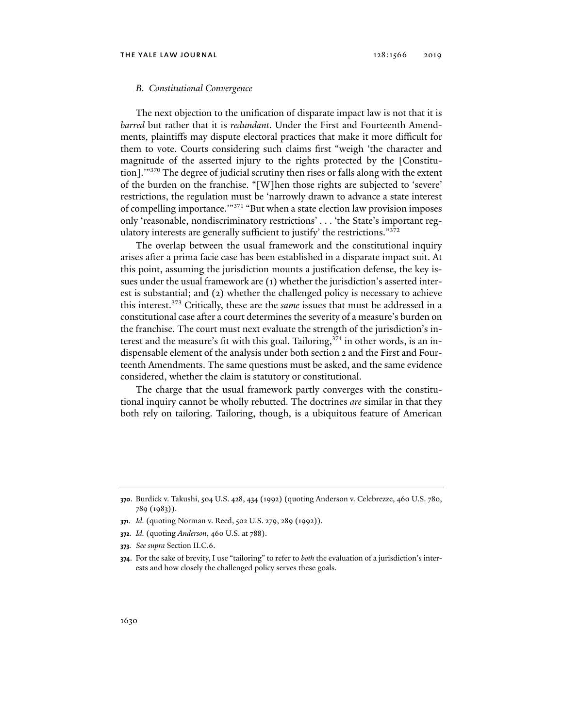#### *B. Constitutional Convergence*

The next objection to the unification of disparate impact law is not that it is *barred* but rather that it is *redundant*. Under the First and Fourteenth Amendments, plaintiffs may dispute electoral practices that make it more difficult for them to vote. Courts considering such claims first "weigh 'the character and magnitude of the asserted injury to the rights protected by the [Constitution].'"370 The degree of judicial scrutiny then rises or falls along with the extent of the burden on the franchise. "[W]hen those rights are subjected to 'severe' restrictions, the regulation must be 'narrowly drawn to advance a state interest of compelling importance.'"371 "But when a state election law provision imposes only 'reasonable, nondiscriminatory restrictions' . . . 'the State's important regulatory interests are generally sufficient to justify' the restrictions."<sup>372</sup>

The overlap between the usual framework and the constitutional inquiry arises after a prima facie case has been established in a disparate impact suit. At this point, assuming the jurisdiction mounts a justification defense, the key issues under the usual framework are (1) whether the jurisdiction's asserted interest is substantial; and (2) whether the challenged policy is necessary to achieve this interest.373 Critically, these are the *same* issues that must be addressed in a constitutional case after a court determines the severity of a measure's burden on the franchise. The court must next evaluate the strength of the jurisdiction's interest and the measure's fit with this goal. Tailoring, $374$  in other words, is an indispensable element of the analysis under both section 2 and the First and Fourteenth Amendments. The same questions must be asked, and the same evidence considered, whether the claim is statutory or constitutional.

The charge that the usual framework partly converges with the constitutional inquiry cannot be wholly rebutted. The doctrines *are* similar in that they both rely on tailoring. Tailoring, though, is a ubiquitous feature of American

**<sup>370</sup>**. Burdick v. Takushi, 504 U.S. 428, 434 (1992) (quoting Anderson v. Celebrezze, 460 U.S. 780, 789 (1983)).

**<sup>371</sup>***. Id.* (quoting Norman v. Reed, 502 U.S. 279, 289 (1992)).

**<sup>372</sup>***. Id.* (quoting *Anderson*, 460 U.S. at 788).

**<sup>373</sup>***. See supra* Section II.C.6.

**<sup>374</sup>**. For the sake of brevity, I use "tailoring" to refer to *both* the evaluation of a jurisdiction's interests and how closely the challenged policy serves these goals.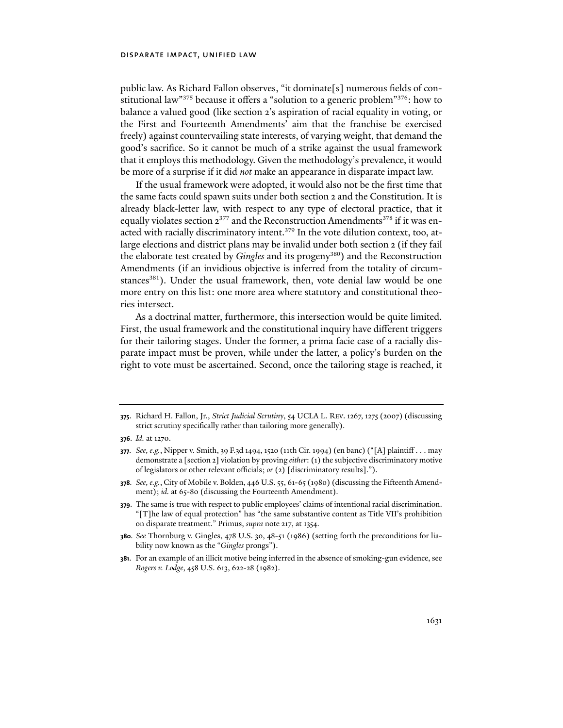public law. As Richard Fallon observes, "it dominate[s] numerous fields of constitutional law"<sup>375</sup> because it offers a "solution to a generic problem"<sup>376</sup>: how to balance a valued good (like section 2's aspiration of racial equality in voting, or the First and Fourteenth Amendments' aim that the franchise be exercised freely) against countervailing state interests, of varying weight, that demand the good's sacrifice. So it cannot be much of a strike against the usual framework that it employs this methodology. Given the methodology's prevalence, it would be more of a surprise if it did *not* make an appearance in disparate impact law.

If the usual framework were adopted, it would also not be the first time that the same facts could spawn suits under both section 2 and the Constitution. It is already black-letter law, with respect to any type of electoral practice, that it equally violates section  $2^{377}$  and the Reconstruction Amendments<sup>378</sup> if it was enacted with racially discriminatory intent.379 In the vote dilution context, too, atlarge elections and district plans may be invalid under both section 2 (if they fail the elaborate test created by *Gingles* and its progeny<sup>380</sup>) and the Reconstruction Amendments (if an invidious objective is inferred from the totality of circumstances<sup>381</sup>). Under the usual framework, then, vote denial law would be one more entry on this list: one more area where statutory and constitutional theories intersect.

As a doctrinal matter, furthermore, this intersection would be quite limited. First, the usual framework and the constitutional inquiry have different triggers for their tailoring stages. Under the former, a prima facie case of a racially disparate impact must be proven, while under the latter, a policy's burden on the right to vote must be ascertained. Second, once the tailoring stage is reached, it

**375**. Richard H. Fallon, Jr., *Strict Judicial Scrutiny*, 54 UCLA L. REV. 1267, 1275 (2007) (discussing strict scrutiny specifically rather than tailoring more generally).

- **378***. See, e.g.*, City of Mobile v. Bolden, 446 U.S. 55, 61-65 (1980) (discussing the Fifteenth Amendment); *id.* at 65-80 (discussing the Fourteenth Amendment).
- **379**. The same is true with respect to public employees' claims of intentional racial discrimination. "[T]he law of equal protection" has "the same substantive content as Title VII's prohibition on disparate treatment." Primus, *supra* note 217, at 1354.
- **380***. See* Thornburg v. Gingles, 478 U.S. 30, 48-51 (1986) (setting forth the preconditions for liability now known as the "*Gingles* prongs").
- **381**. For an example of an illicit motive being inferred in the absence of smoking-gun evidence, see *Rogers v. Lodge*, 458 U.S. 613, 622-28 (1982).

**<sup>376</sup>**. *Id.* at 1270.

**<sup>377</sup>***. See, e.g.*, Nipper v. Smith, 39 F.3d 1494, 1520 (11th Cir. 1994) (en banc) ("[A] plaintiff . . . may demonstrate a [section 2] violation by proving *either*: (1) the subjective discriminatory motive of legislators or other relevant officials; *or* (2) [discriminatory results].").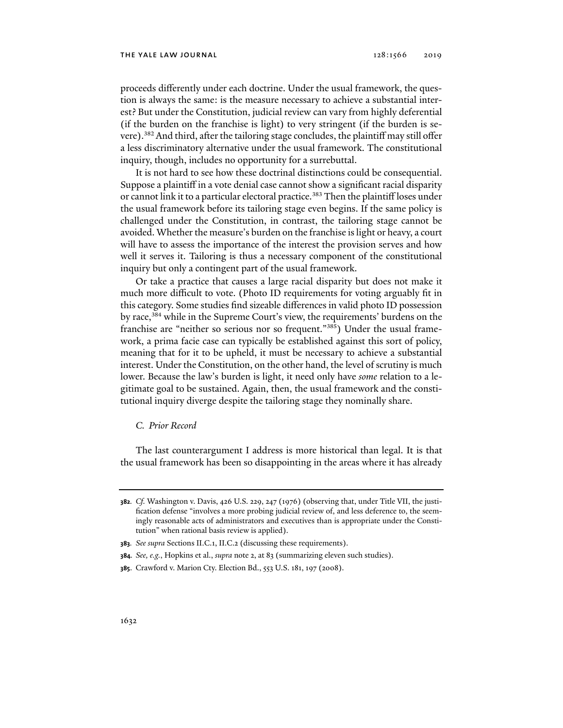#### THE YALE LAW JOURNAL 2019 2019 2019

proceeds differently under each doctrine. Under the usual framework, the question is always the same: is the measure necessary to achieve a substantial interest? But under the Constitution, judicial review can vary from highly deferential (if the burden on the franchise is light) to very stringent (if the burden is severe).<sup>382</sup> And third, after the tailoring stage concludes, the plaintiff may still offer a less discriminatory alternative under the usual framework. The constitutional inquiry, though, includes no opportunity for a surrebuttal.

It is not hard to see how these doctrinal distinctions could be consequential. Suppose a plaintiff in a vote denial case cannot show a significant racial disparity or cannot link it to a particular electoral practice.<sup>383</sup> Then the plaintiff loses under the usual framework before its tailoring stage even begins. If the same policy is challenged under the Constitution, in contrast, the tailoring stage cannot be avoided. Whether the measure's burden on the franchise is light or heavy, a court will have to assess the importance of the interest the provision serves and how well it serves it. Tailoring is thus a necessary component of the constitutional inquiry but only a contingent part of the usual framework.

Or take a practice that causes a large racial disparity but does not make it much more difficult to vote. (Photo ID requirements for voting arguably fit in this category. Some studies find sizeable differences in valid photo ID possession by race,<sup>384</sup> while in the Supreme Court's view, the requirements' burdens on the franchise are "neither so serious nor so frequent."<sup>385</sup>) Under the usual framework, a prima facie case can typically be established against this sort of policy, meaning that for it to be upheld, it must be necessary to achieve a substantial interest. Under the Constitution, on the other hand, the level of scrutiny is much lower. Because the law's burden is light, it need only have *some* relation to a legitimate goal to be sustained. Again, then, the usual framework and the constitutional inquiry diverge despite the tailoring stage they nominally share.

### *C. Prior Record*

The last counterargument I address is more historical than legal. It is that the usual framework has been so disappointing in the areas where it has already

**<sup>382</sup>***. Cf.* Washington v. Davis, 426 U.S. 229, 247 (1976) (observing that, under Title VII, the justification defense "involves a more probing judicial review of, and less deference to, the seemingly reasonable acts of administrators and executives than is appropriate under the Constitution" when rational basis review is applied).

**<sup>383</sup>***. See supra* Sections II.C.1, II.C.2 (discussing these requirements).

**<sup>384</sup>***. See, e.g.*, Hopkins et al., *supra* note 2, at 83 (summarizing eleven such studies).

**<sup>385</sup>**. Crawford v. Marion Cty. Election Bd., 553 U.S. 181, 197 (2008).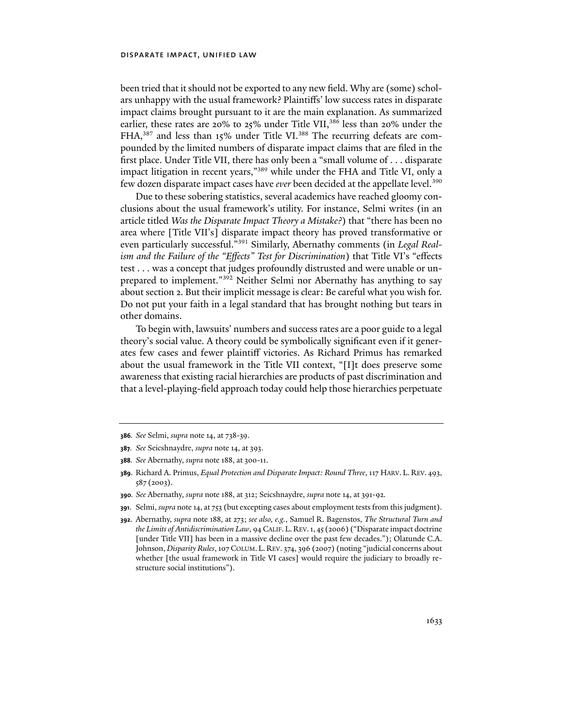been tried that it should not be exported to any new field. Why are (some) scholars unhappy with the usual framework? Plaintiffs' low success rates in disparate impact claims brought pursuant to it are the main explanation. As summarized earlier, these rates are 20% to 25% under Title VII,<sup>386</sup> less than 20% under the FHA,<sup>387</sup> and less than 15% under Title VI.<sup>388</sup> The recurring defeats are compounded by the limited numbers of disparate impact claims that are filed in the first place. Under Title VII, there has only been a "small volume of . . . disparate impact litigation in recent years,"<sup>389</sup> while under the FHA and Title VI, only a few dozen disparate impact cases have *ever* been decided at the appellate level.390

Due to these sobering statistics, several academics have reached gloomy conclusions about the usual framework's utility. For instance, Selmi writes (in an article titled *Was the Disparate Impact Theory a Mistake?*) that "there has been no area where [Title VII's] disparate impact theory has proved transformative or even particularly successful."391 Similarly, Abernathy comments (in *Legal Realism and the Failure of the "Effects" Test for Discrimination*) that Title VI's "effects test . . . was a concept that judges profoundly distrusted and were unable or unprepared to implement."392 Neither Selmi nor Abernathy has anything to say about section 2. But their implicit message is clear: Be careful what you wish for. Do not put your faith in a legal standard that has brought nothing but tears in other domains.

To begin with, lawsuits' numbers and success rates are a poor guide to a legal theory's social value. A theory could be symbolically significant even if it generates few cases and fewer plaintiff victories. As Richard Primus has remarked about the usual framework in the Title VII context, "[I]t does preserve some awareness that existing racial hierarchies are products of past discrimination and that a level-playing-field approach today could help those hierarchies perpetuate

**391**. Selmi, *supra* note 14, at 753 (but excepting cases about employment tests from this judgment).

**<sup>386</sup>***. See* Selmi, *supra* note 14, at 738-39.

**<sup>387</sup>***. See* Seicshnaydre, *supra* note 14, at 393.

**<sup>388</sup>***. See* Abernathy, *supra* note 188, at 300-11.

**<sup>389</sup>**. Richard A. Primus, *Equal Protection and Disparate Impact: Round Three*, 117 HARV. L. REV. 493, 587 (2003).

**<sup>390</sup>***. See* Abernathy, *supra* note 188, at 312; Seicshnaydre, *supra* note 14, at 391-92.

**<sup>392</sup>**. Abernathy, *supra* note 188, at 273; *see also, e.g.*, Samuel R. Bagenstos, *The Structural Turn and the Limits of Antidiscrimination Law*, 94 CALIF. L. REV.1, 45 (2006) ("Disparate impact doctrine [under Title VII] has been in a massive decline over the past few decades."); Olatunde C.A. Johnson, *Disparity Rules*, 107 COLUM. L. REV. 374, 396 (2007) (noting "judicial concerns about whether [the usual framework in Title VI cases] would require the judiciary to broadly restructure social institutions").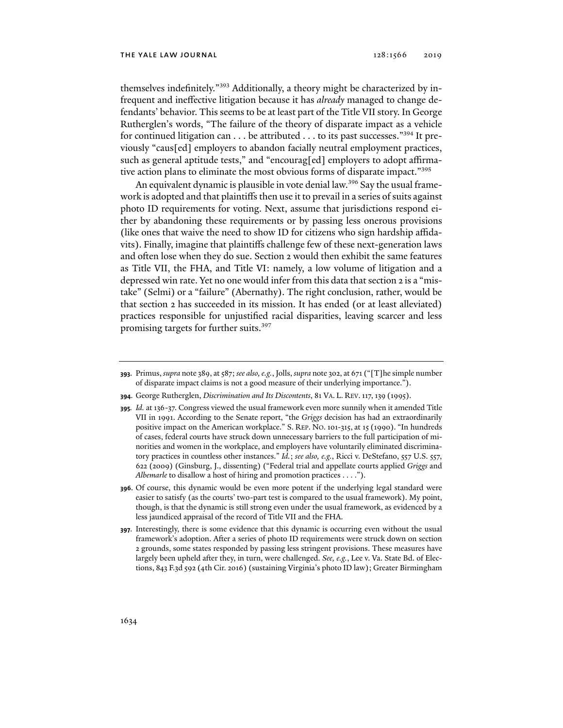themselves indefinitely."393 Additionally, a theory might be characterized by infrequent and ineffective litigation because it has *already* managed to change defendants' behavior. This seems to be at least part of the Title VII story. In George Rutherglen's words, "The failure of the theory of disparate impact as a vehicle for continued litigation can . . . be attributed . . . to its past successes."<sup>394</sup> It previously "caus[ed] employers to abandon facially neutral employment practices, such as general aptitude tests," and "encourag[ed] employers to adopt affirmative action plans to eliminate the most obvious forms of disparate impact."395

An equivalent dynamic is plausible in vote denial law.<sup>396</sup> Say the usual framework is adopted and that plaintiffs then use it to prevail in a series of suits against photo ID requirements for voting. Next, assume that jurisdictions respond either by abandoning these requirements or by passing less onerous provisions (like ones that waive the need to show ID for citizens who sign hardship affidavits). Finally, imagine that plaintiffs challenge few of these next-generation laws and often lose when they do sue. Section 2 would then exhibit the same features as Title VII, the FHA, and Title VI: namely, a low volume of litigation and a depressed win rate. Yet no one would infer from this data that section 2 is a "mistake" (Selmi) or a "failure" (Abernathy). The right conclusion, rather, would be that section 2 has succeeded in its mission. It has ended (or at least alleviated) practices responsible for unjustified racial disparities, leaving scarcer and less promising targets for further suits.<sup>397</sup>

**<sup>393</sup>**. Primus, *supra* note 389, at 587; *see also, e.g.*, Jolls, *supra* note 302, at 671 ("[T]he simple number of disparate impact claims is not a good measure of their underlying importance.").

**<sup>394</sup>**. George Rutherglen, *Discrimination and Its Discontents*, 81 VA. L. REV.117,139 (1995).

**<sup>395</sup>***. Id.* at 136-37. Congress viewed the usual framework even more sunnily when it amended Title VII in 1991. According to the Senate report, "the *Griggs* decision has had an extraordinarily positive impact on the American workplace." S. REP. NO. 101-315, at 15 (1990). "In hundreds of cases, federal courts have struck down unnecessary barriers to the full participation of minorities and women in the workplace, and employers have voluntarily eliminated discriminatory practices in countless other instances." *Id.*; *see also, e.g.*, Ricci v. DeStefano, 557 U.S. 557, 622 (2009) (Ginsburg, J., dissenting) ("Federal trial and appellate courts applied *Griggs* and *Albemarle* to disallow a host of hiring and promotion practices . . . .").

**<sup>396</sup>**. Of course, this dynamic would be even more potent if the underlying legal standard were easier to satisfy (as the courts' two-part test is compared to the usual framework). My point, though, is that the dynamic is still strong even under the usual framework, as evidenced by a less jaundiced appraisal of the record of Title VII and the FHA.

**<sup>397</sup>**. Interestingly, there is some evidence that this dynamic is occurring even without the usual framework's adoption. After a series of photo ID requirements were struck down on section 2 grounds, some states responded by passing less stringent provisions. These measures have largely been upheld after they, in turn, were challenged. *See, e.g.*, Lee v. Va. State Bd. of Elections, 843 F.3d 592 (4th Cir. 2016) (sustaining Virginia's photo ID law); Greater Birmingham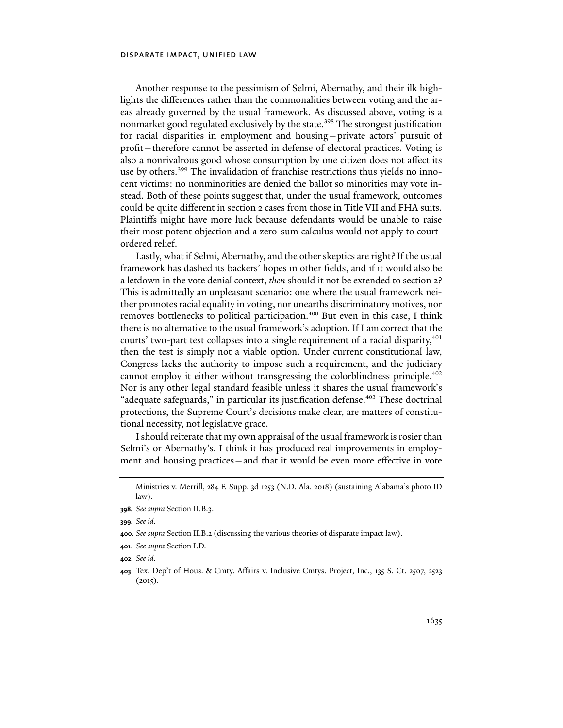Another response to the pessimism of Selmi, Abernathy, and their ilk highlights the differences rather than the commonalities between voting and the areas already governed by the usual framework. As discussed above, voting is a nonmarket good regulated exclusively by the state.<sup>398</sup> The strongest justification for racial disparities in employment and housing—private actors' pursuit of profit—therefore cannot be asserted in defense of electoral practices. Voting is also a nonrivalrous good whose consumption by one citizen does not affect its use by others.<sup>399</sup> The invalidation of franchise restrictions thus yields no innocent victims: no nonminorities are denied the ballot so minorities may vote instead. Both of these points suggest that, under the usual framework, outcomes could be quite different in section 2 cases from those in Title VII and FHA suits. Plaintiffs might have more luck because defendants would be unable to raise their most potent objection and a zero-sum calculus would not apply to courtordered relief.

Lastly, what if Selmi, Abernathy, and the other skeptics are right? If the usual framework has dashed its backers' hopes in other fields, and if it would also be a letdown in the vote denial context, *then* should it not be extended to section 2? This is admittedly an unpleasant scenario: one where the usual framework neither promotes racial equality in voting, nor unearths discriminatory motives, nor removes bottlenecks to political participation.<sup>400</sup> But even in this case, I think there is no alternative to the usual framework's adoption. If I am correct that the courts' two-part test collapses into a single requirement of a racial disparity, $401$ then the test is simply not a viable option. Under current constitutional law, Congress lacks the authority to impose such a requirement, and the judiciary cannot employ it either without transgressing the colorblindness principle.402 Nor is any other legal standard feasible unless it shares the usual framework's "adequate safeguards," in particular its justification defense.<sup>403</sup> These doctrinal protections, the Supreme Court's decisions make clear, are matters of constitutional necessity, not legislative grace.

I should reiterate that my own appraisal of the usual framework is rosier than Selmi's or Abernathy's. I think it has produced real improvements in employment and housing practices—and that it would be even more effective in vote

Ministries v. Merrill, 284 F. Supp. 3d 1253 (N.D. Ala. 2018) (sustaining Alabama's photo ID law).

**<sup>398</sup>***. See supra* Section II.B.3.

**<sup>399</sup>***. See id.*

**<sup>400</sup>***. See supra* Section II.B.2 (discussing the various theories of disparate impact law).

**<sup>401</sup>***. See supra* Section I.D.

**<sup>402</sup>***. See id.*

**<sup>403</sup>**. Tex. Dep't of Hous. & Cmty. Affairs v. Inclusive Cmtys. Project, Inc., 135 S. Ct. 2507, 2523  $(2015).$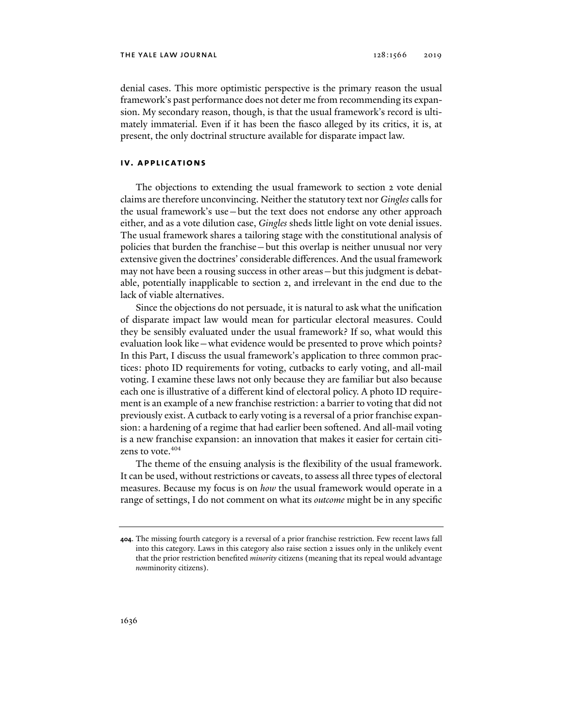denial cases. This more optimistic perspective is the primary reason the usual framework's past performance does not deter me from recommending its expansion. My secondary reason, though, is that the usual framework's record is ultimately immaterial. Even if it has been the fiasco alleged by its critics, it is, at present, the only doctrinal structure available for disparate impact law.

# **iv. applications**

The objections to extending the usual framework to section 2 vote denial claims are therefore unconvincing. Neither the statutory text nor *Gingles* calls for the usual framework's use—but the text does not endorse any other approach either, and as a vote dilution case, *Gingles* sheds little light on vote denial issues. The usual framework shares a tailoring stage with the constitutional analysis of policies that burden the franchise—but this overlap is neither unusual nor very extensive given the doctrines' considerable differences. And the usual framework may not have been a rousing success in other areas—but this judgment is debatable, potentially inapplicable to section 2, and irrelevant in the end due to the lack of viable alternatives.

Since the objections do not persuade, it is natural to ask what the unification of disparate impact law would mean for particular electoral measures. Could they be sensibly evaluated under the usual framework? If so, what would this evaluation look like—what evidence would be presented to prove which points? In this Part, I discuss the usual framework's application to three common practices: photo ID requirements for voting, cutbacks to early voting, and all-mail voting. I examine these laws not only because they are familiar but also because each one is illustrative of a different kind of electoral policy. A photo ID requirement is an example of a new franchise restriction: a barrier to voting that did not previously exist. A cutback to early voting is a reversal of a prior franchise expansion: a hardening of a regime that had earlier been softened. And all-mail voting is a new franchise expansion: an innovation that makes it easier for certain citizens to vote.<sup>404</sup>

The theme of the ensuing analysis is the flexibility of the usual framework. It can be used, without restrictions or caveats, to assess all three types of electoral measures. Because my focus is on *how* the usual framework would operate in a range of settings, I do not comment on what its *outcome* might be in any specific

**<sup>404</sup>**. The missing fourth category is a reversal of a prior franchise restriction. Few recent laws fall into this category. Laws in this category also raise section 2 issues only in the unlikely event that the prior restriction benefited *minority* citizens (meaning that its repeal would advantage *non*minority citizens).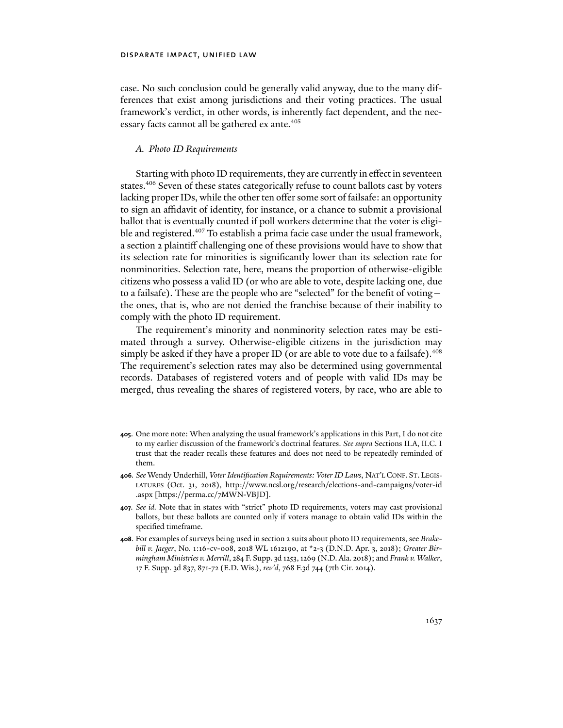case. No such conclusion could be generally valid anyway, due to the many differences that exist among jurisdictions and their voting practices. The usual framework's verdict, in other words, is inherently fact dependent, and the necessary facts cannot all be gathered ex ante.<sup>405</sup>

### *A. Photo ID Requirements*

Starting with photo ID requirements, they are currently in effect in seventeen states.406 Seven of these states categorically refuse to count ballots cast by voters lacking proper IDs, while the other ten offer some sort of failsafe: an opportunity to sign an affidavit of identity, for instance, or a chance to submit a provisional ballot that is eventually counted if poll workers determine that the voter is eligible and registered.<sup>407</sup> To establish a prima facie case under the usual framework, a section 2 plaintiff challenging one of these provisions would have to show that its selection rate for minorities is significantly lower than its selection rate for nonminorities. Selection rate, here, means the proportion of otherwise-eligible citizens who possess a valid ID (or who are able to vote, despite lacking one, due to a failsafe). These are the people who are "selected" for the benefit of voting the ones, that is, who are not denied the franchise because of their inability to comply with the photo ID requirement.

The requirement's minority and nonminority selection rates may be estimated through a survey. Otherwise-eligible citizens in the jurisdiction may simply be asked if they have a proper ID (or are able to vote due to a failsafe).<sup>408</sup> The requirement's selection rates may also be determined using governmental records. Databases of registered voters and of people with valid IDs may be merged, thus revealing the shares of registered voters, by race, who are able to

**<sup>405</sup>**. One more note: When analyzing the usual framework's applications in this Part, I do not cite to my earlier discussion of the framework's doctrinal features. *See supra* Sections II.A, II.C. I trust that the reader recalls these features and does not need to be repeatedly reminded of them.

**<sup>406</sup>***. See* Wendy Underhill, *Voter Identification Requirements: Voter ID Laws*, NAT'L CONF. ST. LEGIS-LATURES (Oct. 31, 2018), http://www.ncsl.org/research/elections-and-campaigns/voter-id .aspx [https://perma.cc/7MWN-VBJD].

**<sup>407</sup>***. See id.* Note that in states with "strict" photo ID requirements, voters may cast provisional ballots, but these ballots are counted only if voters manage to obtain valid IDs within the specified timeframe.

**<sup>408</sup>**. For examples of surveys being used in section 2 suits about photo ID requirements, see *Brakebill v. Jaeger*, No. 1:16-cv-008, 2018 WL 1612190, at \*2-3 (D.N.D. Apr. 3, 2018); *Greater Birmingham Ministries v. Merrill*, 284 F. Supp. 3d 1253, 1269 (N.D. Ala. 2018); and *Frank v. Walker*, 17 F. Supp. 3d 837, 871-72 (E.D. Wis.), *rev'd*, 768 F.3d 744 (7th Cir. 2014).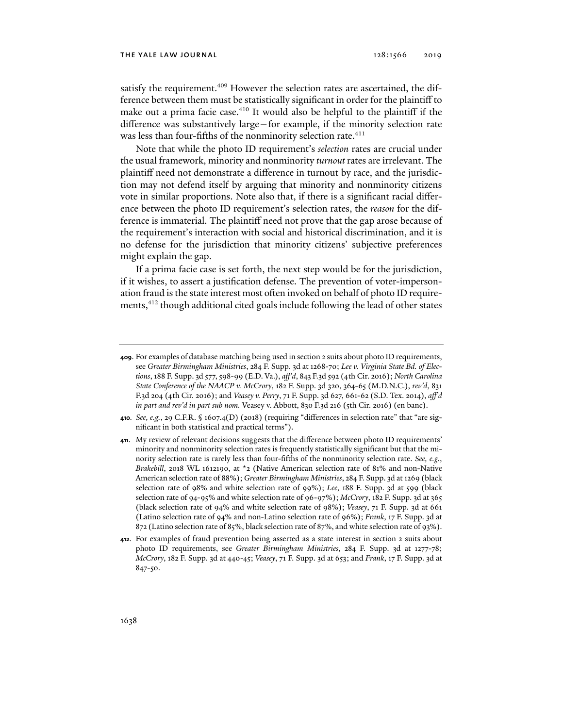satisfy the requirement.<sup>409</sup> However the selection rates are ascertained, the difference between them must be statistically significant in order for the plaintiff to make out a prima facie case.<sup>410</sup> It would also be helpful to the plaintiff if the difference was substantively large—for example, if the minority selection rate was less than four-fifths of the nonminority selection rate.<sup>411</sup>

Note that while the photo ID requirement's *selection* rates are crucial under the usual framework, minority and nonminority *turnout* rates are irrelevant. The plaintiff need not demonstrate a difference in turnout by race, and the jurisdiction may not defend itself by arguing that minority and nonminority citizens vote in similar proportions. Note also that, if there is a significant racial difference between the photo ID requirement's selection rates, the *reason* for the difference is immaterial. The plaintiff need not prove that the gap arose because of the requirement's interaction with social and historical discrimination, and it is no defense for the jurisdiction that minority citizens' subjective preferences might explain the gap.

If a prima facie case is set forth, the next step would be for the jurisdiction, if it wishes, to assert a justification defense. The prevention of voter-impersonation fraud is the state interest most often invoked on behalf of photo ID requirements,<sup>412</sup> though additional cited goals include following the lead of other states

**<sup>409</sup>**. For examples of database matching being used in section 2 suits about photo ID requirements, see *Greater Birmingham Ministries*, 284 F. Supp. 3d at 1268-70; *Lee v. Virginia State Bd. of Elections*, 188 F. Supp. 3d 577, 598-99 (E.D. Va.), *aff'd*, 843 F.3d 592 (4th Cir. 2016); *North Carolina State Conference of the NAACP v. McCrory*, 182 F. Supp. 3d 320, 364-65 (M.D.N.C.), *rev'd*, 831 F.3d 204 (4th Cir. 2016); and *Veasey v. Perry*, 71 F. Supp. 3d 627, 661-62 (S.D. Tex. 2014), *aff'd in part and rev'd in part sub nom.* Veasey v. Abbott, 830 F.3d 216 (5th Cir. 2016) (en banc).

**<sup>410</sup>***. See, e.g.*, 29 C.F.R. § 1607.4(D) (2018) (requiring "differences in selection rate" that "are significant in both statistical and practical terms").

**<sup>411</sup>**. My review of relevant decisions suggests that the difference between photo ID requirements' minority and nonminority selection rates is frequently statistically significant but that the minority selection rate is rarely less than four-fifths of the nonminority selection rate. *See, e.g.*, *Brakebill*, 2018 WL 1612190, at \*2 (Native American selection rate of 81% and non-Native American selection rate of 88%); *Greater Birmingham Ministries*, 284 F. Supp. 3d at 1269 (black selection rate of 98% and white selection rate of 99%); *Lee*, 188 F. Supp. 3d at 599 (black selection rate of 94-95% and white selection rate of 96-97%); *McCrory*, 182 F. Supp. 3d at 365 (black selection rate of 94% and white selection rate of 98%); *Veasey*, 71 F. Supp. 3d at 661 (Latino selection rate of 94% and non-Latino selection rate of 96%); *Frank*, 17 F. Supp. 3d at 872 (Latino selection rate of 85%, black selection rate of 87%, and white selection rate of 93%).

**<sup>412</sup>**. For examples of fraud prevention being asserted as a state interest in section 2 suits about photo ID requirements, see *Greater Birmingham Ministries*, 284 F. Supp. 3d at 1277-78; *McCrory*, 182 F. Supp. 3d at 440-45; *Veasey*, 71 F. Supp. 3d at 653; and *Frank*, 17 F. Supp. 3d at 847-50.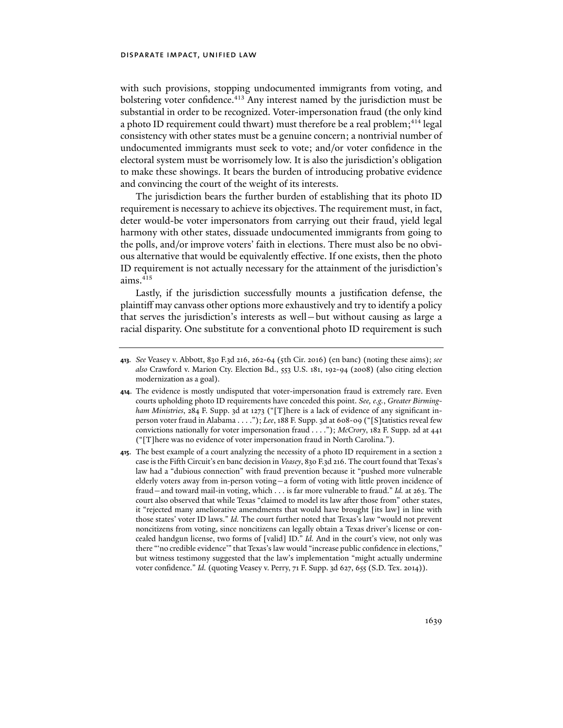with such provisions, stopping undocumented immigrants from voting, and bolstering voter confidence.413 Any interest named by the jurisdiction must be substantial in order to be recognized. Voter-impersonation fraud (the only kind a photo ID requirement could thwart) must therefore be a real problem;<sup>414</sup> legal consistency with other states must be a genuine concern; a nontrivial number of undocumented immigrants must seek to vote; and/or voter confidence in the electoral system must be worrisomely low. It is also the jurisdiction's obligation to make these showings. It bears the burden of introducing probative evidence and convincing the court of the weight of its interests.

The jurisdiction bears the further burden of establishing that its photo ID requirement is necessary to achieve its objectives. The requirement must, in fact, deter would-be voter impersonators from carrying out their fraud, yield legal harmony with other states, dissuade undocumented immigrants from going to the polls, and/or improve voters' faith in elections. There must also be no obvious alternative that would be equivalently effective. If one exists, then the photo ID requirement is not actually necessary for the attainment of the jurisdiction's  $aims.<sup>415</sup>$ 

Lastly, if the jurisdiction successfully mounts a justification defense, the plaintiff may canvass other options more exhaustively and try to identify a policy that serves the jurisdiction's interests as well—but without causing as large a racial disparity. One substitute for a conventional photo ID requirement is such

**<sup>413</sup>***. See* Veasey v. Abbott, 830 F.3d 216, 262-64 (5th Cir. 2016) (en banc) (noting these aims); *see also* Crawford v. Marion Cty. Election Bd., 553 U.S. 181, 192-94 (2008) (also citing election modernization as a goal).

**<sup>414</sup>**. The evidence is mostly undisputed that voter-impersonation fraud is extremely rare. Even courts upholding photo ID requirements have conceded this point. *See, e.g.*, *Greater Birmingham Ministries*, 284 F. Supp. 3d at 1273 ("[T]here is a lack of evidence of any significant inperson voter fraud in Alabama . . . ."); *Lee*, 188 F. Supp. 3d at 608-09 ("[S]tatistics reveal few convictions nationally for voter impersonation fraud . . . ."); *McCrory*, 182 F. Supp. 2d at 441 ("[T]here was no evidence of voter impersonation fraud in North Carolina.").

**<sup>415</sup>**. The best example of a court analyzing the necessity of a photo ID requirement in a section 2 case is the Fifth Circuit's en banc decision in *Veasey*, 830 F.3d 216. The court found that Texas's law had a "dubious connection" with fraud prevention because it "pushed more vulnerable elderly voters away from in-person voting—a form of voting with little proven incidence of fraud—and toward mail-in voting, which . . . is far more vulnerable to fraud." *Id.* at 263. The court also observed that while Texas "claimed to model its law after those from" other states, it "rejected many ameliorative amendments that would have brought [its law] in line with those states' voter ID laws." *Id.* The court further noted that Texas's law "would not prevent noncitizens from voting, since noncitizens can legally obtain a Texas driver's license or concealed handgun license, two forms of [valid] ID." *Id.* And in the court's view, not only was there "'no credible evidence'" that Texas's law would "increase public confidence in elections," but witness testimony suggested that the law's implementation "might actually undermine voter confidence." *Id.* (quoting Veasey v. Perry, 71 F. Supp. 3d 627, 655 (S.D. Tex. 2014)).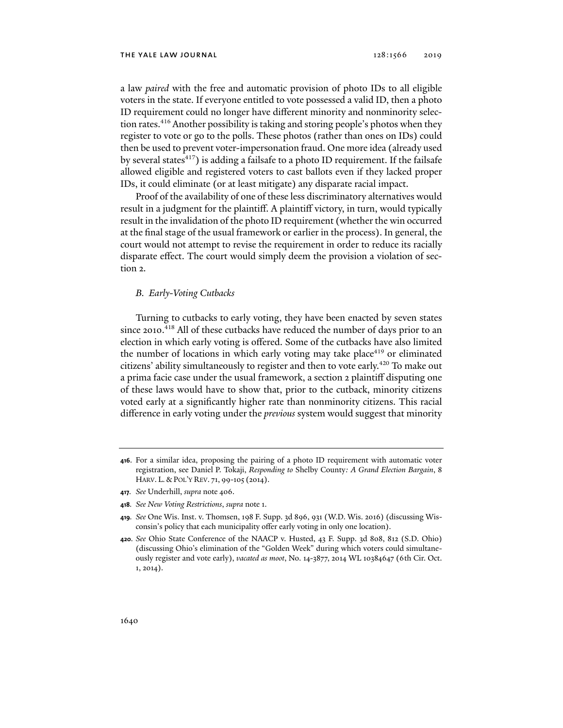a law *paired* with the free and automatic provision of photo IDs to all eligible voters in the state. If everyone entitled to vote possessed a valid ID, then a photo ID requirement could no longer have different minority and nonminority selection rates.<sup>416</sup> Another possibility is taking and storing people's photos when they register to vote or go to the polls. These photos (rather than ones on IDs) could then be used to prevent voter-impersonation fraud. One more idea (already used by several states $417$ ) is adding a failsafe to a photo ID requirement. If the failsafe allowed eligible and registered voters to cast ballots even if they lacked proper IDs, it could eliminate (or at least mitigate) any disparate racial impact.

Proof of the availability of one of these less discriminatory alternatives would result in a judgment for the plaintiff. A plaintiff victory, in turn, would typically result in the invalidation of the photo ID requirement (whether the win occurred at the final stage of the usual framework or earlier in the process). In general, the court would not attempt to revise the requirement in order to reduce its racially disparate effect. The court would simply deem the provision a violation of section 2.

# *B. Early-Voting Cutbacks*

Turning to cutbacks to early voting, they have been enacted by seven states since 2010.<sup>418</sup> All of these cutbacks have reduced the number of days prior to an election in which early voting is offered. Some of the cutbacks have also limited the number of locations in which early voting may take place<sup>419</sup> or eliminated citizens' ability simultaneously to register and then to vote early.420 To make out a prima facie case under the usual framework, a section 2 plaintiff disputing one of these laws would have to show that, prior to the cutback, minority citizens voted early at a significantly higher rate than nonminority citizens. This racial difference in early voting under the *previous* system would suggest that minority

- **417***. See* Underhill, *supra* note 406.
- **418***. See New Voting Restrictions*, *supra* note 1.
- **419***. See* One Wis. Inst. v. Thomsen, 198 F. Supp. 3d 896, 931 (W.D. Wis. 2016) (discussing Wisconsin's policy that each municipality offer early voting in only one location).
- **420***. See* Ohio State Conference of the NAACP v. Husted, 43 F. Supp. 3d 808, 812 (S.D. Ohio) (discussing Ohio's elimination of the "Golden Week" during which voters could simultaneously register and vote early), *vacated as moot*, No. 14-3877, 2014 WL 10384647 (6th Cir. Oct. 1, 2014).

**<sup>416</sup>**. For a similar idea, proposing the pairing of a photo ID requirement with automatic voter registration, see Daniel P. Tokaji, *Responding to* Shelby County*: A Grand Election Bargain*, 8 HARV. L. & POL'Y REV. 71, 99-105 (2014).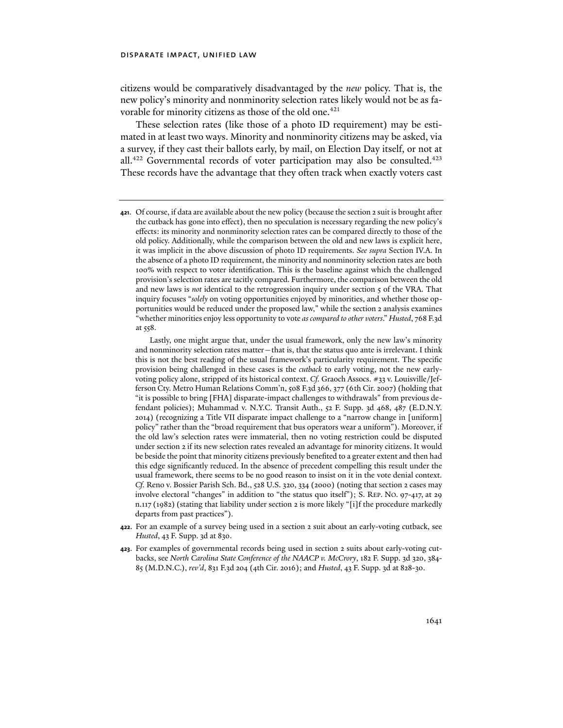## disparate impact, unified law

citizens would be comparatively disadvantaged by the *new* policy. That is, the new policy's minority and nonminority selection rates likely would not be as favorable for minority citizens as those of the old one.<sup>421</sup>

These selection rates (like those of a photo ID requirement) may be estimated in at least two ways. Minority and nonminority citizens may be asked, via a survey, if they cast their ballots early, by mail, on Election Day itself, or not at all.<sup>422</sup> Governmental records of voter participation may also be consulted.<sup>423</sup> These records have the advantage that they often track when exactly voters cast

**421**. Of course, if data are available about the new policy (because the section 2 suit is brought after the cutback has gone into effect), then no speculation is necessary regarding the new policy's effects: its minority and nonminority selection rates can be compared directly to those of the old policy. Additionally, while the comparison between the old and new laws is explicit here, it was implicit in the above discussion of photo ID requirements. *See supra* Section IV.A. In the absence of a photo ID requirement, the minority and nonminority selection rates are both 100% with respect to voter identification. This is the baseline against which the challenged provision's selection rates are tacitly compared. Furthermore, the comparison between the old and new laws is *not* identical to the retrogression inquiry under section 5 of the VRA. That inquiry focuses "*solely* on voting opportunities enjoyed by minorities, and whether those opportunities would be reduced under the proposed law," while the section 2 analysis examines "whether minorities enjoy less opportunity to vote *as compared to other voters*." *Husted*, 768 F.3d at 558.

Lastly, one might argue that, under the usual framework, only the new law's minority and nonminority selection rates matter—that is, that the status quo ante is irrelevant. I think this is not the best reading of the usual framework's particularity requirement. The specific provision being challenged in these cases is the *cutback* to early voting, not the new earlyvoting policy alone, stripped of its historical context. *Cf.* Graoch Assocs. #33 v. Louisville/Jefferson Cty. Metro Human Relations Comm'n, 508 F.3d 366, 377 (6th Cir. 2007) (holding that "it is possible to bring [FHA] disparate-impact challenges to withdrawals" from previous defendant policies); Muhammad v. N.Y.C. Transit Auth., 52 F. Supp. 3d 468, 487 (E.D.N.Y. 2014) (recognizing a Title VII disparate impact challenge to a "narrow change in [uniform] policy" rather than the "broad requirement that bus operators wear a uniform"). Moreover, if the old law's selection rates were immaterial, then no voting restriction could be disputed under section 2 if its new selection rates revealed an advantage for minority citizens. It would be beside the point that minority citizens previously benefited to a greater extent and then had this edge significantly reduced. In the absence of precedent compelling this result under the usual framework, there seems to be no good reason to insist on it in the vote denial context. *Cf.* Reno v. Bossier Parish Sch. Bd., 528 U.S. 320, 334 (2000) (noting that section 2 cases may involve electoral "changes" in addition to "the status quo itself"); S. REP. NO. 97-417, at 29 n.117 (1982) (stating that liability under section 2 is more likely "[i]f the procedure markedly departs from past practices").

- **422**. For an example of a survey being used in a section 2 suit about an early-voting cutback, see *Husted*, 43 F. Supp. 3d at 830.
- **423**. For examples of governmental records being used in section 2 suits about early-voting cutbacks, see *North Carolina State Conference of the NAACP v. McCrory*, 182 F. Supp. 3d 320, 384- 85 (M.D.N.C.), *rev'd*, 831 F.3d 204 (4th Cir. 2016); and *Husted*, 43 F. Supp. 3d at 828-30.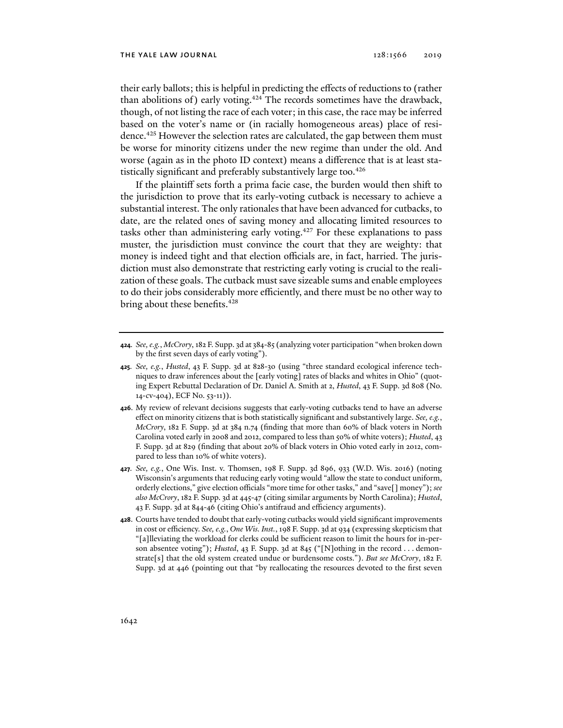their early ballots; this is helpful in predicting the effects of reductions to (rather than abolitions of) early voting.<sup>424</sup> The records sometimes have the drawback, though, of not listing the race of each voter; in this case, the race may be inferred based on the voter's name or (in racially homogeneous areas) place of residence.<sup>425</sup> However the selection rates are calculated, the gap between them must be worse for minority citizens under the new regime than under the old. And worse (again as in the photo ID context) means a difference that is at least statistically significant and preferably substantively large too.<sup>426</sup>

If the plaintiff sets forth a prima facie case, the burden would then shift to the jurisdiction to prove that its early-voting cutback is necessary to achieve a substantial interest. The only rationales that have been advanced for cutbacks, to date, are the related ones of saving money and allocating limited resources to tasks other than administering early voting.<sup>427</sup> For these explanations to pass muster, the jurisdiction must convince the court that they are weighty: that money is indeed tight and that election officials are, in fact, harried. The jurisdiction must also demonstrate that restricting early voting is crucial to the realization of these goals. The cutback must save sizeable sums and enable employees to do their jobs considerably more efficiently, and there must be no other way to bring about these benefits.<sup>428</sup>

- **424***. See, e.g.*, *McCrory*, 182 F. Supp. 3d at 384-85 (analyzing voter participation "when broken down by the first seven days of early voting").
- **425***. See, e.g.*, *Husted*, 43 F. Supp. 3d at 828-30 (using "three standard ecological inference techniques to draw inferences about the [early voting] rates of blacks and whites in Ohio" (quoting Expert Rebuttal Declaration of Dr. Daniel A. Smith at 2, *Husted*, 43 F. Supp. 3d 808 (No. 14-cv-404), ECF No. 53-11)).
- **426**. My review of relevant decisions suggests that early-voting cutbacks tend to have an adverse effect on minority citizens that is both statistically significant and substantively large. *See, e.g.*, *McCrory*, 182 F. Supp. 3d at 384 n.74 (finding that more than 60% of black voters in North Carolina voted early in 2008 and 2012, compared to less than 50% of white voters); *Husted*, 43 F. Supp. 3d at 829 (finding that about 20% of black voters in Ohio voted early in 2012, compared to less than 10% of white voters).
- **427***. See, e.g.*, One Wis. Inst. v. Thomsen, 198 F. Supp. 3d 896, 933 (W.D. Wis. 2016) (noting Wisconsin's arguments that reducing early voting would "allow the state to conduct uniform, orderly elections," give election officials "more time for other tasks," and "save[] money"); *see also McCrory*, 182 F. Supp. 3d at 445-47 (citing similar arguments by North Carolina); *Husted*, 43 F. Supp. 3d at 844-46 (citing Ohio's antifraud and efficiency arguments).
- **428**. Courts have tended to doubt that early-voting cutbacks would yield significant improvements in cost or efficiency. *See, e.g.*, *One Wis. Inst.*, 198 F. Supp. 3d at 934 (expressing skepticism that "[a]lleviating the workload for clerks could be sufficient reason to limit the hours for in-person absentee voting"); *Husted*, 43 F. Supp. 3d at 845 ("[N]othing in the record . . . demonstrate[s] that the old system created undue or burdensome costs."). *But see McCrory*, 182 F. Supp. 3d at 446 (pointing out that "by reallocating the resources devoted to the first seven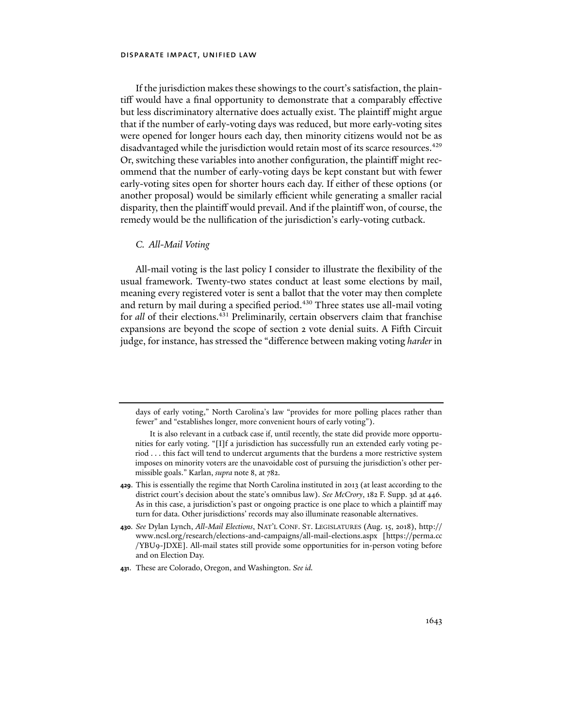## disparate impact, unified law

If the jurisdiction makes these showings to the court's satisfaction, the plaintiff would have a final opportunity to demonstrate that a comparably effective but less discriminatory alternative does actually exist. The plaintiff might argue that if the number of early-voting days was reduced, but more early-voting sites were opened for longer hours each day, then minority citizens would not be as disadvantaged while the jurisdiction would retain most of its scarce resources.<sup>429</sup> Or, switching these variables into another configuration, the plaintiff might recommend that the number of early-voting days be kept constant but with fewer early-voting sites open for shorter hours each day. If either of these options (or another proposal) would be similarly efficient while generating a smaller racial disparity, then the plaintiff would prevail. And if the plaintiff won, of course, the remedy would be the nullification of the jurisdiction's early-voting cutback.

## *C. All-Mail Voting*

All-mail voting is the last policy I consider to illustrate the flexibility of the usual framework. Twenty-two states conduct at least some elections by mail, meaning every registered voter is sent a ballot that the voter may then complete and return by mail during a specified period.<sup>430</sup> Three states use all-mail voting for *all* of their elections.431 Preliminarily, certain observers claim that franchise expansions are beyond the scope of section 2 vote denial suits. A Fifth Circuit judge, for instance, has stressed the "difference between making voting *harder* in

days of early voting," North Carolina's law "provides for more polling places rather than fewer" and "establishes longer, more convenient hours of early voting").

It is also relevant in a cutback case if, until recently, the state did provide more opportunities for early voting. "[I]f a jurisdiction has successfully run an extended early voting period . . . this fact will tend to undercut arguments that the burdens a more restrictive system imposes on minority voters are the unavoidable cost of pursuing the jurisdiction's other permissible goals." Karlan, *supra* note 8, at 782.

**<sup>429</sup>**. This is essentially the regime that North Carolina instituted in 2013 (at least according to the district court's decision about the state's omnibus law). *See McCrory*, 182 F. Supp. 3d at 446*.* As in this case, a jurisdiction's past or ongoing practice is one place to which a plaintiff may turn for data. Other jurisdictions' records may also illuminate reasonable alternatives.

**<sup>430</sup>***. See* Dylan Lynch, *All-Mail Elections*, NAT'L CONF. ST. LEGISLATURES (Aug. 15, 2018), http:// www.ncsl.org/research/elections-and-campaigns/all-mail-elections.aspx [https://perma.cc /YBU9-JDXE]. All-mail states still provide some opportunities for in-person voting before and on Election Day.

**<sup>431</sup>**. These are Colorado, Oregon, and Washington. *See id.*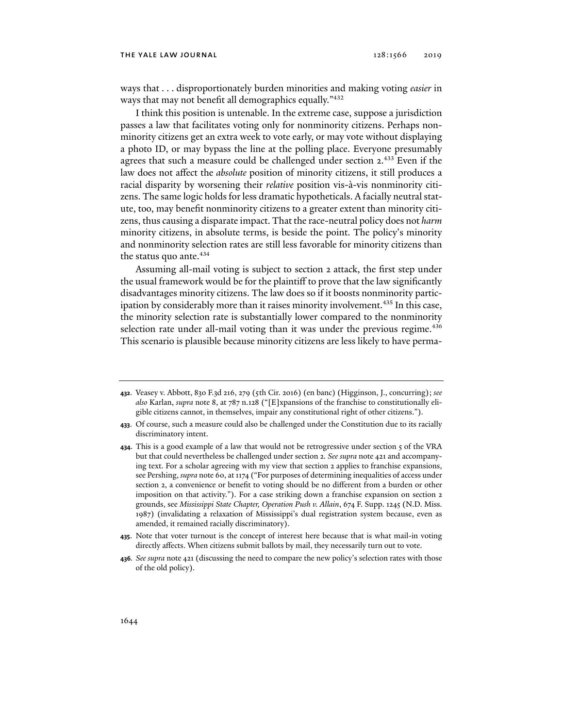ways that . . . disproportionately burden minorities and making voting *easier* in ways that may not benefit all demographics equally."<sup>432</sup>

I think this position is untenable. In the extreme case, suppose a jurisdiction passes a law that facilitates voting only for nonminority citizens. Perhaps nonminority citizens get an extra week to vote early, or may vote without displaying a photo ID, or may bypass the line at the polling place. Everyone presumably agrees that such a measure could be challenged under section 2.<sup>433</sup> Even if the law does not affect the *absolute* position of minority citizens, it still produces a racial disparity by worsening their *relative* position vis-à-vis nonminority citizens. The same logic holds for less dramatic hypotheticals. A facially neutral statute, too, may benefit nonminority citizens to a greater extent than minority citizens, thus causing a disparate impact. That the race-neutral policy does not *harm* minority citizens, in absolute terms, is beside the point. The policy's minority and nonminority selection rates are still less favorable for minority citizens than the status quo ante.<sup>434</sup>

Assuming all-mail voting is subject to section 2 attack, the first step under the usual framework would be for the plaintiff to prove that the law significantly disadvantages minority citizens. The law does so if it boosts nonminority participation by considerably more than it raises minority involvement.<sup>435</sup> In this case, the minority selection rate is substantially lower compared to the nonminority selection rate under all-mail voting than it was under the previous regime.<sup>436</sup> This scenario is plausible because minority citizens are less likely to have perma-

- **435**. Note that voter turnout is the concept of interest here because that is what mail-in voting directly affects. When citizens submit ballots by mail, they necessarily turn out to vote.
- **436***. See supra* note 421 (discussing the need to compare the new policy's selection rates with those of the old policy).

**<sup>432</sup>**. Veasey v. Abbott, 830 F.3d 216, 279 (5th Cir. 2016) (en banc) (Higginson, J., concurring); *see also* Karlan, *supra* note 8, at 787 n.128 ("[E]xpansions of the franchise to constitutionally eligible citizens cannot, in themselves, impair any constitutional right of other citizens.").

**<sup>433</sup>**. Of course, such a measure could also be challenged under the Constitution due to its racially discriminatory intent.

**<sup>434</sup>**. This is a good example of a law that would not be retrogressive under section 5 of the VRA but that could nevertheless be challenged under section 2. *See supra* note 421 and accompanying text. For a scholar agreeing with my view that section 2 applies to franchise expansions, see Pershing, *supra* note 60, at 1174 ("For purposes of determining inequalities of access under section 2, a convenience or benefit to voting should be no different from a burden or other imposition on that activity."). For a case striking down a franchise expansion on section 2 grounds, see *Mississippi State Chapter, Operation Push v. Allain*, 674 F. Supp. 1245 (N.D. Miss. 1987) (invalidating a relaxation of Mississippi's dual registration system because, even as amended, it remained racially discriminatory).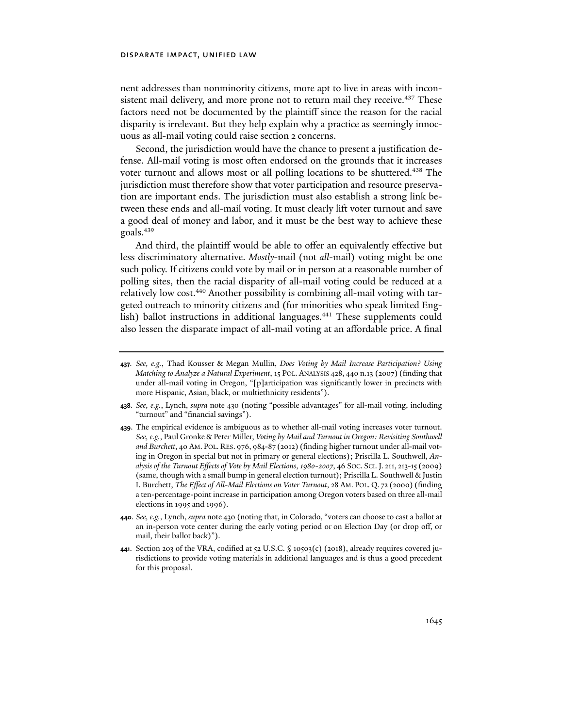## disparate impact, unified law

nent addresses than nonminority citizens, more apt to live in areas with inconsistent mail delivery, and more prone not to return mail they receive.<sup>437</sup> These factors need not be documented by the plaintiff since the reason for the racial disparity is irrelevant. But they help explain why a practice as seemingly innocuous as all-mail voting could raise section 2 concerns.

Second, the jurisdiction would have the chance to present a justification defense. All-mail voting is most often endorsed on the grounds that it increases voter turnout and allows most or all polling locations to be shuttered.<sup>438</sup> The jurisdiction must therefore show that voter participation and resource preservation are important ends. The jurisdiction must also establish a strong link between these ends and all-mail voting. It must clearly lift voter turnout and save a good deal of money and labor, and it must be the best way to achieve these goals.439

And third, the plaintiff would be able to offer an equivalently effective but less discriminatory alternative. *Mostly*-mail (not *all*-mail) voting might be one such policy. If citizens could vote by mail or in person at a reasonable number of polling sites, then the racial disparity of all-mail voting could be reduced at a relatively low cost.<sup>440</sup> Another possibility is combining all-mail voting with targeted outreach to minority citizens and (for minorities who speak limited English) ballot instructions in additional languages.<sup>441</sup> These supplements could also lessen the disparate impact of all-mail voting at an affordable price. A final

- **438***. See, e.g.*, Lynch, *supra* note 430 (noting "possible advantages" for all-mail voting, including "turnout" and "financial savings").
- **439**. The empirical evidence is ambiguous as to whether all-mail voting increases voter turnout. *See, e.g.*, Paul Gronke & Peter Miller, *Voting by Mail and Turnout in Oregon: Revisiting Southwell and Burchett*, 40 AM. POL. RES. 976, 984-87 (2012) (finding higher turnout under all-mail voting in Oregon in special but not in primary or general elections); Priscilla L. Southwell, *Analysis of the Turnout Effects of Vote by Mail Elections*, *1980-2007*, 46 SOC. SCI.J. 211, 213-15 (2009) (same, though with a small bump in general election turnout); Priscilla L. Southwell & Justin I. Burchett, *The Effect of All-Mail Elections on Voter Turnout*, 28 AM. POL. Q. 72 (2000) (finding a ten-percentage-point increase in participation among Oregon voters based on three all-mail elections in 1995 and 1996).
- **440***. See, e.g.*, Lynch, *supra* note 430 (noting that, in Colorado, "voters can choose to cast a ballot at an in-person vote center during the early voting period or on Election Day (or drop off, or mail, their ballot back)").
- **441**. Section 203 of the VRA, codified at 52 U.S.C. § 10503(c) (2018), already requires covered jurisdictions to provide voting materials in additional languages and is thus a good precedent for this proposal.

**<sup>437</sup>***. See, e.g.*, Thad Kousser & Megan Mullin, *Does Voting by Mail Increase Participation? Using Matching to Analyze a Natural Experiment*, 15 POL. ANALYSIS 428, 440 n.13 (2007) (finding that under all-mail voting in Oregon, "[p]articipation was significantly lower in precincts with more Hispanic, Asian, black, or multiethnicity residents").